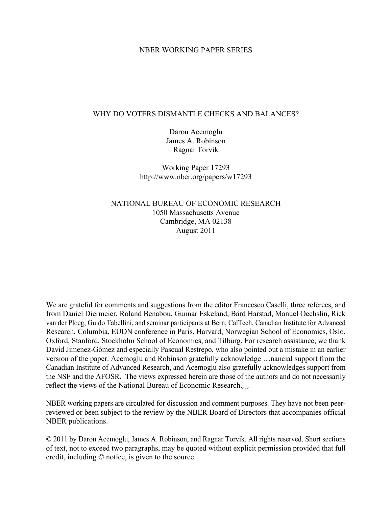## NBER WORKING PAPER SERIES

## WHY DO VOTERS DISMANTLE CHECKS AND BALANCES?

Daron Acemoglu James A. Robinson Ragnar Torvik

Working Paper 17293 http://www.nber.org/papers/w17293

NATIONAL BUREAU OF ECONOMIC RESEARCH 1050 Massachusetts Avenue Cambridge, MA 02138 August 2011

We are grateful for comments and suggestions from the editor Francesco Caselli, three referees, and from Daniel Diermeier, Roland Benabou, Gunnar Eskeland, Bård Harstad, Manuel Oechslin, Rick van der Ploeg, Guido Tabellini, and seminar participants at Bern, CalTech, Canadian Institute for Advanced Research, Columbia, EUDN conference in Paris, Harvard, Norwegian School of Economics, Oslo, Oxford, Stanford, Stockholm School of Economics, and Tilburg. For research assistance, we thank David Jimenez-Gómez and especially Pascual Restrepo, who also pointed out a mistake in an earlier version of the paper. Acemoglu and Robinson gratefully acknowledge …nancial support from the Canadian Institute of Advanced Research, and Acemoglu also gratefully acknowledges support from the NSF and the AFOSR. The views expressed herein are those of the authors and do not necessarily reflect the views of the National Bureau of Economic Research.

NBER working papers are circulated for discussion and comment purposes. They have not been peerreviewed or been subject to the review by the NBER Board of Directors that accompanies official NBER publications.

© 2011 by Daron Acemoglu, James A. Robinson, and Ragnar Torvik. All rights reserved. Short sections of text, not to exceed two paragraphs, may be quoted without explicit permission provided that full credit, including © notice, is given to the source.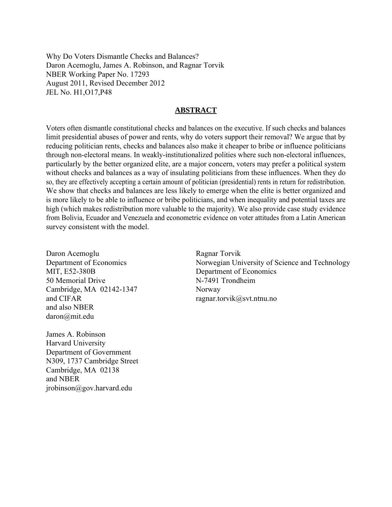Why Do Voters Dismantle Checks and Balances? Daron Acemoglu, James A. Robinson, and Ragnar Torvik NBER Working Paper No. 17293 August 2011, Revised December 2012 JEL No. H1,O17,P48

# **ABSTRACT**

Voters often dismantle constitutional checks and balances on the executive. If such checks and balances limit presidential abuses of power and rents, why do voters support their removal? We argue that by reducing politician rents, checks and balances also make it cheaper to bribe or influence politicians through non-electoral means. In weakly-institutionalized polities where such non-electoral influences, particularly by the better organized elite, are a major concern, voters may prefer a political system without checks and balances as a way of insulating politicians from these influences. When they do so, they are effectively accepting a certain amount of politician (presidential) rents in return for redistribution. We show that checks and balances are less likely to emerge when the elite is better organized and is more likely to be able to influence or bribe politicians, and when inequality and potential taxes are high (which makes redistribution more valuable to the majority). We also provide case study evidence from Bolivia, Ecuador and Venezuela and econometric evidence on voter attitudes from a Latin American survey consistent with the model.

Daron Acemoglu Department of Economics MIT, E52-380B 50 Memorial Drive Cambridge, MA 02142-1347 and CIFAR and also NBER daron@mit.edu

James A. Robinson Harvard University Department of Government N309, 1737 Cambridge Street Cambridge, MA 02138 and NBER jrobinson@gov.harvard.edu

Ragnar Torvik Norwegian University of Science and Technology Department of Economics N-7491 Trondheim **Norway** ragnar.torvik@svt.ntnu.no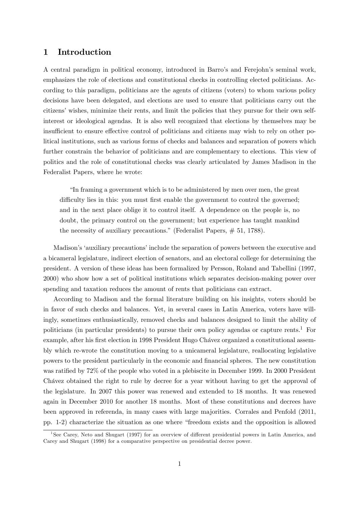# 1 Introduction

A central paradigm in political economy, introduced in Barro's and Ferejohn's seminal work, emphasizes the role of elections and constitutional checks in controlling elected politicians. According to this paradigm, politicians are the agents of citizens (voters) to whom various policy decisions have been delegated, and elections are used to ensure that politicians carry out the citizens' wishes, minimize their rents, and limit the policies that they pursue for their own selfinterest or ideological agendas. It is also well recognized that elections by themselves may be insufficient to ensure effective control of politicians and citizens may wish to rely on other political institutions, such as various forms of checks and balances and separation of powers which further constrain the behavior of politicians and are complementary to elections. This view of politics and the role of constitutional checks was clearly articulated by James Madison in the Federalist Papers, where he wrote:

"In framing a government which is to be administered by men over men, the great difficulty lies in this: you must first enable the government to control the governed; and in the next place oblige it to control itself. A dependence on the people is, no doubt, the primary control on the government; but experience has taught mankind the necessity of auxiliary precautions." (Federalist Papers,  $# 51, 1788$ ).

Madison's 'auxiliary precautions' include the separation of powers between the executive and a bicameral legislature, indirect election of senators, and an electoral college for determining the president. A version of these ideas has been formalized by Persson, Roland and Tabellini (1997, 2000) who show how a set of political institutions which separates decision-making power over spending and taxation reduces the amount of rents that politicians can extract.

According to Madison and the formal literature building on his insights, voters should be in favor of such checks and balances. Yet, in several cases in Latin America, voters have willingly, sometimes enthusiastically, removed checks and balances designed to limit the ability of politicians (in particular presidents) to pursue their own policy agendas or capture rents.<sup>1</sup> For example, after his first election in 1998 President Hugo Chávez organized a constitutional assembly which re-wrote the constitution moving to a unicameral legislature, reallocating legislative powers to the president particularly in the economic and Önancial spheres. The new constitution was ratified by 72% of the people who voted in a plebiscite in December 1999. In 2000 President Chavez obtained the right to rule by decree for a year without having to get the approval of the legislature. In 2007 this power was renewed and extended to 18 months. It was renewed again in December 2010 for another 18 months. Most of these constitutions and decrees have been approved in referenda, in many cases with large majorities. Corrales and Penfold (2011, pp. 1-2) characterize the situation as one where ìfreedom exists and the opposition is allowed

<sup>&</sup>lt;sup>1</sup>See Carey, Neto and Shugart (1997) for an overview of different presidential powers in Latin America, and Carey and Shugart (1998) for a comparative perspective on presidential decree power.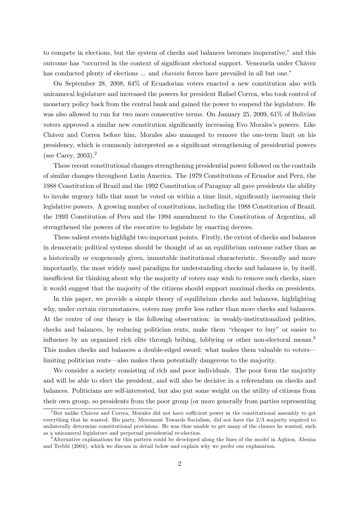to compete in elections, but the system of checks and balances becomes inoperative," and this outcome has "occurred in the context of significant electoral support. Venezuela under Chávez has conducted plenty of elections ... and *chavista* forces have prevailed in all but one.<sup>"</sup>

On September 28, 2008, 64% of Ecuadorian voters enacted a new constitution also with unicameral legislature and increased the powers for president Rafael Correa, who took control of monetary policy back from the central bank and gained the power to suspend the legislature. He was also allowed to run for two more consecutive terms. On January 25, 2009, 61% of Bolivian voters approved a similar new constitution significantly increasing Evo Morales's powers. Like Chavez and Correa before him, Morales also managed to remove the one-term limit on his presidency, which is commonly interpreted as a significant strengthening of presidential powers (see Carey, 2003).<sup>2</sup>

These recent constitutional changes strengthening presidential power followed on the coattails of similar changes throughout Latin America. The 1979 Constitutions of Ecuador and Peru, the 1988 Constitution of Brazil and the 1992 Constitution of Paraguay all gave presidents the ability to invoke urgency bills that must be voted on within a time limit, significantly increasing their legislative powers. A growing number of constitutions, including the 1988 Constitution of Brazil, the 1993 Constitution of Peru and the 1994 amendment to the Constitution of Argentina, all strengthened the powers of the executive to legislate by enacting decrees.

These salient events highlight two important points. Firstly, the extent of checks and balances in democratic political systems should be thought of as an equilibrium outcome rather than as a historically or exogenously given, immutable institutional characteristic. Secondly and more importantly, the most widely used paradigm for understanding checks and balances is, by itself, insufficient for thinking about why the majority of voters may wish to remove such checks, since it would suggest that the majority of the citizens should support maximal checks on presidents.

In this paper, we provide a simple theory of equilibrium checks and balances, highlighting why, under certain circumstances, voters may prefer less rather than more checks and balances. At the center of our theory is the following observation: in weakly-institutionalized polities, checks and balances, by reducing politician rents, make them "cheaper to buy" or easier to influence by an organized rich elite through bribing, lobbying or other non-electoral means.<sup>3</sup> This makes checks and balances a double-edged sword: what makes them valuable to voters limiting politician rents—also makes them potentially dangerous to the majority.

We consider a society consisting of rich and poor individuals. The poor form the majority and will be able to elect the president, and will also be decisive in a referendum on checks and balances. Politicians are self-interested, but also put some weight on the utility of citizens from their own group, so presidents from the poor group (or more generally from parties representing

 $2$ But unlike Chávez and Correa, Morales did not have sufficient power in the constitutional assembly to get everything that he wanted. His party, Movement Towards Socialism, did not have the 2/3 majority required to unilaterally determine constitutional provisions. He was thus unable to get many of the clauses he wanted, such as a unicameral legislature and perpetual presidential re-election.

<sup>3</sup>Alternative explanations for this pattern could be developed along the lines of the model in Aghion, Alesina and Trebbi (2004), which we discuss in detail below and explain why we prefer our explanation.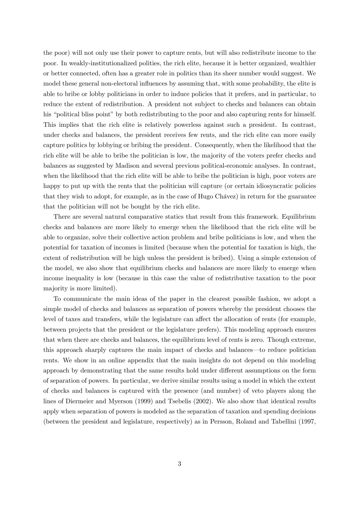the poor) will not only use their power to capture rents, but will also redistribute income to the poor. In weakly-institutionalized polities, the rich elite, because it is better organized, wealthier or better connected, often has a greater role in politics than its sheer number would suggest. We model these general non-electoral influences by assuming that, with some probability, the elite is able to bribe or lobby politicians in order to induce policies that it prefers, and in particular, to reduce the extent of redistribution. A president not subject to checks and balances can obtain his "political bliss point" by both redistributing to the poor and also capturing rents for himself. This implies that the rich elite is relatively powerless against such a president. In contrast, under checks and balances, the president receives few rents, and the rich elite can more easily capture politics by lobbying or bribing the president. Consequently, when the likelihood that the rich elite will be able to bribe the politician is low, the majority of the voters prefer checks and balances as suggested by Madison and several previous political-economic analyses. In contrast, when the likelihood that the rich elite will be able to bribe the politician is high, poor voters are happy to put up with the rents that the politician will capture (or certain idiosyncratic policies that they wish to adopt, for example, as in the case of Hugo Chávez) in return for the guarantee that the politician will not be bought by the rich elite.

There are several natural comparative statics that result from this framework. Equilibrium checks and balances are more likely to emerge when the likelihood that the rich elite will be able to organize, solve their collective action problem and bribe politicians is low, and when the potential for taxation of incomes is limited (because when the potential for taxation is high, the extent of redistribution will be high unless the president is bribed). Using a simple extension of the model, we also show that equilibrium checks and balances are more likely to emerge when income inequality is low (because in this case the value of redistributive taxation to the poor majority is more limited).

To communicate the main ideas of the paper in the clearest possible fashion, we adopt a simple model of checks and balances as separation of powers whereby the president chooses the level of taxes and transfers, while the legislature can affect the allocation of rents (for example, between projects that the president or the legislature prefers). This modeling approach ensures that when there are checks and balances, the equilibrium level of rents is zero. Though extreme, this approach sharply captures the main impact of checks and balances—to reduce politician rents. We show in an online appendix that the main insights do not depend on this modeling approach by demonstrating that the same results hold under different assumptions on the form of separation of powers. In particular, we derive similar results using a model in which the extent of checks and balances is captured with the presence (and number) of veto players along the lines of Diermeier and Myerson (1999) and Tsebelis (2002). We also show that identical results apply when separation of powers is modeled as the separation of taxation and spending decisions (between the president and legislature, respectively) as in Persson, Roland and Tabellini (1997,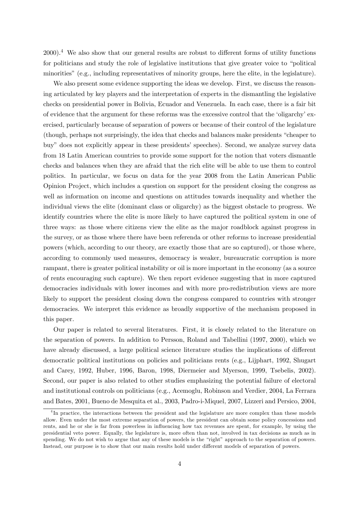$2000$ .<sup>4</sup> We also show that our general results are robust to different forms of utility functions for politicians and study the role of legislative institutions that give greater voice to "political" minorities" (e.g., including representatives of minority groups, here the elite, in the legislature).

We also present some evidence supporting the ideas we develop. First, we discuss the reasoning articulated by key players and the interpretation of experts in the dismantling the legislative checks on presidential power in Bolivia, Ecuador and Venezuela. In each case, there is a fair bit of evidence that the argument for these reforms was the excessive control that the 'oligarchy' exercised, particularly because of separation of powers or because of their control of the legislature (though, perhaps not surprisingly, the idea that checks and balances make presidents "cheaper to buy" does not explicitly appear in these presidents' speeches). Second, we analyze survey data from 18 Latin American countries to provide some support for the notion that voters dismantle checks and balances when they are afraid that the rich elite will be able to use them to control politics. In particular, we focus on data for the year 2008 from the Latin American Public Opinion Project, which includes a question on support for the president closing the congress as well as information on income and questions on attitudes towards inequality and whether the individual views the elite (dominant class or oligarchy) as the biggest obstacle to progress. We identify countries where the elite is more likely to have captured the political system in one of three ways: as those where citizens view the elite as the major roadblock against progress in the survey, or as those where there have been referenda or other reforms to increase presidential powers (which, according to our theory, are exactly those that are so captured), or those where, according to commonly used measures, democracy is weaker, bureaucratic corruption is more rampant, there is greater political instability or oil is more important in the economy (as a source of rents encouraging such capture). We then report evidence suggesting that in more captured democracies individuals with lower incomes and with more pro-redistribution views are more likely to support the president closing down the congress compared to countries with stronger democracies. We interpret this evidence as broadly supportive of the mechanism proposed in this paper.

Our paper is related to several literatures. First, it is closely related to the literature on the separation of powers. In addition to Persson, Roland and Tabellini (1997, 2000), which we have already discussed, a large political science literature studies the implications of different democratic political institutions on policies and politicians rents (e.g., Lijphart, 1992, Shugart and Carey, 1992, Huber, 1996, Baron, 1998, Diermeier and Myerson, 1999, Tsebelis, 2002). Second, our paper is also related to other studies emphasizing the potential failure of electoral and institutional controls on politicians (e.g., Acemoglu, Robinson and Verdier, 2004, La Ferrara and Bates, 2001, Bueno de Mesquita et al., 2003, Padro-i-Miquel, 2007, Lizzeri and Persico, 2004,

<sup>&</sup>lt;sup>4</sup>In practice, the interactions between the president and the legislature are more complex than these models allow. Even under the most extreme separation of powers, the president can obtain some policy concessions and rents, and he or she is far from powerless in influencing how tax revenues are spent, for example, by using the presidential veto power. Equally, the legislature is, more often than not, involved in tax decisions as much as in spending. We do not wish to argue that any of these models is the "right" approach to the separation of powers. Instead, our purpose is to show that our main results hold under different models of separation of powers.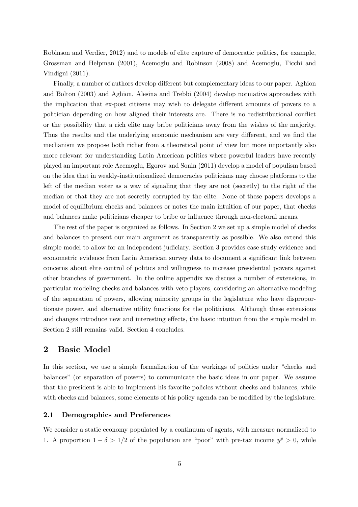Robinson and Verdier, 2012) and to models of elite capture of democratic politics, for example, Grossman and Helpman (2001), Acemoglu and Robinson (2008) and Acemoglu, Ticchi and Vindigni (2011).

Finally, a number of authors develop different but complementary ideas to our paper. Aghion and Bolton (2003) and Aghion, Alesina and Trebbi (2004) develop normative approaches with the implication that ex-post citizens may wish to delegate different amounts of powers to a politician depending on how aligned their interests are. There is no redistributional conflict or the possibility that a rich elite may bribe politicians away from the wishes of the majority. Thus the results and the underlying economic mechanism are very different, and we find the mechanism we propose both richer from a theoretical point of view but more importantly also more relevant for understanding Latin American politics where powerful leaders have recently played an important role Acemoglu, Egorov and Sonin (2011) develop a model of populism based on the idea that in weakly-institutionalized democracies politicians may choose platforms to the left of the median voter as a way of signaling that they are not (secretly) to the right of the median or that they are not secretly corrupted by the elite. None of these papers develops a model of equilibrium checks and balances or notes the main intuition of our paper, that checks and balances make politicians cheaper to bribe or influence through non-electoral means.

The rest of the paper is organized as follows. In Section 2 we set up a simple model of checks and balances to present our main argument as transparently as possible. We also extend this simple model to allow for an independent judiciary. Section 3 provides case study evidence and econometric evidence from Latin American survey data to document a significant link between concerns about elite control of politics and willingness to increase presidential powers against other branches of government. In the online appendix we discuss a number of extensions, in particular modeling checks and balances with veto players, considering an alternative modeling of the separation of powers, allowing minority groups in the legislature who have disproportionate power, and alternative utility functions for the politicians. Although these extensions and changes introduce new and interesting effects, the basic intuition from the simple model in Section 2 still remains valid. Section 4 concludes.

# 2 Basic Model

In this section, we use a simple formalization of the workings of politics under "checks and balancesî (or separation of powers) to communicate the basic ideas in our paper. We assume that the president is able to implement his favorite policies without checks and balances, while with checks and balances, some elements of his policy agenda can be modified by the legislature.

#### 2.1 Demographics and Preferences

We consider a static economy populated by a continuum of agents, with measure normalized to 1. A proportion  $1 - \delta > 1/2$  of the population are "poor" with pre-tax income  $y^p > 0$ , while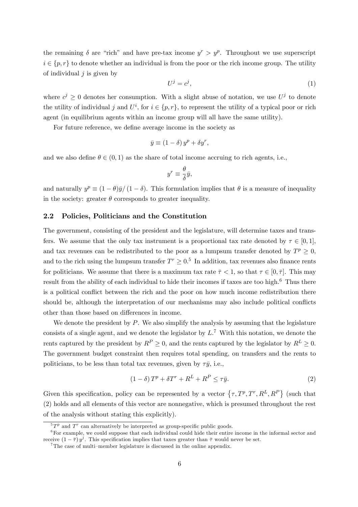the remaining  $\delta$  are "rich" and have pre-tax income  $y^r > y^p$ . Throughout we use superscript  $i \in \{p, r\}$  to denote whether an individual is from the poor or the rich income group. The utility of individual  $j$  is given by

$$
U^j = c^j,\tag{1}
$$

where  $c^j \geq 0$  denotes her consumption. With a slight abuse of notation, we use  $U^j$  to denote the utility of individual j and  $U^i$ , for  $i \in \{p, r\}$ , to represent the utility of a typical poor or rich agent (in equilibrium agents within an income group will all have the same utility).

For future reference, we define average income in the society as

$$
\bar{y} \equiv (1 - \delta) y^p + \delta y^r,
$$

and we also define  $\theta \in (0,1)$  as the share of total income accruing to rich agents, i.e.,

$$
y^r \equiv \frac{\theta}{\delta} \bar{y},
$$

and naturally  $y^p \equiv (1 - \theta)\bar{y}/(1 - \delta)$ . This formulation implies that  $\theta$  is a measure of inequality in the society: greater  $\theta$  corresponds to greater inequality.

#### 2.2 Policies, Politicians and the Constitution

The government, consisting of the president and the legislature, will determine taxes and transfers. We assume that the only tax instrument is a proportional tax rate denoted by  $\tau \in [0, 1]$ , and tax revenues can be redistributed to the poor as a lumpsum transfer denoted by  $T^p \geq 0$ , and to the rich using the lumpsum transfer  $T^r \geq 0.5$  In addition, tax revenues also finance rents for politicians. We assume that there is a maximum tax rate  $\bar{\tau} < 1$ , so that  $\tau \in [0, \bar{\tau}]$ . This may result from the ability of each individual to hide their incomes if taxes are too high.<sup>6</sup> Thus there is a political conflict between the rich and the poor on how much income redistribution there should be, although the interpretation of our mechanisms may also include political conflicts other than those based on differences in income.

We denote the president by  $P$ . We also simplify the analysis by assuming that the legislature consists of a single agent, and we denote the legislator by  $L^7$ . With this notation, we denote the rents captured by the president by  $R^P \geq 0$ , and the rents captured by the legislator by  $R^L \geq 0$ . The government budget constraint then requires total spending, on transfers and the rents to politicians, to be less than total tax revenues, given by  $\tau \bar{y}$ , i.e.,

$$
(1 - \delta) Tp + \delta Tr + RL + RP \le \tau \bar{y}.
$$
 (2)

Given this specification, policy can be represented by a vector  $\{\tau, T^p, T^r, R^L, R^P\}$  (such that (2) holds and all elements of this vector are nonnegative, which is presumed throughout the rest of the analysis without stating this explicitly).

 ${}^{5}T^{p}$  and  $T^{r}$  can alternatively be interpreted as group-specific public goods.

 ${}^{6}$  For example, we could suppose that each individual could hide their entire income in the informal sector and receive  $(1 - \overline{\tau}) y^j$ . This specification implies that taxes greater than  $\overline{\tau}$  would never be set.

<sup>&</sup>lt;sup>7</sup>The case of multi-member legislature is discussed in the online appendix.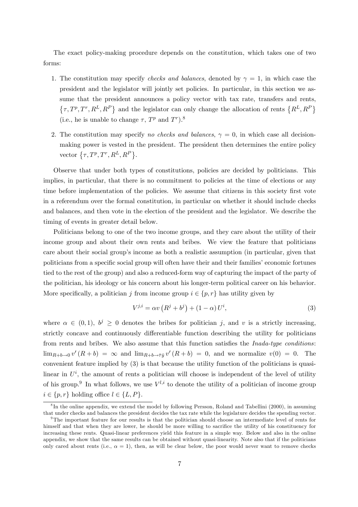The exact policy-making procedure depends on the constitution, which takes one of two forms:

- 1. The constitution may specify *checks and balances*, denoted by  $\gamma = 1$ , in which case the president and the legislator will jointly set policies. In particular, in this section we assume that the president announces a policy vector with tax rate, transfers and rents,  $\{\tau, T^p, T^r, R^L, R^P\}$  and the legislator can only change the allocation of rents  $\{R^L, R^P\}$ (i.e., he is unable to change  $\tau$ ,  $T^p$  and  $T^r$ ).<sup>8</sup>
- 2. The constitution may specify no checks and balances,  $\gamma = 0$ , in which case all decisionmaking power is vested in the president. The president then determines the entire policy vector  $\{\tau, T^p, T^r, R^L, R^P\}.$

Observe that under both types of constitutions, policies are decided by politicians. This implies, in particular, that there is no commitment to policies at the time of elections or any time before implementation of the policies. We assume that citizens in this society first vote in a referendum over the formal constitution, in particular on whether it should include checks and balances, and then vote in the election of the president and the legislator. We describe the timing of events in greater detail below.

Politicians belong to one of the two income groups, and they care about the utility of their income group and about their own rents and bribes. We view the feature that politicians care about their social group's income as both a realistic assumption (in particular, given that politicians from a specific social group will often have their and their families' economic fortunes tied to the rest of the group) and also a reduced-form way of capturing the impact of the party of the politician, his ideology or his concern about his longer-term political career on his behavior. More specifically, a politician j from income group  $i \in \{p, r\}$  has utility given by

$$
V^{j,i} = \alpha v \left( R^j + b^j \right) + (1 - \alpha) U^i,
$$
\n<sup>(3)</sup>

where  $\alpha \in (0,1)$ ,  $b^j \geq 0$  denotes the bribes for politician j, and v is a strictly increasing, strictly concave and continuously differentiable function describing the utility for politicians from rents and bribes. We also assume that this function satisfies the *Inada-type conditions*:  $\lim_{R+b\to 0} v'(R+b) = \infty$  and  $\lim_{R+b\to \bar{\tau}y} v'(R+b) = 0$ , and we normalize  $v(0) = 0$ . The convenient feature implied by (3) is that because the utility function of the politicians is quasilinear in  $U^i$ , the amount of rents a politician will choose is independent of the level of utility of his group.<sup>9</sup> In what follows, we use  $V^{l,i}$  to denote the utility of a politician of income group  $i \in \{p, r\}$  holding office  $l \in \{L, P\}.$ 

<sup>&</sup>lt;sup>8</sup>In the online appendix, we extend the model by following Persson, Roland and Tabellini (2000), in assuming that under checks and balances the president decides the tax rate while the legislature decides the spending vector.

<sup>9</sup>The important feature for our results is that the politician should choose an intermediate level of rents for himself and that when they are lower, he should be more willing to sacrifice the utility of his constituency for increasing these rents. Quasi-linear preferences yield this feature in a simple way. Below and also in the online appendix, we show that the same results can be obtained without quasi-linearity. Note also that if the politicians only cared about rents (i.e.,  $\alpha = 1$ ), then, as will be clear below, the poor would never want to remove checks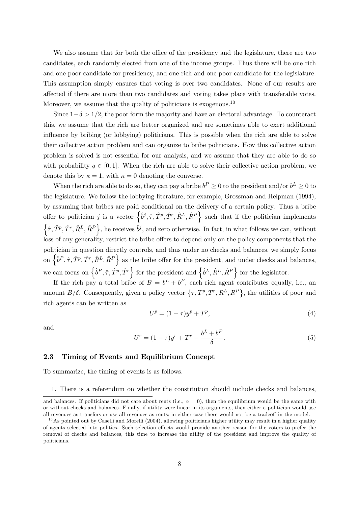We also assume that for both the office of the presidency and the legislature, there are two candidates, each randomly elected from one of the income groups. Thus there will be one rich and one poor candidate for presidency, and one rich and one poor candidate for the legislature. This assumption simply ensures that voting is over two candidates. None of our results are affected if there are more than two candidates and voting takes place with transferable votes. Moreover, we assume that the quality of politicians is exogenous.<sup>10</sup>

Since  $1-\delta > 1/2$ , the poor form the majority and have an electoral advantage. To counteract this, we assume that the rich are better organized and are sometimes able to exert additional influence by bribing (or lobbying) politicians. This is possible when the rich are able to solve their collective action problem and can organize to bribe politicians. How this collective action problem is solved is not essential for our analysis, and we assume that they are able to do so with probability  $q \in [0, 1]$ . When the rich are able to solve their collective action problem, we denote this by  $\kappa = 1$ , with  $\kappa = 0$  denoting the converse.

When the rich are able to do so, they can pay a bribe  $b^P \ge 0$  to the president and/or  $b^L \ge 0$  to the legislature. We follow the lobbying literature, for example, Grossman and Helpman (1994), by assuming that bribes are paid conditional on the delivery of a certain policy. Thus a bribe offer to politician j is a vector  $\left\{\hat{b}^j, \hat{\tau}, \hat{T}^p, \hat{T}^r, \hat{R}^L, \hat{R}^P\right\}$  such that if the politician implements  $\{\hat{\tau}, \hat{T}^p, \hat{T}^r, \hat{R}^L, \hat{R}^P\}$ , he receives  $\hat{b}^j$ , and zero otherwise. In fact, in what follows we can, without loss of any generality, restrict the bribe offers to depend only on the policy components that the politician in question directly controls, and thus under no checks and balances, we simply focus on  $\left\{\hat{b}^P, \hat{\tau}, \hat{T}^p, \hat{T}^r, \hat{R}^L, \hat{R}^P\right\}$  as the bribe offer for the president, and under checks and balances, we can focus on  $\left\{\hat{b}^P, \hat{\tau}, \hat{T}^p, \hat{T}^r\right\}$  for the president and  $\left\{\hat{b}^L, \hat{R}^L, \hat{R}^P\right\}$  for the legislator.

If the rich pay a total bribe of  $B = b^L + b^P$ , each rich agent contributes equally, i.e., an amount  $B/\delta$ . Consequently, given a policy vector  $\{\tau, T^p, T^r, R^L, R^P\}$ , the utilities of poor and rich agents can be written as

$$
U^p = (1 - \tau)y^p + T^p,\tag{4}
$$

and

$$
U^{r} = (1 - \tau)y^{r} + T^{r} - \frac{b^{L} + b^{P}}{\delta}.
$$
\n(5)

#### 2.3 Timing of Events and Equilibrium Concept

To summarize, the timing of events is as follows.

1. There is a referendum on whether the constitution should include checks and balances,

and balances. If politicians did not care about rents (i.e.,  $\alpha = 0$ ), then the equilibrium would be the same with or without checks and balances. Finally, if utility were linear in its arguments, then either a politician would use all revenues as transfers or use all revenues as rents; in either case there would not be a tradeoff in the model.

 $10$ As pointed out by Caselli and Morelli (2004), allowing politicians higher utility may result in a higher quality of agents selected into politics. Such selection effects would provide another reason for the voters to prefer the removal of checks and balances, this time to increase the utility of the president and improve the quality of politicians.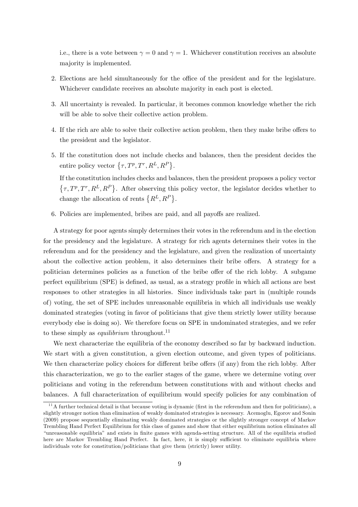i.e., there is a vote between  $\gamma = 0$  and  $\gamma = 1$ . Whichever constitution receives an absolute majority is implemented.

- 2. Elections are held simultaneously for the office of the president and for the legislature. Whichever candidate receives an absolute majority in each post is elected.
- 3. All uncertainty is revealed. In particular, it becomes common knowledge whether the rich will be able to solve their collective action problem.
- 4. If the rich are able to solve their collective action problem, then they make bribe offers to the president and the legislator.
- 5. If the constitution does not include checks and balances, then the president decides the entire policy vector  $\{\tau, T^p, T^r, R^L, R^P\}.$

If the constitution includes checks and balances, then the president proposes a policy vector  $\{\tau, T^p, T^r, R^L, R^P\}$ . After observing this policy vector, the legislator decides whether to change the allocation of rents  $\{R^L, R^P\}.$ 

6. Policies are implemented, bribes are paid, and all payoffs are realized.

A strategy for poor agents simply determines their votes in the referendum and in the election for the presidency and the legislature. A strategy for rich agents determines their votes in the referendum and for the presidency and the legislature, and given the realization of uncertainty about the collective action problem, it also determines their bribe offers. A strategy for a politician determines policies as a function of the bribe offer of the rich lobby. A subgame perfect equilibrium (SPE) is defined, as usual, as a strategy profile in which all actions are best responses to other strategies in all histories. Since individuals take part in (multiple rounds of) voting, the set of SPE includes unreasonable equilibria in which all individuals use weakly dominated strategies (voting in favor of politicians that give them strictly lower utility because everybody else is doing so). We therefore focus on SPE in undominated strategies, and we refer to these simply as *equilibrium* throughout.<sup>11</sup>

We next characterize the equilibria of the economy described so far by backward induction. We start with a given constitution, a given election outcome, and given types of politicians. We then characterize policy choices for different bribe offers (if any) from the rich lobby. After this characterization, we go to the earlier stages of the game, where we determine voting over politicians and voting in the referendum between constitutions with and without checks and balances. A full characterization of equilibrium would specify policies for any combination of

 $11A$  further technical detail is that because voting is dynamic (first in the referendum and then for politicians), a slightly stronger notion than elimination of weakly dominated strategies is necessary. Acemoglu, Egorov and Sonin (2009) propose sequentially eliminating weakly dominated strategies or the slightly stronger concept of Markov Trembling Hand Perfect Equilibrium for this class of games and show that either equilibrium notion eliminates all ìunreasonable equilibriaî and exists in Önite games with agenda-setting structure. All of the equilibria studied here are Markov Trembling Hand Perfect. In fact, here, it is simply sufficient to eliminate equilibria where individuals vote for constitution/politicians that give them (strictly) lower utility.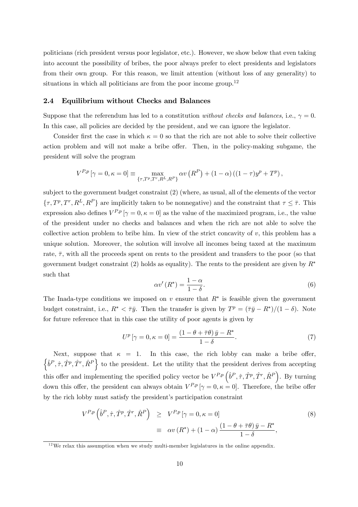politicians (rich president versus poor legislator, etc.). However, we show below that even taking into account the possibility of bribes, the poor always prefer to elect presidents and legislators from their own group. For this reason, we limit attention (without loss of any generality) to situations in which all politicians are from the poor income group.<sup>12</sup>

#### 2.4 Equilibrium without Checks and Balances

Suppose that the referendum has led to a constitution without checks and balances, i.e.,  $\gamma = 0$ . In this case, all policies are decided by the president, and we can ignore the legislator.

Consider first the case in which  $\kappa = 0$  so that the rich are not able to solve their collective action problem and will not make a bribe offer. Then, in the policy-making subgame, the president will solve the program

$$
V^{P,p}\left[\gamma=0,\kappa=0\right] \equiv \max_{\{\tau,T^p,T^r,R^L,R^P\}} \alpha v\left(R^P\right) + \left(1-\alpha\right)\left((1-\tau)y^p + T^p\right),\,
$$

subject to the government budget constraint (2) (where, as usual, all of the elements of the vector  $\{\tau, T^p, T^r, R^L, R^P\}$  are implicitly taken to be nonnegative) and the constraint that  $\tau \leq \overline{\tau}$ . This expression also defines  $V^{P,p}[\gamma=0, \kappa=0]$  as the value of the maximized program, i.e., the value of the president under no checks and balances and when the rich are not able to solve the collective action problem to bribe him. In view of the strict concavity of  $v$ , this problem has a unique solution. Moreover, the solution will involve all incomes being taxed at the maximum rate,  $\bar{\tau}$ , with all the proceeds spent on rents to the president and transfers to the poor (so that government budget constraint (2) holds as equality). The rents to the president are given by  $R^*$ such that

$$
\alpha v'(R^*) = \frac{1 - \alpha}{1 - \delta}.\tag{6}
$$

The Inada-type conditions we imposed on  $v$  ensure that  $R^*$  is feasible given the government budget constraint, i.e.,  $R^* < \bar{\tau} \bar{y}$ . Then the transfer is given by  $T^p = (\bar{\tau} \bar{y} - R^*)/(1 - \delta)$ . Note for future reference that in this case the utility of poor agents is given by

$$
U^{p}\left[\gamma=0,\kappa=0\right]=\frac{\left(1-\theta+\bar{\tau}\theta\right)\bar{y}-R^{*}}{1-\delta}.
$$
\n(7)

Next, suppose that  $\kappa = 1$ . In this case, the rich lobby can make a bribe offer,  $\{\hat{b}^P, \hat{\tau}, \hat{T}^p, \hat{T}^r, \hat{R}^P\}$  to the president. Let the utility that the president derives from accepting this offer and implementing the specified policy vector be  $V^{P,p}(\hat{b}^P, \hat{\tau}, \hat{T}^p, \hat{T}^r, \hat{R}^P)$ . By turning down this offer, the president can always obtain  $V^{p,p}[\gamma=0,\kappa=0]$ . Therefore, the bribe offer by the rich lobby must satisfy the president's participation constraint

$$
V^{P,p}\left(\hat{b}^P,\hat{\tau},\hat{T}^p,\hat{T}^r,\hat{R}^P\right) \geq V^{P,p}\left[\gamma=0,\kappa=0\right]
$$
  

$$
\equiv \alpha v\left(R^*\right) + \left(1-\alpha\right)\frac{\left(1-\theta+\bar{\tau}\theta\right)\bar{y}-R^*}{1-\delta},
$$
 (8)

 $12$ We relax this assumption when we study multi-member legislatures in the online appendix.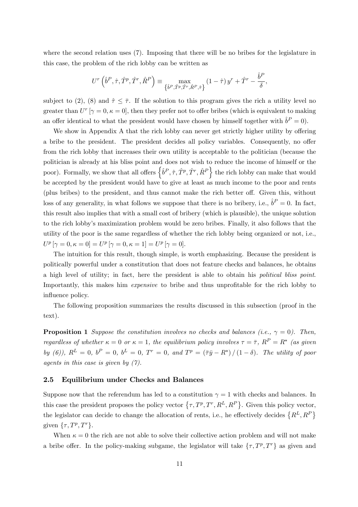where the second relation uses (7). Imposing that there will be no bribes for the legislature in this case, the problem of the rich lobby can be written as

$$
U^r\left(\hat{b}^P,\hat{\tau},\hat{T}^p,\hat{T}^r,\hat{R}^P\right) \equiv \max_{\left\{\hat{b}^P,\hat{T}^p,\hat{T}^r,\hat{R}^P,\hat{\tau}\right\}}\left(1-\hat{\tau}\right)y^r + \hat{T}^r - \frac{\hat{b}^P}{\delta},
$$

subject to (2), (8) and  $\hat{\tau} \leq \bar{\tau}$ . If the solution to this program gives the rich a utility level no greater than  $U^r[\gamma = 0, \kappa = 0]$ , then they prefer not to offer bribes (which is equivalent to making an offer identical to what the president would have chosen by himself together with  $\hat{b}^P = 0$ .

We show in Appendix A that the rich lobby can never get strictly higher utility by offering a bribe to the president. The president decides all policy variables. Consequently, no offer from the rich lobby that increases their own utility is acceptable to the politician (because the politician is already at his bliss point and does not wish to reduce the income of himself or the poor). Formally, we show that all offers  $\left\{\hat{b}^P, \hat{\tau}, \hat{T}^p, \hat{T}^r, \hat{R}^P\right\}$  the rich lobby can make that would be accepted by the president would have to give at least as much income to the poor and rents (plus bribes) to the president, and thus cannot make the rich better off. Given this, without loss of any generality, in what follows we suppose that there is no bribery, i.e.,  $\hat{b}^P = 0$ . In fact, this result also implies that with a small cost of bribery (which is plausible), the unique solution to the rich lobbyís maximization problem would be zero bribes. Finally, it also follows that the utility of the poor is the same regardless of whether the rich lobby being organized or not, i.e.,  $U^{p} [\gamma = 0, \kappa = 0] = U^{p} [\gamma = 0, \kappa = 1] = U^{p} [\gamma = 0].$ 

The intuition for this result, though simple, is worth emphasizing. Because the president is politically powerful under a constitution that does not feature checks and balances, he obtains a high level of utility; in fact, here the president is able to obtain his political bliss point. Importantly, this makes him *expensive* to bribe and thus unprofitable for the rich lobby to influence policy.

The following proposition summarizes the results discussed in this subsection (proof in the text).

**Proposition 1** Suppose the constitution involves no checks and balances (i.e.,  $\gamma = 0$ ). Then, regardless of whether  $\kappa = 0$  or  $\kappa = 1$ , the equilibrium policy involves  $\tau = \bar{\tau}$ ,  $R^P = R^*$  (as given by (6)),  $R^L = 0$ ,  $b^P = 0$ ,  $b^L = 0$ ,  $T^r = 0$ , and  $T^p = (\bar{\tau} \bar{y} - R^*)/(1 - \delta)$ . The utility of poor agents in this case is given by  $(7)$ .

#### 2.5 Equilibrium under Checks and Balances

Suppose now that the referendum has led to a constitution  $\gamma = 1$  with checks and balances. In this case the president proposes the policy vector  $\{\tau, T^p, T^r, R^L, R^P\}$ . Given this policy vector, the legislator can decide to change the allocation of rents, i.e., he effectively decides  ${R^L, R^P}$ given  $\{\tau, T^p, T^r\}.$ 

When  $\kappa = 0$  the rich are not able to solve their collective action problem and will not make a bribe offer. In the policy-making subgame, the legislator will take  $\{\tau, T^p, T^r\}$  as given and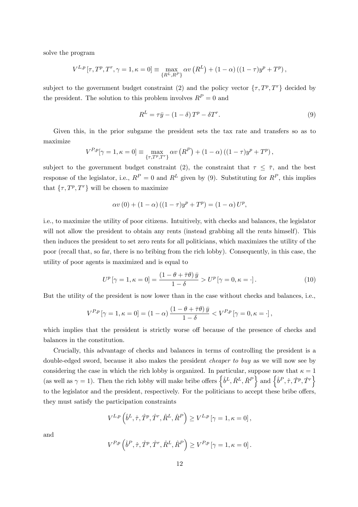solve the program

$$
V^{L,p}[\tau, T^p, T^r, \gamma = 1, \kappa = 0] \equiv \max_{\{R^L, R^P\}} \alpha v (R^L) + (1 - \alpha) ((1 - \tau)y^p + T^p),
$$

subject to the government budget constraint (2) and the policy vector  $\{\tau, T^p, T^r\}$  decided by the president. The solution to this problem involves  $R^P = 0$  and

$$
R^{L} = \tau \bar{y} - (1 - \delta) T^{p} - \delta T^{r}.
$$
\n(9)

Given this, in the prior subgame the president sets the tax rate and transfers so as to maximize

$$
V^{P,p}[\gamma = 1, \kappa = 0] \equiv \max_{\{\tau, T^p, T^r\}} \alpha v (R^P) + (1 - \alpha) ((1 - \tau)y^p + T^p),
$$

subject to the government budget constraint (2), the constraint that  $\tau \leq \overline{\tau}$ , and the best response of the legislator, i.e.,  $R^P = 0$  and  $R^L$  given by (9). Substituting for  $R^P$ , this implies that  $\{\tau, T^p, T^r\}$  will be chosen to maximize

$$
\alpha v(0) + (1 - \alpha) ((1 - \tau)y^{p} + T^{p}) = (1 - \alpha) U^{p},
$$

i.e., to maximize the utility of poor citizens. Intuitively, with checks and balances, the legislator will not allow the president to obtain any rents (instead grabbing all the rents himself). This then induces the president to set zero rents for all politicians, which maximizes the utility of the poor (recall that, so far, there is no bribing from the rich lobby). Consequently, in this case, the utility of poor agents is maximized and is equal to

$$
U^{p}\left[\gamma=1,\kappa=0\right] = \frac{\left(1-\theta+\bar{\tau}\theta\right)\bar{y}}{1-\delta} > U^{p}\left[\gamma=0,\kappa=\cdot\right].\tag{10}
$$

But the utility of the president is now lower than in the case without checks and balances, i.e.,

$$
V^{P,p}\left[\gamma=1,\kappa=0\right] = \left(1-\alpha\right)\frac{\left(1-\theta+\bar{\tau}\theta\right)\bar{y}}{1-\delta} < V^{P,p}\left[\gamma=0,\kappa=\cdot\right],
$$

which implies that the president is strictly worse of because of the presence of checks and balances in the constitution.

Crucially, this advantage of checks and balances in terms of controlling the president is a double-edged sword, because it also makes the president cheaper to buy as we will now see by considering the case in which the rich lobby is organized. In particular, suppose now that  $\kappa = 1$ (as well as  $\gamma = 1$ ). Then the rich lobby will make bribe offers  $\left\{\hat{b}^L, \hat{R}^L, \hat{R}^P\right\}$  and  $\left\{\hat{b}^P, \hat{\tau}, \hat{T}^p, \hat{T}^r\right\}$ to the legislator and the president, respectively. For the politicians to accept these bribe offers, they must satisfy the participation constraints

$$
V^{L,p}\left(\hat{b}^L,\hat{\tau},\hat{T}^p,\hat{T}^r,\hat{R}^L,\hat{R}^P\right) \geq V^{L,p}\left[\gamma=1,\kappa=0\right],
$$

and

$$
V^{P,p}\left(\hat{b}^P,\hat{\tau},\hat{T}^p,\hat{T}^r,\hat{R}^L,\hat{R}^P\right) \geq V^{P,p}\left[\gamma=1,\kappa=0\right].
$$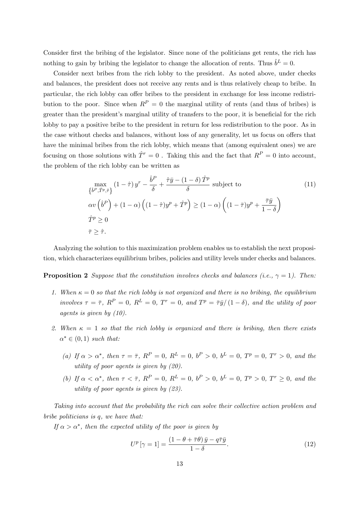Consider first the bribing of the legislator. Since none of the politicians get rents, the rich has nothing to gain by bribing the legislator to change the allocation of rents. Thus  $\hat{b}^L = 0$ .

Consider next bribes from the rich lobby to the president. As noted above, under checks and balances, the president does not receive any rents and is thus relatively cheap to bribe. In particular, the rich lobby can offer bribes to the president in exchange for less income redistribution to the poor. Since when  $R^P = 0$  the marginal utility of rents (and thus of bribes) is greater than the president's marginal utility of transfers to the poor, it is beneficial for the rich lobby to pay a positive bribe to the president in return for less redistribution to the poor. As in the case without checks and balances, without loss of any generality, let us focus on offers that have the minimal bribes from the rich lobby, which means that (among equivalent ones) we are focusing on those solutions with  $\hat{T}^r = 0$ . Taking this and the fact that  $R^P = 0$  into account, the problem of the rich lobby can be written as

$$
\max_{\{\hat{b}^P, \hat{T}^p, \hat{\tau}\}} (1 - \hat{\tau}) y^r - \frac{\hat{b}^P}{\delta} + \frac{\hat{\tau} \bar{y} - (1 - \delta) \hat{T}^p}{\delta} \text{ subject to}
$$
\n
$$
\alpha v \left(\hat{b}^P\right) + (1 - \alpha) \left((1 - \hat{\tau}) y^p + \hat{T}^p\right) \ge (1 - \alpha) \left((1 - \bar{\tau}) y^p + \frac{\bar{\tau} \bar{y}}{1 - \delta}\right)
$$
\n
$$
\hat{T}^p \ge 0
$$
\n
$$
\bar{\tau} \ge \hat{\tau}.
$$
\n(11)

Analyzing the solution to this maximization problem enables us to establish the next proposition, which characterizes equilibrium bribes, policies and utility levels under checks and balances.

**Proposition 2** Suppose that the constitution involves checks and balances (i.e.,  $\gamma = 1$ ). Then:

- 1. When  $\kappa = 0$  so that the rich lobby is not organized and there is no bribing, the equilibrium involves  $\tau = \overline{\tau}$ ,  $R^P = 0$ ,  $R^L = 0$ ,  $T^r = 0$ , and  $T^p = \overline{\tau} \overline{y}/(1-\delta)$ , and the utility of poor agents is given by (10).
- 2. When  $\kappa = 1$  so that the rich lobby is organized and there is bribing, then there exists  $\alpha^* \in (0, 1)$  such that:
	- (a) If  $\alpha > \alpha^*$ , then  $\tau = \overline{\tau}$ ,  $R^P = 0$ ,  $R^L = 0$ ,  $b^P > 0$ ,  $b^L = 0$ ,  $T^P = 0$ ,  $T^r > 0$ , and the utility of poor agents is given by (20).
	- (b) If  $\alpha < \alpha^*$ , then  $\tau < \bar{\tau}$ ,  $R^P = 0$ ,  $R^L = 0$ ,  $b^P > 0$ ,  $b^L = 0$ ,  $T^P > 0$ ,  $T^r \ge 0$ , and the utility of poor agents is given by (23).

Taking into account that the probability the rich can solve their collective action problem and bribe politicians is q, we have that:

If  $\alpha > \alpha^*$ , then the expected utility of the poor is given by

$$
U^{p}\left[\gamma=1\right] = \frac{\left(1-\theta+\bar{\tau}\theta\right)\bar{y}-q\bar{\tau}\bar{y}}{1-\delta}.\tag{12}
$$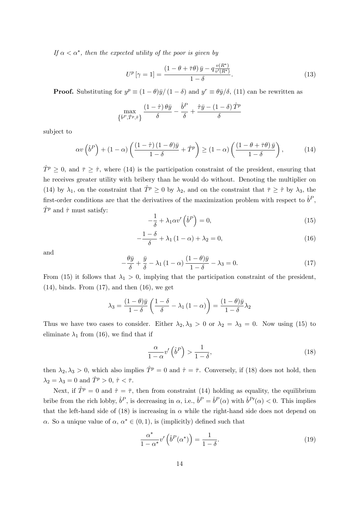If  $\alpha < \alpha^*$ , then the expected utility of the poor is given by

$$
U^{p}\left[\gamma=1\right] = \frac{\left(1-\theta+\bar{\tau}\theta\right)\bar{y} - q\frac{v(R^{*})}{v'(R^{*})}}{1-\delta}.\tag{13}
$$

**Proof.** Substituting for  $y^p \equiv (1 - \theta)\bar{y}/(1 - \delta)$  and  $y^r \equiv \theta\bar{y}/\delta$ , (11) can be rewritten as

$$
\max_{\left\{\hat{b}^P,\hat{T}^p,\hat{\tau}\right\}}\frac{\left(1-\hat{\tau}\right)\theta\bar{y}}{\delta}-\frac{\hat{b}^P}{\delta}+\frac{\hat{\tau}\bar{y}-\left(1-\delta\right)\hat{T}^p}{\delta}
$$

subject to

$$
\alpha v\left(\hat{b}^P\right) + (1 - \alpha) \left(\frac{(1 - \hat{\tau})(1 - \theta)\bar{y}}{1 - \delta} + \hat{T}^p\right) \ge (1 - \alpha) \left(\frac{(1 - \theta + \bar{\tau}\theta)\bar{y}}{1 - \delta}\right),\tag{14}
$$

 $\hat{T}^p \geq 0$ , and  $\bar{\tau} \geq \hat{\tau}$ , where (14) is the participation constraint of the president, ensuring that he receives greater utility with bribery than he would do without. Denoting the multiplier on (14) by  $\lambda_1$ , on the constraint that  $\hat{T}^p \ge 0$  by  $\lambda_2$ , and on the constraint that  $\bar{\tau} \ge \hat{\tau}$  by  $\lambda_3$ , the first-order conditions are that the derivatives of the maximization problem with respect to  $\hat{b}^P$ ,  $\hat{T}^p$  and  $\hat{\tau}$  must satisfy:

$$
-\frac{1}{\delta} + \lambda_1 \alpha v' \left(\hat{b}^P\right) = 0,\tag{15}
$$

$$
-\frac{1-\delta}{\delta} + \lambda_1 (1-\alpha) + \lambda_2 = 0, \tag{16}
$$

and

$$
-\frac{\theta \bar{y}}{\delta} + \frac{\bar{y}}{\delta} - \lambda_1 (1 - \alpha) \frac{(1 - \theta)\bar{y}}{1 - \delta} - \lambda_3 = 0.
$$
 (17)

From (15) it follows that  $\lambda_1 > 0$ , implying that the participation constraint of the president,  $(14)$ , binds. From  $(17)$ , and then  $(16)$ , we get

$$
\lambda_3 = \frac{(1-\theta)\bar{y}}{1-\delta} \left( \frac{1-\delta}{\delta} - \lambda_1 (1-\alpha) \right) = \frac{(1-\theta)\bar{y}}{1-\delta} \lambda_2
$$

Thus we have two cases to consider. Either  $\lambda_2, \lambda_3 > 0$  or  $\lambda_2 = \lambda_3 = 0$ . Now using (15) to eliminate  $\lambda_1$  from (16), we find that if

$$
\frac{\alpha}{1-\alpha}v'\left(\hat{b}^P\right) > \frac{1}{1-\delta},\tag{18}
$$

then  $\lambda_2, \lambda_3 > 0$ , which also implies  $\hat{T}^p = 0$  and  $\hat{\tau} = \bar{\tau}$ . Conversely, if (18) does not hold, then  $\lambda_2 = \lambda_3 = 0$  and  $\hat{T}^p > 0, \hat{\tau} < \bar{\tau}$ .

Next, if  $\hat{T}^p = 0$  and  $\hat{\tau} = \bar{\tau}$ , then from constraint (14) holding as equality, the equilibrium bribe from the rich lobby,  $\hat{b}^P$ , is decreasing in  $\alpha$ , i.e.,  $\hat{b}^P = \hat{b}^P(\alpha)$  with  $\hat{b}^{P'}(\alpha) < 0$ . This implies that the left-hand side of  $(18)$  is increasing in  $\alpha$  while the right-hand side does not depend on  $\alpha$ . So a unique value of  $\alpha$ ,  $\alpha^* \in (0,1)$ , is (implicitly) defined such that

$$
\frac{\alpha^*}{1 - \alpha^*} v' \left( \hat{b}^P(\alpha^*) \right) = \frac{1}{1 - \delta}.
$$
\n(19)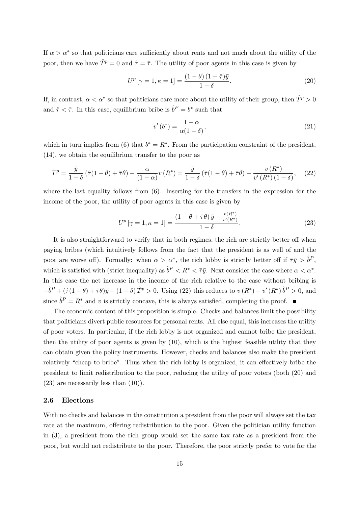If  $\alpha > \alpha^*$  so that politicians care sufficiently about rents and not much about the utility of the poor, then we have  $\hat{T}^p = 0$  and  $\hat{\tau} = \bar{\tau}$ . The utility of poor agents in this case is given by

$$
U^{p}\left[\gamma=1,\kappa=1\right] = \frac{\left(1-\theta\right)\left(1-\bar{\tau}\right)\bar{y}}{1-\delta}.\tag{20}
$$

If, in contrast,  $\alpha < \alpha^*$  so that politicians care more about the utility of their group, then  $\hat{T}^p > 0$ and  $\hat{\tau} < \bar{\tau}$ . In this case, equilibrium bribe is  $\hat{b}^P = b^*$  such that

$$
v'(b^*) = \frac{1-\alpha}{\alpha(1-\delta)},\tag{21}
$$

which in turn implies from (6) that  $b^* = R^*$ . From the participation constraint of the president, (14), we obtain the equilibrium transfer to the poor as

$$
\hat{T}^p = \frac{\bar{y}}{1-\delta} \left( \hat{\tau}(1-\theta) + \bar{\tau}\theta \right) - \frac{\alpha}{(1-\alpha)} v \left( R^* \right) = \frac{\bar{y}}{1-\delta} \left( \hat{\tau}(1-\theta) + \bar{\tau}\theta \right) - \frac{v \left( R^* \right)}{v' \left( R^* \right) \left( 1-\delta \right)},\tag{22}
$$

where the last equality follows from  $(6)$ . Inserting for the transfers in the expression for the income of the poor, the utility of poor agents in this case is given by

$$
U^{p}\left[\gamma=1,\kappa=1\right] = \frac{\left(1-\theta+\bar{\tau}\theta\right)\bar{y}-\frac{v(R^{*})}{v'(R^{*})}}{1-\delta}.
$$
\n(23)

It is also straightforward to verify that in both regimes, the rich are strictly better off when paying bribes (which intuitively follows from the fact that the president is as well of and the poor are worse off). Formally: when  $\alpha > \alpha^*$ , the rich lobby is strictly better off if  $\bar{\tau} \bar{y} > \hat{b}^P$ , which is satisfied with (strict inequality) as  $\hat{b}^P < R^* < \bar{\tau} \bar{y}$ . Next consider the case where  $\alpha < \alpha^*$ . In this case the net increase in the income of the rich relative to the case without bribing is  $-\hat{b}^P + (\hat{\tau}(1-\theta) + \bar{\tau}\theta)\bar{y} - (1-\delta)\hat{T}^P > 0$ . Using (22) this reduces to  $v(R^*) - v'(R^*)\hat{b}^P > 0$ , and since  $\hat{b}^P = R^*$  and v is strictly concave, this is always satisfied, completing the proof.

The economic content of this proposition is simple. Checks and balances limit the possibility that politicians divert public resources for personal rents. All else equal, this increases the utility of poor voters. In particular, if the rich lobby is not organized and cannot bribe the president, then the utility of poor agents is given by (10), which is the highest feasible utility that they can obtain given the policy instruments. However, checks and balances also make the president relatively "cheap to bribe". Thus when the rich lobby is organized, it can effectively bribe the president to limit redistribution to the poor, reducing the utility of poor voters (both (20) and (23) are necessarily less than (10)).

#### 2.6 Elections

With no checks and balances in the constitution a president from the poor will always set the tax rate at the maximum, offering redistribution to the poor. Given the politician utility function in (3), a president from the rich group would set the same tax rate as a president from the poor, but would not redistribute to the poor. Therefore, the poor strictly prefer to vote for the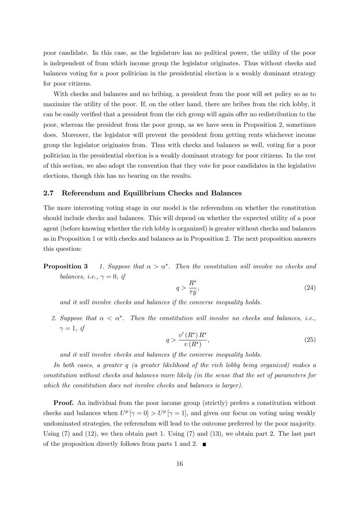poor candidate. In this case, as the legislature has no political power, the utility of the poor is independent of from which income group the legislator originates. Thus without checks and balances voting for a poor politician in the presidential election is a weakly dominant strategy for poor citizens.

With checks and balances and no bribing, a president from the poor will set policy so as to maximize the utility of the poor. If, on the other hand, there are bribes from the rich lobby, it can be easily verified that a president from the rich group will again offer no redistribution to the poor, whereas the president from the poor group, as we have seen in Proposition 2, sometimes does. Moreover, the legislator will prevent the president from getting rents whichever income group the legislator originates from. Thus with checks and balances as well, voting for a poor politician in the presidential election is a weakly dominant strategy for poor citizens. In the rest of this section, we also adopt the convention that they vote for poor candidates in the legislative elections, though this has no bearing on the results.

#### 2.7 Referendum and Equilibrium Checks and Balances

The more interesting voting stage in our model is the referendum on whether the constitution should include checks and balances. This will depend on whether the expected utility of a poor agent (before knowing whether the rich lobby is organized) is greater without checks and balances as in Proposition 1 or with checks and balances as in Proposition 2. The next proposition answers this question:

**Proposition 3** 1. Suppose that  $\alpha > \alpha^*$ . Then the constitution will involve no checks and balances, *i.e.*,  $\gamma = 0$ , *if* 

$$
q > \frac{R^*}{\bar{\tau}\bar{y}},\tag{24}
$$

and it will involve checks and balances if the converse inequality holds.

2. Suppose that  $\alpha < \alpha^*$ . Then the constitution will involve no checks and balances, i.e.,  $\gamma = 1, if$ 

$$
q > \frac{v'(R^*)R^*}{v(R^*)},\tag{25}
$$

and it will involve checks and balances if the converse inequality holds.

In both cases, a greater q (a greater likelihood of the rich lobby being organized) makes a constitution without checks and balances more likely (in the sense that the set of parameters for which the constitution does not involve checks and balances is larger).

**Proof.** An individual from the poor income group (strictly) prefers a constitution without checks and balances when  $U^p[\gamma = 0] > U^p[\gamma = 1]$ , and given our focus on voting using weakly undominated strategies, the referendum will lead to the outcome preferred by the poor majority. Using  $(7)$  and  $(12)$ , we then obtain part 1. Using  $(7)$  and  $(13)$ , we obtain part 2. The last part of the proposition directly follows from parts 1 and 2.  $\blacksquare$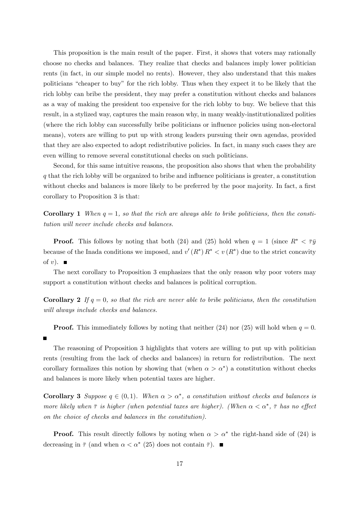This proposition is the main result of the paper. First, it shows that voters may rationally choose no checks and balances. They realize that checks and balances imply lower politician rents (in fact, in our simple model no rents). However, they also understand that this makes politicians "cheaper to buy" for the rich lobby. Thus when they expect it to be likely that the rich lobby can bribe the president, they may prefer a constitution without checks and balances as a way of making the president too expensive for the rich lobby to buy. We believe that this result, in a stylized way, captures the main reason why, in many weakly-institutionalized polities (where the rich lobby can successfully bribe politicians or influence policies using non-electoral means), voters are willing to put up with strong leaders pursuing their own agendas, provided that they are also expected to adopt redistributive policies. In fact, in many such cases they are even willing to remove several constitutional checks on such politicians.

Second, for this same intuitive reasons, the proposition also shows that when the probability q that the rich lobby will be organized to bribe and ináuence politicians is greater, a constitution without checks and balances is more likely to be preferred by the poor majority. In fact, a first corollary to Proposition 3 is that:

**Corollary 1** When  $q = 1$ , so that the rich are always able to bribe politicians, then the constitution will never include checks and balances.

**Proof.** This follows by noting that both (24) and (25) hold when  $q = 1$  (since  $R^* < \bar{\tau} \bar{y}$ because of the Inada conditions we imposed, and  $v'(R^*) R^* < v(R^*)$  due to the strict concavity of v).  $\blacksquare$ 

The next corollary to Proposition 3 emphasizes that the only reason why poor voters may support a constitution without checks and balances is political corruption.

**Corollary 2** If  $q = 0$ , so that the rich are never able to bribe politicians, then the constitution will always include checks and balances.

**Proof.** This immediately follows by noting that neither (24) nor (25) will hold when  $q = 0$ .  $\blacksquare$ 

The reasoning of Proposition 3 highlights that voters are willing to put up with politician rents (resulting from the lack of checks and balances) in return for redistribution. The next corollary formalizes this notion by showing that (when  $\alpha > \alpha^*$ ) a constitution without checks and balances is more likely when potential taxes are higher.

**Corollary 3** Suppose  $q \in (0, 1)$ . When  $\alpha > \alpha^*$ , a constitution without checks and balances is more likely when  $\bar{\tau}$  is higher (when potential taxes are higher). (When  $\alpha < \alpha^*$ ,  $\bar{\tau}$  has no effect on the choice of checks and balances in the constitution).

**Proof.** This result directly follows by noting when  $\alpha > \alpha^*$  the right-hand side of (24) is decreasing in  $\bar{\tau}$  (and when  $\alpha < \alpha^*$  (25) does not contain  $\bar{\tau}$ ).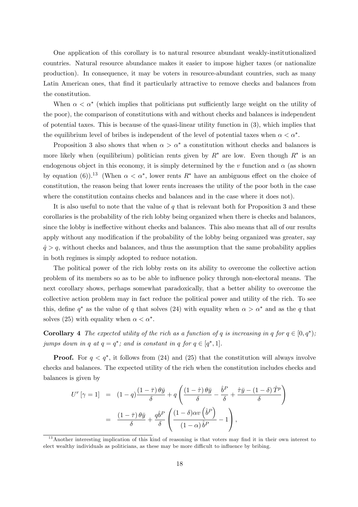One application of this corollary is to natural resource abundant weakly-institutionalized countries. Natural resource abundance makes it easier to impose higher taxes (or nationalize production). In consequence, it may be voters in resource-abundant countries, such as many Latin American ones, that find it particularly attractive to remove checks and balances from the constitution.

When  $\alpha < \alpha^*$  (which implies that politicians put sufficiently large weight on the utility of the poor), the comparison of constitutions with and without checks and balances is independent of potential taxes. This is because of the quasi-linear utility function in (3), which implies that the equilibrium level of bribes is independent of the level of potential taxes when  $\alpha < \alpha^*$ .

Proposition 3 also shows that when  $\alpha > \alpha^*$  a constitution without checks and balances is more likely when (equilibrium) politician rents given by  $R^*$  are low. Even though  $R^*$  is an endogenous object in this economy, it is simply determined by the v function and  $\alpha$  (as shown by equation (6)).<sup>13</sup> (When  $\alpha < \alpha^*$ , lower rents  $R^*$  have an ambiguous effect on the choice of constitution, the reason being that lower rents increases the utility of the poor both in the case where the constitution contains checks and balances and in the case where it does not).

It is also useful to note that the value of  $q$  that is relevant both for Proposition 3 and these corollaries is the probability of the rich lobby being organized when there is checks and balances, since the lobby is ineffective without checks and balances. This also means that all of our results apply without any modification if the probability of the lobby being organized was greater, say  $\hat{q} > q$ , without checks and balances, and thus the assumption that the same probability applies in both regimes is simply adopted to reduce notation.

The political power of the rich lobby rests on its ability to overcome the collective action problem of its members so as to be able to ináuence policy through non-electoral means. The next corollary shows, perhaps somewhat paradoxically, that a better ability to overcome the collective action problem may in fact reduce the political power and utility of the rich. To see this, define  $q^*$  as the value of q that solves (24) with equality when  $\alpha > \alpha^*$  and as the q that solves (25) with equality when  $\alpha < \alpha^*$ .

**Corollary 4** The expected utility of the rich as a function of q is increasing in q for  $q \in [0, q^*)$ ; jumps down in q at  $q = q^*$ ; and is constant in q for  $q \in [q^*, 1]$ .

**Proof.** For  $q \leq q^*$ , it follows from (24) and (25) that the constitution will always involve checks and balances. The expected utility of the rich when the constitution includes checks and balances is given by

$$
U^{r} [\gamma = 1] = (1 - q) \frac{(1 - \bar{\tau}) \theta \bar{y}}{\delta} + q \left( \frac{(1 - \hat{\tau}) \theta \bar{y}}{\delta} - \frac{\hat{b}^{P}}{\delta} + \frac{\hat{\tau} \bar{y} - (1 - \delta) \hat{T}^{p}}{\delta} \right)
$$

$$
= \frac{(1 - \bar{\tau}) \theta \bar{y}}{\delta} + \frac{q \hat{b}^{P}}{\delta} \left( \frac{(1 - \delta) \alpha v (\hat{b}^{P})}{(1 - \alpha) \hat{b}^{P}} - 1 \right),
$$

<sup>&</sup>lt;sup>13</sup>Another interesting implication of this kind of reasoning is that voters may find it in their own interest to elect wealthy individuals as politicians, as these may be more difficult to influence by bribing.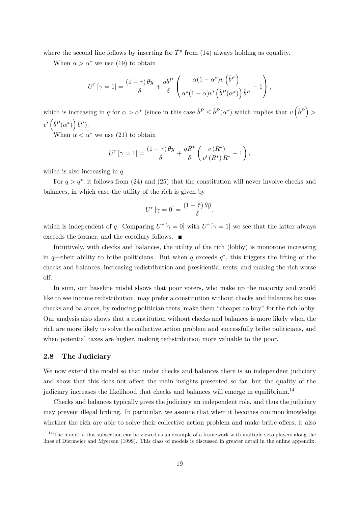where the second line follows by inserting for  $\hat{T}^p$  from (14) always holding as equality.

When  $\alpha > \alpha^*$  we use (19) to obtain

$$
U^{r}\left[\gamma=1\right]=\frac{\left(1-\bar{\tau}\right)\theta\bar{y}}{\delta}+\frac{q\hat{b}^{P}}{\delta}\left(\frac{\alpha(1-\alpha^{*})v\left(\hat{b}^{P}\right)}{\alpha^{*}(1-\alpha)v'\left(\hat{b}^{P}(\alpha^{*})\right)\hat{b}^{P}}-1\right),\,
$$

which is increasing in q for  $\alpha > \alpha^*$  (since in this case  $\hat{b}^P \leq \hat{b}^P(\alpha^*)$  which implies that  $v\left(\hat{b}^P\right) >$  $v'(\hat{b}^P(\alpha^*))\hat{b}^P$ ).

When  $\alpha < \alpha^*$  we use (21) to obtain

$$
U^{r}\left[\gamma=1\right]=\frac{\left(1-\bar{\tau}\right)\theta\bar{y}}{\delta}+\frac{qR^{*}}{\delta}\left(\frac{v\left(R^{*}\right)}{v'\left(R^{*}\right)R^{*}}-1\right),\,
$$

which is also increasing in  $q$ .

For  $q > q^*$ , it follows from (24) and (25) that the constitution will never involve checks and balances, in which case the utility of the rich is given by

$$
U^r\left[\gamma=0\right]=\frac{\left(1-\bar{\tau}\right)\theta\bar{y}}{\delta},
$$

which is independent of q. Comparing  $U^r[\gamma = 0]$  with  $U^r[\gamma = 1]$  we see that the latter always exceeds the former, and the corollary follows.  $\blacksquare$ 

Intuitively, with checks and balances, the utility of the rich (lobby) is monotone increasing in q—their ability to bribe politicians. But when q exceeds  $q^*$ , this triggers the lifting of the checks and balances, increasing redistribution and presidential rents, and making the rich worse off.

In sum, our baseline model shows that poor voters, who make up the majority and would like to see income redistribution, may prefer a constitution without checks and balances because checks and balances, by reducing politician rents, make them "cheaper to buy" for the rich lobby. Our analysis also shows that a constitution without checks and balances is more likely when the rich are more likely to solve the collective action problem and successfully bribe politicians, and when potential taxes are higher, making redistribution more valuable to the poor.

#### 2.8 The Judiciary

We now extend the model so that under checks and balances there is an independent judiciary and show that this does not affect the main insights presented so far, but the quality of the judiciary increases the likelihood that checks and balances will emerge in equilibrium.<sup>14</sup>

Checks and balances typically gives the judiciary an independent role, and thus the judiciary may prevent illegal bribing. In particular, we assume that when it becomes common knowledge whether the rich are able to solve their collective action problem and make bribe offers, it also

<sup>&</sup>lt;sup>14</sup>The model in this subsection can be viewed as an example of a framework with multiple veto players along the lines of Diermeier and Myerson (1999). This class of models is discussed in greater detail in the online appendix.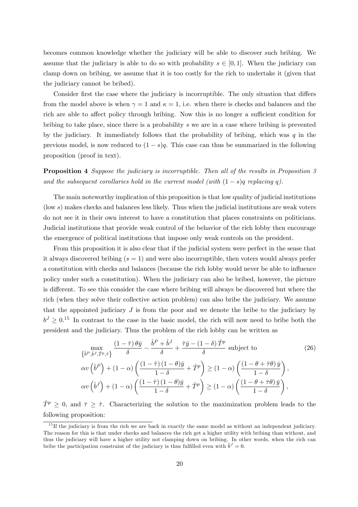becomes common knowledge whether the judiciary will be able to discover such bribing. We assume that the judiciary is able to do so with probability  $s \in [0, 1]$ . When the judiciary can clamp down on bribing, we assume that it is too costly for the rich to undertake it (given that the judiciary cannot be bribed).

Consider first the case where the judiciary is incorruptible. The only situation that differs from the model above is when  $\gamma = 1$  and  $\kappa = 1$ , i.e. when there is checks and balances and the rich are able to affect policy through bribing. Now this is no longer a sufficient condition for bribing to take place, since there is a probability s we are in a case where bribing is prevented by the judiciary. It immediately follows that the probability of bribing, which was  $q$  in the previous model, is now reduced to  $(1 - s)q$ . This case can thus be summarized in the following proposition (proof in text).

Proposition 4 Suppose the judiciary is incorruptible. Then all of the results in Proposition 3 and the subsequent corollaries hold in the current model (with  $(1-s)q$  replacing q).

The main noteworthy implication of this proposition is that low quality of judicial institutions (low s) makes checks and balances less likely. Thus when the judicial institutions are weak voters do not see it in their own interest to have a constitution that places constraints on politicians. Judicial institutions that provide weak control of the behavior of the rich lobby then encourage the emergence of political institutions that impose only weak controls on the president.

From this proposition it is also clear that if the judicial system were perfect in the sense that it always discovered bribing  $(s = 1)$  and were also incorruptible, then voters would always prefer a constitution with checks and balances (because the rich lobby would never be able to influence policy under such a constitution). When the judiciary can also be bribed, however, the picture is different. To see this consider the case where bribing will always be discovered but where the rich (when they solve their collective action problem) can also bribe the judiciary. We assume that the appointed judiciary  $J$  is from the poor and we denote the bribe to the judiciary by  $b^{J} \geq 0$ <sup>15</sup> In contrast to the case in the basic model, the rich will now need to bribe both the president and the judiciary. Thus the problem of the rich lobby can be written as

$$
\max_{\{\hat{b}^P, \hat{b}^J, \hat{T}^p, \hat{\tau}\}} \frac{(1-\hat{\tau}) \theta \bar{y}}{\delta} - \frac{\hat{b}^P + \hat{b}^J}{\delta} + \frac{\hat{\tau} \bar{y} - (1-\delta) \hat{T}^p}{\delta} \text{ subject to}
$$
\n
$$
\alpha v \left(\hat{b}^P\right) + (1-\alpha) \left(\frac{(1-\hat{\tau})(1-\theta) \bar{y}}{1-\delta} + \hat{T}^p\right) \ge (1-\alpha) \left(\frac{(1-\theta+\bar{\tau}\theta) \bar{y}}{1-\delta}\right),
$$
\n
$$
\alpha v \left(\hat{b}^J\right) + (1-\alpha) \left(\frac{(1-\hat{\tau})(1-\theta) \bar{y}}{1-\delta} + \hat{T}^p\right) \ge (1-\alpha) \left(\frac{(1-\theta+\bar{\tau}\theta) \bar{y}}{1-\delta}\right),
$$
\n(26)

 $\hat{T}^p \geq 0$ , and  $\bar{\tau} \geq \hat{\tau}$ . Characterizing the solution to the maximization problem leads to the following proposition:

 $15$  If the judiciary is from the rich we are back in exactly the same model as without an independent judiciary. The reason for this is that under checks and balances the rich get a higher utility with bribing than without, and thus the judiciary will have a higher utility not clamping down on bribing. In other words, when the rich can bribe the participation constraint of the judiciary is thus fulfilled even with  $\hat{b}^J = 0$ .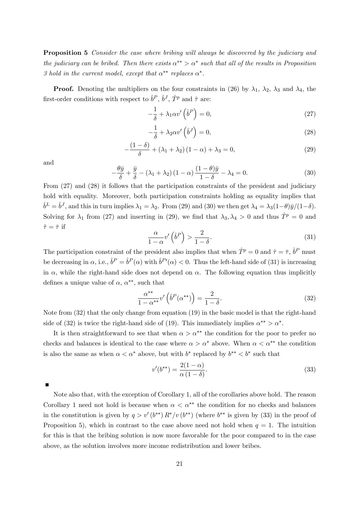Proposition 5 Consider the case where bribing will always be discovered by the judiciary and the judiciary can be bribed. Then there exists  $\alpha^{**} > \alpha^*$  such that all of the results in Proposition 3 hold in the current model, except that  $\alpha^{**}$  replaces  $\alpha^*$ .

**Proof.** Denoting the multipliers on the four constraints in (26) by  $\lambda_1$ ,  $\lambda_2$ ,  $\lambda_3$  and  $\lambda_4$ , the first-order conditions with respect to  $\hat{b}^P$ ,  $\hat{b}^J$ ,  $\hat{T}^p$  and  $\hat{\tau}$  are:

$$
-\frac{1}{\delta} + \lambda_1 \alpha v' \left(\hat{b}^P\right) = 0,\tag{27}
$$

$$
-\frac{1}{\delta} + \lambda_2 \alpha v' \left(\hat{b}^J\right) = 0,\tag{28}
$$

$$
-\frac{(1-\delta)}{\delta} + (\lambda_1 + \lambda_2)(1-\alpha) + \lambda_3 = 0,\tag{29}
$$

and

$$
-\frac{\theta \bar{y}}{\delta} + \frac{\bar{y}}{\delta} - (\lambda_1 + \lambda_2)(1 - \alpha) \frac{(1 - \theta)\bar{y}}{1 - \delta} - \lambda_4 = 0.
$$
 (30)

From (27) and (28) it follows that the participation constraints of the president and judiciary hold with equality. Moreover, both participation constraints holding as equality implies that  $\hat{b}^L = \hat{b}^J$ , and this in turn implies  $\lambda_1 = \lambda_2$ . From (29) and (30) we then get  $\lambda_4 = \lambda_3(1-\theta)\bar{y}/(1-\delta)$ . Solving for  $\lambda_1$  from (27) and inserting in (29), we find that  $\lambda_3, \lambda_4 > 0$  and thus  $\hat{T}^p = 0$  and  $\hat{\tau} = \bar{\tau}$  if

$$
\frac{\alpha}{1-\alpha}v'\left(\hat{b}^P\right) > \frac{2}{1-\delta}.\tag{31}
$$

The participation constraint of the president also implies that when  $\hat{T}^p = 0$  and  $\hat{\tau} = \bar{\tau}$ ,  $\hat{b}^P$  must be decreasing in  $\alpha$ , i.e.,  $\hat{b}^P = \hat{b}^P(\alpha)$  with  $\hat{b}^{P'}(\alpha) < 0$ . Thus the left-hand side of (31) is increasing in  $\alpha$ , while the right-hand side does not depend on  $\alpha$ . The following equation thus implicitly defines a unique value of  $\alpha$ ,  $\alpha^{**}$ , such that

$$
\frac{\alpha^{**}}{1-\alpha^{**}}v'\left(\hat{b}^P(\alpha^{**})\right) = \frac{2}{1-\delta}.\tag{32}
$$

Note from (32) that the only change from equation (19) in the basic model is that the right-hand side of (32) is twice the right-hand side of (19). This immediately implies  $\alpha^{**} > \alpha^*$ .

It is then straightforward to see that when  $\alpha > \alpha^{**}$  the condition for the poor to prefer no checks and balances is identical to the case where  $\alpha > \alpha^*$  above. When  $\alpha < \alpha^{**}$  the condition is also the same as when  $\alpha < \alpha^*$  above, but with  $b^*$  replaced by  $b^{**} < b^*$  such that

$$
v'(b^{**}) = \frac{2(1-\alpha)}{\alpha(1-\delta)}.\tag{33}
$$

П

Note also that, with the exception of Corollary 1, all of the corollaries above hold. The reason Corollary 1 need not hold is because when  $\alpha < \alpha^{**}$  the condition for no checks and balances in the constitution is given by  $q > v'(b^{**}) R^*/v(b^{**})$  (where  $b^{**}$  is given by (33) in the proof of Proposition 5), which in contrast to the case above need not hold when  $q = 1$ . The intuition for this is that the bribing solution is now more favorable for the poor compared to in the case above, as the solution involves more income redistribution and lower bribes.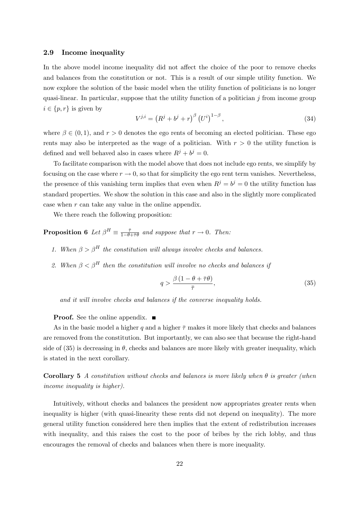#### 2.9 Income inequality

In the above model income inequality did not affect the choice of the poor to remove checks and balances from the constitution or not. This is a result of our simple utility function. We now explore the solution of the basic model when the utility function of politicians is no longer quasi-linear. In particular, suppose that the utility function of a politician  $j$  from income group  $i \in \{p, r\}$  is given by

$$
V^{j,i} = (R^j + b^j + r)^{\beta} (U^i)^{1-\beta}, \tag{34}
$$

where  $\beta \in (0,1)$ , and  $r > 0$  denotes the ego rents of becoming an elected politician. These ego rents may also be interpreted as the wage of a politician. With  $r > 0$  the utility function is defined and well behaved also in cases where  $R^j + b^j = 0$ .

To facilitate comparison with the model above that does not include ego rents, we simplify by focusing on the case where  $r \to 0$ , so that for simplicity the ego rent term vanishes. Nevertheless, the presence of this vanishing term implies that even when  $R^j = b^j = 0$  the utility function has standard properties. We show the solution in this case and also in the slightly more complicated case when r can take any value in the online appendix.

We there reach the following proposition:

**Proposition 6** Let  $\beta^H \equiv \frac{\bar{\tau}}{1-\theta+\bar{\tau}\theta}$  and suppose that  $r \to 0$ . Then:

- 1. When  $\beta > \beta^H$  the constitution will always involve checks and balances.
- 2. When  $\beta < \beta^H$  then the constitution will involve no checks and balances if

$$
q > \frac{\beta \left(1 - \theta + \bar{\tau}\theta\right)}{\bar{\tau}},\tag{35}
$$

and it will involve checks and balances if the converse inequality holds.

**Proof.** See the online appendix. ■

As in the basic model a higher q and a higher  $\bar{\tau}$  makes it more likely that checks and balances are removed from the constitution. But importantly, we can also see that because the right-hand side of  $(35)$  is decreasing in  $\theta$ , checks and balances are more likely with greater inequality, which is stated in the next corollary.

**Corollary 5** A constitution without checks and balances is more likely when  $\theta$  is greater (when income inequality is higher).

Intuitively, without checks and balances the president now appropriates greater rents when inequality is higher (with quasi-linearity these rents did not depend on inequality). The more general utility function considered here then implies that the extent of redistribution increases with inequality, and this raises the cost to the poor of bribes by the rich lobby, and thus encourages the removal of checks and balances when there is more inequality.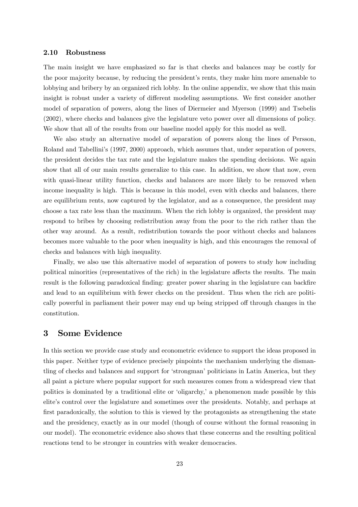#### 2.10 Robustness

The main insight we have emphasized so far is that checks and balances may be costly for the poor majority because, by reducing the president's rents, they make him more amenable to lobbying and bribery by an organized rich lobby. In the online appendix, we show that this main insight is robust under a variety of different modeling assumptions. We first consider another model of separation of powers, along the lines of Diermeier and Myerson (1999) and Tsebelis (2002), where checks and balances give the legislature veto power over all dimensions of policy. We show that all of the results from our baseline model apply for this model as well.

We also study an alternative model of separation of powers along the lines of Persson, Roland and Tabelliniís (1997, 2000) approach, which assumes that, under separation of powers, the president decides the tax rate and the legislature makes the spending decisions. We again show that all of our main results generalize to this case. In addition, we show that now, even with quasi-linear utility function, checks and balances are more likely to be removed when income inequality is high. This is because in this model, even with checks and balances, there are equilibrium rents, now captured by the legislator, and as a consequence, the president may choose a tax rate less than the maximum. When the rich lobby is organized, the president may respond to bribes by choosing redistribution away from the poor to the rich rather than the other way around. As a result, redistribution towards the poor without checks and balances becomes more valuable to the poor when inequality is high, and this encourages the removal of checks and balances with high inequality.

Finally, we also use this alternative model of separation of powers to study how including political minorities (representatives of the rich) in the legislature affects the results. The main result is the following paradoxical finding: greater power sharing in the legislature can backfire and lead to an equilibrium with fewer checks on the president. Thus when the rich are politically powerful in parliament their power may end up being stripped off through changes in the constitution.

## 3 Some Evidence

In this section we provide case study and econometric evidence to support the ideas proposed in this paper. Neither type of evidence precisely pinpoints the mechanism underlying the dismantling of checks and balances and support for 'strongman' politicians in Latin America, but they all paint a picture where popular support for such measures comes from a widespread view that politics is dominated by a traditional elite or 'oligarchy,' a phenomenon made possible by this elite's control over the legislature and sometimes over the presidents. Notably, and perhaps at first paradoxically, the solution to this is viewed by the protagonists as strengthening the state and the presidency, exactly as in our model (though of course without the formal reasoning in our model). The econometric evidence also shows that these concerns and the resulting political reactions tend to be stronger in countries with weaker democracies.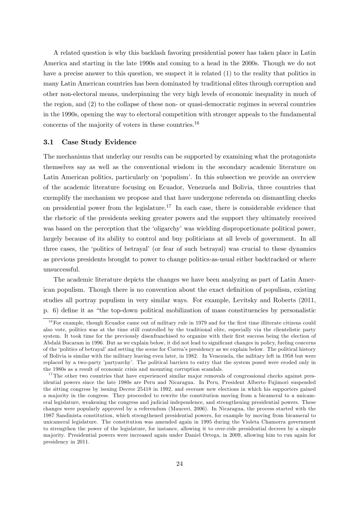A related question is why this backlash favoring presidential power has taken place in Latin America and starting in the late 1990s and coming to a head in the 2000s. Though we do not have a precise answer to this question, we suspect it is related (1) to the reality that politics in many Latin American countries has been dominated by traditional elites through corruption and other non-electoral means, underpinning the very high levels of economic inequality in much of the region, and (2) to the collapse of these non- or quasi-democratic regimes in several countries in the 1990s, opening the way to electoral competition with stronger appeals to the fundamental concerns of the majority of voters in these countries.<sup>16</sup>

### 3.1 Case Study Evidence

The mechanisms that underlay our results can be supported by examining what the protagonists themselves say as well as the conventional wisdom in the secondary academic literature on Latin American politics, particularly on 'populism'. In this subsection we provide an overview of the academic literature focusing on Ecuador, Venezuela and Bolivia, three countries that exemplify the mechanism we propose and that have undergone referenda on dismantling checks on presidential power from the legislature.<sup>17</sup> In each case, there is considerable evidence that the rhetoric of the presidents seeking greater powers and the support they ultimately received was based on the perception that the 'oligarchy' was wielding disproportionate political power, largely because of its ability to control and buy politicians at all levels of government. In all three cases, the 'politics of betrayal' (or fear of such betrayal) was crucial to these dynamics as previous presidents brought to power to change politics-as-usual either backtracked or where unsuccessful.

The academic literature depicts the changes we have been analyzing as part of Latin American populism. Though there is no convention about the exact definition of populism, existing studies all portray populism in very similar ways. For example, Levitsky and Roberts (2011, p. 6) define it as "the top-down political mobilization of mass constituencies by personalistic

 $16$ For example, though Ecuador came out of military rule in 1979 and for the first time illiterate citizens could also vote, politics was at the time still controlled by the traditional elite, especially via the clientelistic party system. It took time for the previously disenfranchised to organize with their first success being the election of Abdalá Bucaram in 1996. But as we explain below, it did not lead to significant changes in policy, fueling concerns of the ëpolitics of betrayalíand setting the scene for Correaís presidency as we explain below. The political history of Bolivia is similar with the military leaving even later, in 1982. In Venezuela, the military left in 1958 but were replaced by a two-party ípartyarchyí. The political barriers to entry that the system posed were eroded only in the 1980s as a result of economic crisis and mounting corruption scandals.

<sup>&</sup>lt;sup>17</sup>The other two countries that have experienced similar major removals of congressional checks against presidential powers since the late 1980s are Peru and Nicaragua. In Peru, President Alberto Fujimori suspended the sitting congress by issuing Decree 25418 in 1992, and oversaw new elections in which his supporters gained a majority in the congress. They proceeded to rewrite the constitution moving from a bicameral to a unicameral legislature, weakening the congress and judicial independence, and strengthening presidential powers. These changes were popularly approved by a referendum (Mauceri, 2006). In Nicaragua, the process started with the 1987 Sandinista constitution, which strengthened presidential powers, for example by moving from bicameral to unicameral legislature. The constitution was amended again in 1995 during the Violeta Chamorra government to strengthen the power of the legislature, for instance, allowing it to over-ride presidential decrees by a simple majority. Presidential powers were increased again under Daniel Ortega, in 2009, allowing him to run again for presidency in 2011.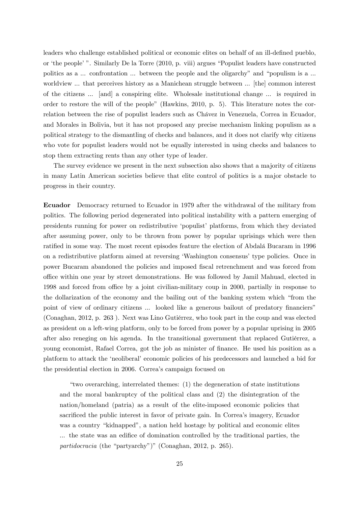leaders who challenge established political or economic elites on behalf of an ill-defined pueblo, or 'the people'". Similarly De la Torre (2010, p. viii) argues "Populist leaders have constructed politics as a  $\ldots$  confrontation  $\ldots$  between the people and the oligarchy" and "populism is a  $\ldots$ worldview ... that perceives history as a Manichean struggle between ... [the] common interest of the citizens ... [and] a conspiring elite. Wholesale institutional change ... is required in order to restore the will of the people" (Hawkins, 2010, p. 5). This literature notes the correlation between the rise of populist leaders such as Chavez in Venezuela, Correa in Ecuador, and Morales in Bolivia, but it has not proposed any precise mechanism linking populism as a political strategy to the dismantling of checks and balances, and it does not clarify why citizens who vote for populist leaders would not be equally interested in using checks and balances to stop them extracting rents than any other type of leader.

The survey evidence we present in the next subsection also shows that a majority of citizens in many Latin American societies believe that elite control of politics is a major obstacle to progress in their country.

Ecuador Democracy returned to Ecuador in 1979 after the withdrawal of the military from politics. The following period degenerated into political instability with a pattern emerging of presidents running for power on redistributive 'populist' platforms, from which they deviated after assuming power, only to be thrown from power by popular uprisings which were then ratified in some way. The most recent episodes feature the election of Abdalá Bucaram in 1996 on a redistributive platform aimed at reversing 'Washington consensus' type policies. Once in power Bucaram abandoned the policies and imposed Öscal retrenchment and was forced from o¢ ce within one year by street demonstrations. He was followed by Jamil Mahuad, elected in 1998 and forced from office by a joint civilian-military coup in 2000, partially in response to the dollarization of the economy and the bailing out of the banking system which "from the point of view of ordinary citizens ... looked like a generous bailout of predatory financiers" (Conaghan, 2012, p. 263). Next was Lino Gutièrrez, who took part in the coup and was elected as president on a left-wing platform, only to be forced from power by a popular uprising in 2005 after also reneging on his agenda. In the transitional government that replaced Gutièrrez, a young economist, Rafael Correa, got the job as minister of finance. He used his position as a platform to attack the 'neoliberal' economic policies of his predecessors and launched a bid for the presidential election in 2006. Correa's campaign focused on

ìtwo overarching, interrelated themes: (1) the degeneration of state institutions and the moral bankruptcy of the political class and (2) the disintegration of the nation/homeland (patria) as a result of the elite-imposed economic policies that sacrificed the public interest in favor of private gain. In Correa's imagery, Ecuador was a country "kidnapped", a nation held hostage by political and economic elites ... the state was an edifice of domination controlled by the traditional parties, the partidocracia (the "partyarchy")" (Conaghan, 2012, p. 265).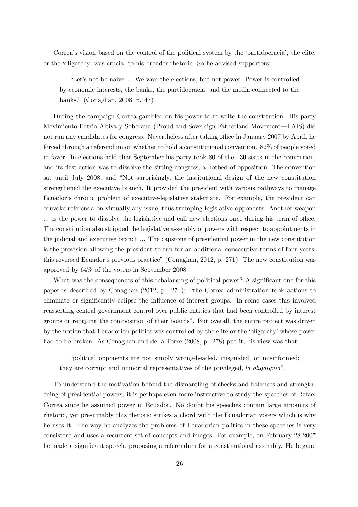Correa's vision based on the control of the political system by the 'partidocracia', the elite, or the 'oligarchy' was crucial to his broader rhetoric. So he advised supporters:

ìLetís not be naive ... We won the elections, but not power. Power is controlled by economic interests, the banks, the partidocracia, and the media connected to the banks." (Conaghan, 2008, p. 47)

During the campaign Correa gambled on his power to re-write the constitution. His party Movimiento Patria Altiva y Soberana (Proud and Sovereign Fatherland Movement—PAIS) did not run any candidates for congress. Nevertheless after taking office in January 2007 by April, he forced through a referendum on whether to hold a constitutional convention. 82% of people voted in favor. In elections held that September his party took 80 of the 130 seats in the convention, and its first action was to dissolve the sitting congress, a hotbed of opposition. The convention sat until July 2008, and "Not surprisingly, the institutional design of the new constitution strengthened the executive branch. It provided the president with various pathways to manage Ecuador's chronic problem of executive-legislative stalemate. For example, the president can convoke referenda on virtually any issue, thus trumping legislative opponents. Another weapon ... is the power to dissolve the legislative and call new elections once during his term of office. The constitution also stripped the legislative assembly of powers with respect to appointments in the judicial and executive branch ... The capstone of presidential power in the new constitution is the provision allowing the president to run for an additional consecutive terms of four years: this reversed Ecuador's previous practice" (Conaghan, 2012, p. 271). The new constitution was approved by 64% of the voters in September 2008.

What was the consequences of this rebalancing of political power? A significant one for this paper is described by Conaghan  $(2012, p. 274)$ : "the Correa administration took actions to eliminate or significantly eclipse the influence of interest groups. In some cases this involved reasserting central government control over public entities that had been controlled by interest groups or rejigging the composition of their boardsî. But overall, the entire project was driven by the notion that Ecuadorian politics was controlled by the elite or the 'oligarchy' whose power had to be broken. As Conaghan and de la Torre (2008, p. 278) put it, his view was that

ìpolitical opponents are not simply wrong-headed, misguided, or misinformed; they are corrupt and immortal representatives of the privileged, la oligarquia<sup>n</sup>.

To understand the motivation behind the dismantling of checks and balances and strengthening of presidential powers, it is perhaps even more instructive to study the speeches of Rafael Correa since he assumed power in Ecuador. No doubt his speeches contain large amounts of rhetoric, yet presumably this rhetoric strikes a chord with the Ecuadorian voters which is why he uses it. The way he analyzes the problems of Ecuadorian politics in these speeches is very consistent and uses a recurrent set of concepts and images. For example, on February 28 2007 he made a significant speech, proposing a referendum for a constitutional assembly. He began: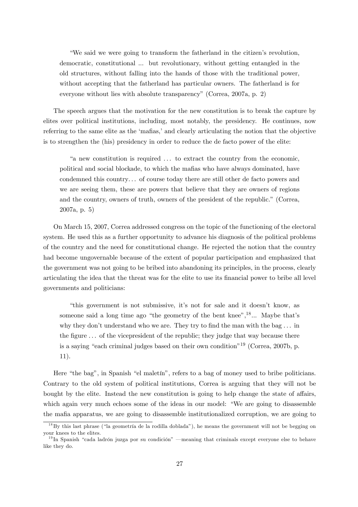ìWe said we were going to transform the fatherland in the citizenís revolution, democratic, constitutional ... but revolutionary, without getting entangled in the old structures, without falling into the hands of those with the traditional power, without accepting that the fatherland has particular owners. The fatherland is for everyone without lies with absolute transparency" (Correa, 2007a, p. 2)

The speech argues that the motivation for the new constitution is to break the capture by elites over political institutions, including, most notably, the presidency. He continues, now referring to the same elite as the 'mafias,' and clearly articulating the notion that the objective is to strengthen the (his) presidency in order to reduce the de facto power of the elite:

ìa new constitution is required . . . to extract the country from the economic, political and social blockade, to which the mafias who have always dominated, have condemned this country. . . of course today there are still other de facto powers and we are seeing them, these are powers that believe that they are owners of regions and the country, owners of truth, owners of the president of the republic." (Correa, 2007a, p. 5)

On March 15, 2007, Correa addressed congress on the topic of the functioning of the electoral system. He used this as a further opportunity to advance his diagnosis of the political problems of the country and the need for constitutional change. He rejected the notion that the country had become ungovernable because of the extent of popular participation and emphasized that the government was not going to be bribed into abandoning its principles, in the process, clearly articulating the idea that the threat was for the elite to use its Önancial power to bribe all level governments and politicians:

ìthis government is not submissive, itís not for sale and it doesnít know, as someone said a long time ago "the geometry of the bent knee",  $^{18}$ ... Maybe that's why they don't understand who we are. They try to find the man with the bag  $\dots$  in the figure  $\ldots$  of the vicepresident of the republic; they judge that way because there is a saying "each criminal judges based on their own condition"<sup>19</sup> (Correa, 2007b, p. 11).

Here "the bag", in Spanish "el maletín", refers to a bag of money used to bribe politicians. Contrary to the old system of political institutions, Correa is arguing that they will not be bought by the elite. Instead the new constitution is going to help change the state of affairs, which again very much echoes some of the ideas in our model: "We are going to disassemble the mafia apparatus, we are going to disassemble institutionalized corruption, we are going to

 $^{18}$ By this last phrase ("la geometría de la rodilla doblada"), he means the government will not be begging on your knees to the elites.

 $19$  In Spanish "cada ladrón juzga por su condición" —meaning that criminals except everyone else to behave like they do.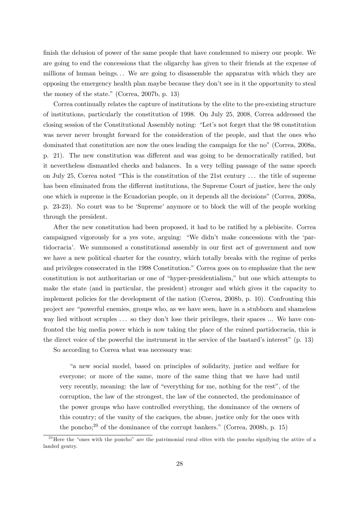finish the delusion of power of the same people that have condemned to misery our people. We are going to end the concessions that the oligarchy has given to their friends at the expense of millions of human beings. . . We are going to disassemble the apparatus with which they are opposing the emergency health plan maybe because they donít see in it the opportunity to steal the money of the state." (Correa,  $2007b$ , p. 13)

Correa continually relates the capture of institutions by the elite to the pre-existing structure of institutions, particularly the constitution of 1998. On July 25, 2008, Correa addressed the closing session of the Constitutional Assembly noting: "Let's not forget that the 98 constitution was never never brought forward for the consideration of the people, and that the ones who dominated that constitution are now the ones leading the campaign for the no" (Correa, 2008a, p. 21). The new constitution was different and was going to be democratically ratified, but it nevertheless dismantled checks and balances. In a very telling passage of the same speech on July 25, Correa noted "This is the constitution of the 21st century  $\dots$  the title of supreme has been eliminated from the different institutions, the Supreme Court of justice, here the only one which is supreme is the Ecuadorian people, on it depends all the decisions" (Correa, 2008a, p. 23-23). No court was to be 'Supreme' anymore or to block the will of the people working through the president.

After the new constitution had been proposed, it had to be ratified by a plebiscite. Correa campaigned vigorously for a yes vote, arguing: "We didn't make concessions with the 'partidocracia<sup>'</sup>. We summoned a constitutional assembly in our first act of government and now we have a new political charter for the country, which totally breaks with the regime of perks and privileges consecrated in the 1998 Constitution." Correa goes on to emphasize that the new constitution is not authoritarian or one of "hyper-presidentialism," but one which attempts to make the state (and in particular, the president) stronger and which gives it the capacity to implement policies for the development of the nation (Correa, 2008b, p. 10). Confronting this project are "powerful enemies, groups who, as we have seen, have in a stubborn and shameless way lied without scruples ... so they don't lose their privileges, their spaces ... We have confronted the big media power which is now taking the place of the ruined partidocracia, this is the direct voice of the powerful the instrument in the service of the bastard's interest"  $(p. 13)$ 

So according to Correa what was necessary was:

ìa new social model, based on principles of solidarity, justice and welfare for everyone; or more of the same, more of the same thing that we have had until very recently, meaning: the law of "everything for me, nothing for the rest", of the corruption, the law of the strongest, the law of the connected, the predominance of the power groups who have controlled everything, the dominance of the owners of this country; of the vanity of the caciques, the abuse, justice only for the ones with the poncho;<sup>20</sup> of the dominance of the corrupt bankers." (Correa, 2008b, p. 15)

<sup>&</sup>lt;sup>20</sup>Here the "ones with the poncho" are the patrimonial rural elites with the poncho signifying the attire of a landed gentry.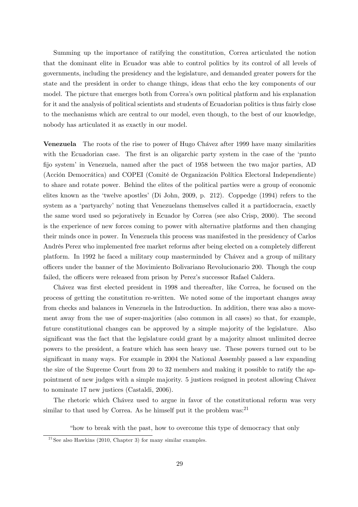Summing up the importance of ratifying the constitution, Correa articulated the notion that the dominant elite in Ecuador was able to control politics by its control of all levels of governments, including the presidency and the legislature, and demanded greater powers for the state and the president in order to change things, ideas that echo the key components of our model. The picture that emerges both from Correaís own political platform and his explanation for it and the analysis of political scientists and students of Ecuadorian politics is thus fairly close to the mechanisms which are central to our model, even though, to the best of our knowledge, nobody has articulated it as exactly in our model.

**Venezuela** The roots of the rise to power of Hugo Chavez after 1999 have many similarities with the Ecuadorian case. The first is an oligarchic party system in the case of the 'punto Öjo systemí in Venezuela, named after the pact of 1958 between the two major parties, AD (Acción Democrática) and COPEI (Comité de Organización Política Electoral Independiente) to share and rotate power. Behind the elites of the political parties were a group of economic elites known as the 'twelve apostles' (Di John, 2009, p. 212). Coppedge (1994) refers to the system as a 'partyarchy' noting that Venezuelans themselves called it a partidocracia, exactly the same word used so pejoratively in Ecuador by Correa (see also Crisp, 2000). The second is the experience of new forces coming to power with alternative platforms and then changing their minds once in power. In Venezuela this process was manifested in the presidency of Carlos Andrés Perez who implemented free market reforms after being elected on a completely different platform. In 1992 he faced a military coup masterminded by Chavez and a group of military o¢ cers under the banner of the Movimiento Bolivariano Revolucionario 200. Though the coup failed, the officers were released from prison by Perez's successor Rafael Caldera.

Chavez was first elected president in 1998 and thereafter, like Correa, he focused on the process of getting the constitution re-written. We noted some of the important changes away from checks and balances in Venezuela in the Introduction. In addition, there was also a movement away from the use of super-majorities (also common in all cases) so that, for example, future constitutional changes can be approved by a simple majority of the legislature. Also significant was the fact that the legislature could grant by a majority almost unlimited decree powers to the president, a feature which has seen heavy use. These powers turned out to be significant in many ways. For example in 2004 the National Assembly passed a law expanding the size of the Supreme Court from 20 to 32 members and making it possible to ratify the appointment of new judges with a simple majority. 5 justices resigned in protest allowing Chávez to nominate 17 new justices (Castaldi, 2006).

The rhetoric which Chávez used to argue in favor of the constitutional reform was very similar to that used by Correa. As he himself put it the problem was: $21$ 

ìhow to break with the past, how to overcome this type of democracy that only

<sup>&</sup>lt;sup>21</sup>See also Hawkins (2010, Chapter 3) for many similar examples.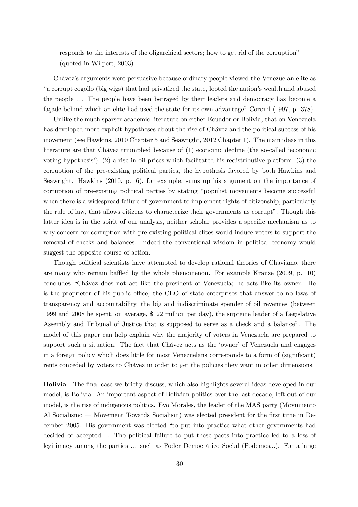responds to the interests of the oligarchical sectors; how to get rid of the corruption<sup>n</sup> (quoted in Wilpert, 2003)

Chavez's arguments were persuasive because ordinary people viewed the Venezuelan elite as ìa corrupt cogollo (big wigs) that had privatized the state, looted the nationís wealth and abused the people ... The people have been betrayed by their leaders and democracy has become a façade behind which an elite had used the state for its own advantage" Coronil (1997, p. 378).

Unlike the much sparser academic literature on either Ecuador or Bolivia, that on Venezuela has developed more explicit hypotheses about the rise of Chavez and the political success of his movement (see Hawkins, 2010 Chapter 5 and Seawright, 2012 Chapter 1). The main ideas in this literature are that Chavez triumphed because of  $(1)$  economic decline (the so-called 'economic voting hypothesis'); (2) a rise in oil prices which facilitated his redistributive platform; (3) the corruption of the pre-existing political parties, the hypothesis favored by both Hawkins and Seawright. Hawkins (2010, p. 6), for example, sums up his argument on the importance of corruption of pre-existing political parties by stating "populist movements become successful when there is a widespread failure of government to implement rights of citizenship, particularly the rule of law, that allows citizens to characterize their governments as corruptî. Though this latter idea is in the spirit of our analysis, neither scholar provides a specific mechanism as to why concern for corruption with pre-existing political elites would induce voters to support the removal of checks and balances. Indeed the conventional wisdom in political economy would suggest the opposite course of action.

Though political scientists have attempted to develop rational theories of Chavismo, there are many who remain baffled by the whole phenomenon. For example Krauze  $(2009, p. 10)$ concludes "Chávez does not act like the president of Venezuela; he acts like its owner. He is the proprietor of his public office, the CEO of state enterprises that answer to no laws of transparency and accountability, the big and indiscriminate spender of oil revenues (between 1999 and 2008 he spent, on average, \$122 million per day), the supreme leader of a Legislative Assembly and Tribunal of Justice that is supposed to serve as a check and a balance". The model of this paper can help explain why the majority of voters in Venezuela are prepared to support such a situation. The fact that Chavez acts as the 'owner' of Venezuela and engages in a foreign policy which does little for most Venezuelans corresponds to a form of (significant) rents conceded by voters to Chavez in order to get the policies they want in other dimensions.

**Bolivia** The final case we briefly discuss, which also highlights several ideas developed in our model, is Bolivia. An important aspect of Bolivian politics over the last decade, left out of our model, is the rise of indigenous politics. Evo Morales, the leader of the MAS party (Movimiento Al Socialismo – Movement Towards Socialism) was elected president for the first time in December 2005. His government was elected "to put into practice what other governments had decided or accepted ... The political failure to put these pacts into practice led to a loss of legitimacy among the parties ... such as Poder Democrático Social (Podemos...). For a large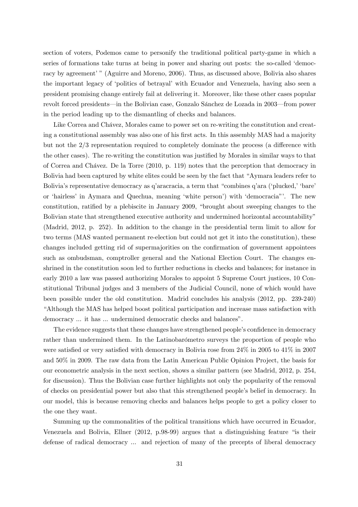section of voters, Podemos came to personify the traditional political party-game in which a series of formations take turns at being in power and sharing out posts: the so-called 'democracy by agreement<sup>\*</sup>" (Aguirre and Moreno, 2006). Thus, as discussed above, Bolivia also shares the important legacy of 'politics of betrayal' with Ecuador and Venezuela, having also seen a president promising change entirely fail at delivering it. Moreover, like these other cases popular revolt forced presidents—in the Bolivian case, Gonzalo Sánchez de Lozada in 2003—from power in the period leading up to the dismantling of checks and balances.

Like Correa and Chávez, Morales came to power set on re-writing the constitution and creating a constitutional assembly was also one of his first acts. In this assembly MAS had a majority but not the  $2/3$  representation required to completely dominate the process (a difference with the other cases). The re-writing the constitution was justified by Morales in similar ways to that of Correa and Chavez. De la Torre  $(2010, p. 119)$  notes that the perception that democracy in Bolivia had been captured by white elites could be seen by the fact that "Aymara leaders refer to Bolivia's representative democracy as q'aracracia, a term that "combines q'ara ('plucked,' 'bare' or 'hairless' in Aymara and Quechua, meaning 'white person') with 'democracia"'. The new constitution, ratified by a plebiscite in January 2009, "brought about sweeping changes to the Bolivian state that strengthened executive authority and undermined horizontal accountability" (Madrid, 2012, p. 252). In addition to the change in the presidential term limit to allow for two terms (MAS wanted permanent re-election but could not get it into the constitution), these changes included getting rid of supermajorities on the confirmation of government appointees such as ombudsman, comptroller general and the National Election Court. The changes enshrined in the constitution soon led to further reductions in checks and balances; for instance in early 2010 a law was passed authorizing Morales to appoint 5 Supreme Court justices, 10 Constitutional Tribunal judges and 3 members of the Judicial Council, none of which would have been possible under the old constitution. Madrid concludes his analysis (2012, pp. 239-240) ìAlthough the MAS has helped boost political participation and increase mass satisfaction with democracy ... it has ... undermined democratic checks and balances".

The evidence suggests that these changes have strengthened people's confidence in democracy rather than undermined them. In the Latinobarómetro surveys the proportion of people who were satisfied or very satisfied with democracy in Bolivia rose from  $24\%$  in  $2005$  to  $41\%$  in 2007 and 50% in 2009. The raw data from the Latin American Public Opinion Project, the basis for our econometric analysis in the next section, shows a similar pattern (see Madrid, 2012, p. 254, for discussion). Thus the Bolivian case further highlights not only the popularity of the removal of checks on presidential power but also that this strengthened peopleís belief in democracy. In our model, this is because removing checks and balances helps people to get a policy closer to the one they want.

Summing up the commonalities of the political transitions which have occurred in Ecuador, Venezuela and Bolivia, Ellner  $(2012, p.98-99)$  argues that a distinguishing feature "is their defense of radical democracy ... and rejection of many of the precepts of liberal democracy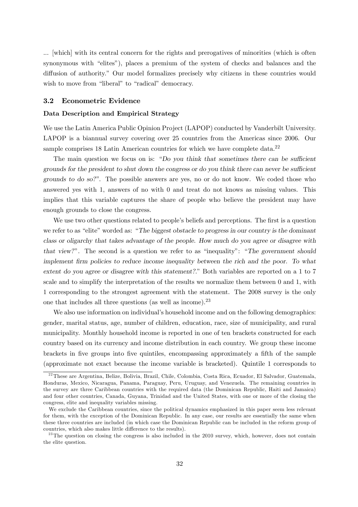... [which] with its central concern for the rights and prerogatives of minorities (which is often synonymous with "elites"), places a premium of the system of checks and balances and the diffusion of authority." Our model formalizes precisely why citizens in these countries would wish to move from "liberal" to "radical" democracy.

#### 3.2 Econometric Evidence

#### Data Description and Empirical Strategy

We use the Latin America Public Opinion Project (LAPOP) conducted by Vanderbilt University. LAPOP is a biannual survey covering over 25 countries from the Americas since 2006. Our sample comprises 18 Latin American countries for which we have complete data.<sup>22</sup>

The main question we focus on is: "Do you think that sometimes there can be sufficient grounds for the president to shut down the congress or do you think there can never be sufficient grounds to do so?î. The possible answers are yes, no or do not know. We coded those who answered yes with 1, answers of no with 0 and treat do not knows as missing values. This implies that this variable captures the share of people who believe the president may have enough grounds to close the congress.

We use two other questions related to people's beliefs and perceptions. The first is a question we refer to as "elite" worded as: "The biggest obstacle to progress in our country is the dominant class or oligarchy that takes advantage of the people. How much do you agree or disagree with that view?". The second is a question we refer to as "inequality": "The government should implement Örm policies to reduce income inequality between the rich and the poor. To what extent do you agree or disagree with this statement?." Both variables are reported on a 1 to 7 scale and to simplify the interpretation of the results we normalize them between 0 and 1, with 1 corresponding to the strongest agreement with the statement. The 2008 survey is the only one that includes all three questions (as well as income).<sup>23</sup>

We also use information on individual's household income and on the following demographics: gender, marital status, age, number of children, education, race, size of municipality, and rural municipality. Monthly household income is reported in one of ten brackets constructed for each country based on its currency and income distribution in each country. We group these income brackets in five groups into five quintiles, encompassing approximately a fifth of the sample (approximate not exact because the income variable is bracketed). Quintile 1 corresponds to

<sup>22</sup>These are Argentina, Belize, Bolivia, Brazil, Chile, Colombia, Costa Rica, Ecuador, El Salvador, Guatemala, Honduras, Mexico, Nicaragua, Panama, Paraguay, Peru, Uruguay, and Venezuela. The remaining countries in the survey are three Caribbean countries with the required data (the Dominican Republic, Haiti and Jamaica) and four other countries, Canada, Guyana, Trinidad and the United States, with one or more of the closing the congress, elite and inequality variables missing.

We exclude the Caribbean countries, since the political dynamics emphasized in this paper seem less relevant for them, with the exception of the Dominican Republic. In any case, our results are essentially the same when these three countries are included (in which case the Dominican Republic can be included in the reform group of countries, which also makes little difference to the results).

 $^{23}$ The question on closing the congress is also included in the 2010 survey, which, however, does not contain the elite question.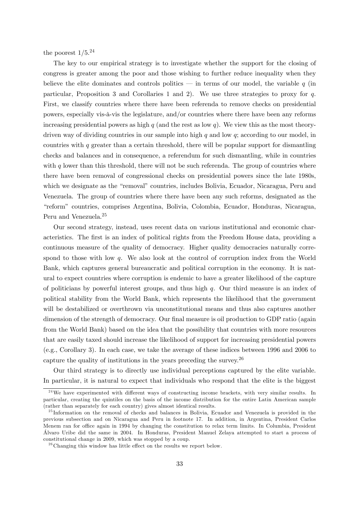the poorest  $1/5^{24}$ 

The key to our empirical strategy is to investigate whether the support for the closing of congress is greater among the poor and those wishing to further reduce inequality when they believe the elite dominates and controls politics  $\frac{d}{dx}$  in terms of our model, the variable q (in particular, Proposition 3 and Corollaries 1 and 2). We use three strategies to proxy for q. First, we classify countries where there have been referenda to remove checks on presidential powers, especially vis-à-vis the legislature, and/or countries where there have been any reforms increasing presidential powers as high  $q$  (and the rest as low  $q$ ). We view this as the most theorydriven way of dividing countries in our sample into high  $q$  and low  $q$ ; according to our model, in countries with  $q$  greater than a certain threshold, there will be popular support for dismantling checks and balances and in consequence, a referendum for such dismantling, while in countries with  $q$  lower than this threshold, there will not be such referenda. The group of countries where there have been removal of congressional checks on presidential powers since the late 1980s, which we designate as the "removal" countries, includes Bolivia, Ecuador, Nicaragua, Peru and Venezuela. The group of countries where there have been any such reforms, designated as the ìreformî countries, comprises Argentina, Bolivia, Colombia, Ecuador, Honduras, Nicaragua, Peru and Venezuela.<sup>25</sup>

Our second strategy, instead, uses recent data on various institutional and economic characteristics. The first is an index of political rights from the Freedom House data, providing a continuous measure of the quality of democracy. Higher quality democracies naturally correspond to those with low q. We also look at the control of corruption index from the World Bank, which captures general bureaucratic and political corruption in the economy. It is natural to expect countries where corruption is endemic to have a greater likelihood of the capture of politicians by powerful interest groups, and thus high  $q$ . Our third measure is an index of political stability from the World Bank, which represents the likelihood that the government will be destabilized or overthrown via unconstitutional means and thus also captures another dimension of the strength of democracy. Our final measure is oil production to GDP ratio (again from the World Bank) based on the idea that the possibility that countries with more resources that are easily taxed should increase the likelihood of support for increasing presidential powers (e.g., Corollary 3). In each case, we take the average of these indices between 1996 and 2006 to capture the quality of institutions in the years preceding the survey.<sup>26</sup>

Our third strategy is to directly use individual perceptions captured by the elite variable. In particular, it is natural to expect that individuals who respond that the elite is the biggest

 $24$ We have experimented with different ways of constructing income brackets, with very similar results. In particular, creating the quintiles on the basis of the income distribution for the entire Latin American sample (rather than separately for each country) gives almost identical results.

<sup>25</sup> Information on the removal of checks and balances in Bolivia, Ecuador and Venezuela is provided in the previous subsection and on Nicaragua and Peru in footnote 17. In addition, in Argentina, President Carlos Menem ran for office again in 1994 by changing the constitution to relax term limits. In Columbia, President £lvaro Uribe did the same in 2004. In Honduras, President Manuel Zelaya attempted to start a process of constitutional change in 2009, which was stopped by a coup.

 $26$ Changing this window has little effect on the results we report below.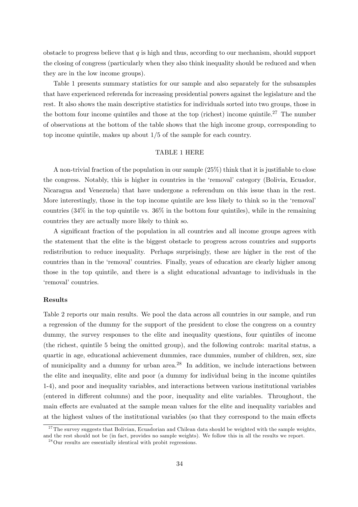obstacle to progress believe that  $q$  is high and thus, according to our mechanism, should support the closing of congress (particularly when they also think inequality should be reduced and when they are in the low income groups).

Table 1 presents summary statistics for our sample and also separately for the subsamples that have experienced referenda for increasing presidential powers against the legislature and the rest. It also shows the main descriptive statistics for individuals sorted into two groups, those in the bottom four income quintiles and those at the top (richest) income quintile.<sup>27</sup> The number of observations at the bottom of the table shows that the high income group, corresponding to top income quintile, makes up about 1/5 of the sample for each country.

#### TABLE 1 HERE

A non-trivial fraction of the population in our sample  $(25\%)$  think that it is justifiable to close the congress. Notably, this is higher in countries in the 'removal' category (Bolivia, Ecuador, Nicaragua and Venezuela) that have undergone a referendum on this issue than in the rest. More interestingly, those in the top income quintile are less likely to think so in the 'removal' countries  $(34\%$  in the top quintile vs.  $36\%$  in the bottom four quintiles), while in the remaining countries they are actually more likely to think so.

A significant fraction of the population in all countries and all income groups agrees with the statement that the elite is the biggest obstacle to progress across countries and supports redistribution to reduce inequality. Perhaps surprisingly, these are higher in the rest of the countries than in the 'removal' countries. Finally, years of education are clearly higher among those in the top quintile, and there is a slight educational advantage to individuals in the 'removal' countries.

#### Results

Table 2 reports our main results. We pool the data across all countries in our sample, and run a regression of the dummy for the support of the president to close the congress on a country dummy, the survey responses to the elite and inequality questions, four quintiles of income (the richest, quintile 5 being the omitted group), and the following controls: marital status, a quartic in age, educational achievement dummies, race dummies, number of children, sex, size of municipality and a dummy for urban area.<sup>28</sup> In addition, we include interactions between the elite and inequality, elite and poor (a dummy for individual being in the income quintiles 1-4), and poor and inequality variables, and interactions between various institutional variables (entered in different columns) and the poor, inequality and elite variables. Throughout, the main effects are evaluated at the sample mean values for the elite and inequality variables and at the highest values of the institutional variables (so that they correspond to the main effects

 $27$ The survey suggests that Bolivian, Ecuadorian and Chilean data should be weighted with the sample weights, and the rest should not be (in fact, provides no sample weights). We follow this in all the results we report.

<sup>28</sup>Our results are essentially identical with probit regressions.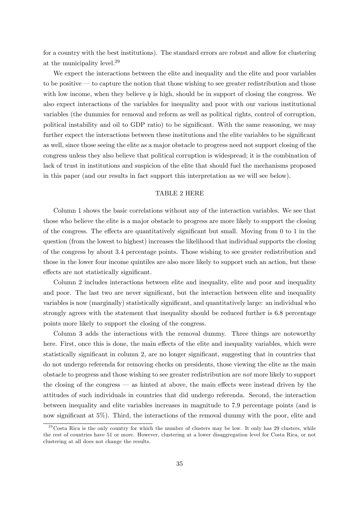for a country with the best institutions). The standard errors are robust and allow for clustering at the municipality level.<sup>29</sup>

We expect the interactions between the elite and inequality and the elite and poor variables to be positive  $\sim$  to capture the notion that those wishing to see greater redistribution and those with low income, when they believe q is high, should be in support of closing the congress. We also expect interactions of the variables for inequality and poor with our various institutional variables (the dummies for removal and reform as well as political rights, control of corruption, political instability and oil to GDP ratio) to be significant. With the same reasoning, we may further expect the interactions between these institutions and the elite variables to be significant as well, since those seeing the elite as a major obstacle to progress need not support closing of the congress unless they also believe that political corruption is widespread; it is the combination of lack of trust in institutions and suspicion of the elite that should fuel the mechanisms proposed in this paper (and our results in fact support this interpretation as we will see below).

#### TABLE 2 HERE

Column 1 shows the basic correlations without any of the interaction variables. We see that those who believe the elite is a major obstacle to progress are more likely to support the closing of the congress. The effects are quantitatively significant but small. Moving from  $0$  to  $1$  in the question (from the lowest to highest) increases the likelihood that individual supports the closing of the congress by about 3.4 percentage points. Those wishing to see greater redistribution and those in the lower four income quintiles are also more likely to support such an action, but these effects are not statistically significant.

Column 2 includes interactions between elite and inequality, elite and poor and inequality and poor. The last two are never significant, but the interaction between elite and inequality variables is now (marginally) statistically significant, and quantitatively large: an individual who strongly agrees with the statement that inequality should be reduced further is 6.8 percentage points more likely to support the closing of the congress.

Column 3 adds the interactions with the removal dummy. Three things are noteworthy here. First, once this is done, the main effects of the elite and inequality variables, which were statistically significant in column 2, are no longer significant, suggesting that in countries that do not undergo referenda for removing checks on presidents, those viewing the elite as the main obstacle to progress and those wishing to see greater redistribution are not more likely to support the closing of the congress  $\sim$  as hinted at above, the main effects were instead driven by the attitudes of such individuals in countries that did undergo referenda. Second, the interaction between inequality and elite variables increases in magnitude to 7.9 percentage points (and is now significant at  $5\%$ ). Third, the interactions of the removal dummy with the poor, elite and

 $^{29}$ Costa Rica is the only country for which the number of clusters may be low. It only has 29 clusters, while the rest of countries have 51 or more. However, clustering at a lower disaggregation level for Costa Rica, or not clustering at all does not change the results.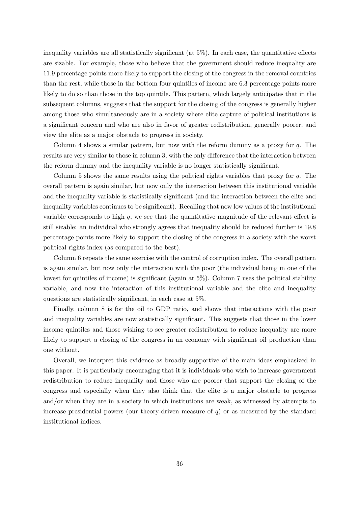inequality variables are all statistically significant (at  $5\%$ ). In each case, the quantitative effects are sizable. For example, those who believe that the government should reduce inequality are 11.9 percentage points more likely to support the closing of the congress in the removal countries than the rest, while those in the bottom four quintiles of income are 6.3 percentage points more likely to do so than those in the top quintile. This pattern, which largely anticipates that in the subsequent columns, suggests that the support for the closing of the congress is generally higher among those who simultaneously are in a society where elite capture of political institutions is a significant concern and who are also in favor of greater redistribution, generally poorer, and view the elite as a major obstacle to progress in society.

Column 4 shows a similar pattern, but now with the reform dummy as a proxy for q. The results are very similar to those in column 3, with the only difference that the interaction between the reform dummy and the inequality variable is no longer statistically significant.

Column 5 shows the same results using the political rights variables that proxy for q. The overall pattern is again similar, but now only the interaction between this institutional variable and the inequality variable is statistically significant (and the interaction between the elite and inequality variables continues to be significant). Recalling that now low values of the institutional variable corresponds to high  $q$ , we see that the quantitative magnitude of the relevant effect is still sizable: an individual who strongly agrees that inequality should be reduced further is 19.8 percentage points more likely to support the closing of the congress in a society with the worst political rights index (as compared to the best).

Column 6 repeats the same exercise with the control of corruption index. The overall pattern is again similar, but now only the interaction with the poor (the individual being in one of the lowest for quintiles of income) is significant (again at  $5\%$ ). Column 7 uses the political stability variable, and now the interaction of this institutional variable and the elite and inequality questions are statistically significant, in each case at  $5\%$ .

Finally, column 8 is for the oil to GDP ratio, and shows that interactions with the poor and inequality variables are now statistically significant. This suggests that those in the lower income quintiles and those wishing to see greater redistribution to reduce inequality are more likely to support a closing of the congress in an economy with significant oil production than one without.

Overall, we interpret this evidence as broadly supportive of the main ideas emphasized in this paper. It is particularly encouraging that it is individuals who wish to increase government redistribution to reduce inequality and those who are poorer that support the closing of the congress and especially when they also think that the elite is a major obstacle to progress and/or when they are in a society in which institutions are weak, as witnessed by attempts to increase presidential powers (our theory-driven measure of  $q$ ) or as measured by the standard institutional indices.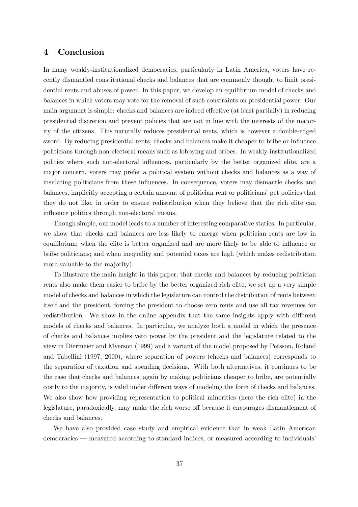# 4 Conclusion

In many weakly-institutionalized democracies, particularly in Latin America, voters have recently dismantled constitutional checks and balances that are commonly thought to limit presidential rents and abuses of power. In this paper, we develop an equilibrium model of checks and balances in which voters may vote for the removal of such constraints on presidential power. Our main argument is simple: checks and balances are indeed effective (at least partially) in reducing presidential discretion and prevent policies that are not in line with the interests of the majority of the citizens. This naturally reduces presidential rents, which is however a double-edged sword. By reducing presidential rents, checks and balances make it cheaper to bribe or influence politicians through non-electoral means such as lobbying and bribes. In weakly-institutionalized polities where such non-electoral ináuences, particularly by the better organized elite, are a major concern, voters may prefer a political system without checks and balances as a way of insulating politicians from these influences. In consequence, voters may dismantle checks and balances, implicitly accepting a certain amount of politician rent or politicians' pet policies that they do not like, in order to ensure redistribution when they believe that the rich elite can influence politics through non-electoral means.

Though simple, our model leads to a number of interesting comparative statics. In particular, we show that checks and balances are less likely to emerge when politician rents are low in equilibrium; when the elite is better organized and are more likely to be able to influence or bribe politicians; and when inequality and potential taxes are high (which makes redistribution more valuable to the majority).

To illustrate the main insight in this paper, that checks and balances by reducing politician rents also make them easier to bribe by the better organized rich elite, we set up a very simple model of checks and balances in which the legislature can control the distribution of rents between itself and the president, forcing the president to choose zero rents and use all tax revenues for redistribution. We show in the online appendix that the same insights apply with different models of checks and balances. In particular, we analyze both a model in which the presence of checks and balances implies veto power by the president and the legislature related to the view in Diermeier and Myerson (1999) and a variant of the model proposed by Persson, Roland and Tabellini (1997, 2000), where separation of powers (checks and balances) corresponds to the separation of taxation and spending decisions. With both alternatives, it continues to be the case that checks and balances, again by making politicians cheaper to bribe, are potentially costly to the majority, is valid under different ways of modeling the form of checks and balances. We also show how providing representation to political minorities (here the rich elite) in the legislature, paradoxically, may make the rich worse off because it encourages dismantlement of checks and balances.

We have also provided case study and empirical evidence that in weak Latin American democracies – measured according to standard indices, or measured according to individuals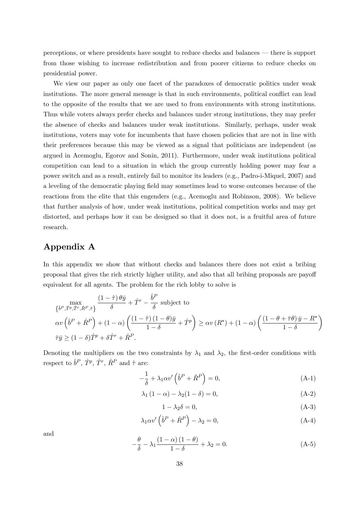perceptions, or where presidents have sought to reduce checks and balances  $-$  there is support from those wishing to increase redistribution and from poorer citizens to reduce checks on presidential power.

We view our paper as only one facet of the paradoxes of democratic politics under weak institutions. The more general message is that in such environments, political conflict can lead to the opposite of the results that we are used to from environments with strong institutions. Thus while voters always prefer checks and balances under strong institutions, they may prefer the absence of checks and balances under weak institutions. Similarly, perhaps, under weak institutions, voters may vote for incumbents that have chosen policies that are not in line with their preferences because this may be viewed as a signal that politicians are independent (as argued in Acemoglu, Egorov and Sonin, 2011). Furthermore, under weak institutions political competition can lead to a situation in which the group currently holding power may fear a power switch and as a result, entirely fail to monitor its leaders (e.g., Padro-i-Miquel, 2007) and a leveling of the democratic playing field may sometimes lead to worse outcomes because of the reactions from the elite that this engenders (e.g., Acemoglu and Robinson, 2008). We believe that further analysis of how, under weak institutions, political competition works and may get distorted, and perhaps how it can be designed so that it does not, is a fruitful area of future research.

# Appendix A

In this appendix we show that without checks and balances there does not exist a bribing proposal that gives the rich strictly higher utility, and also that all bribing proposals are payoff equivalent for all agents. The problem for the rich lobby to solve is

$$
\begin{aligned}\n&\max_{\left\{\hat{b}^P,\hat{T}^p,\hat{T}^r,\hat{R}^P,\hat{\tau}\right\}} \frac{(1-\hat{\tau})\,\theta\bar{y}}{\delta} + \hat{T}^r - \frac{\hat{b}^P}{\delta} \text{ subject to} \\
&\alpha v \left(\hat{b}^P + \hat{R}^P\right) + (1-\alpha) \left(\frac{(1-\hat{\tau})(1-\theta)\bar{y}}{1-\delta} + \hat{T}^p\right) \ge \alpha v \left(R^*\right) + (1-\alpha) \left(\frac{(1-\theta+\bar{\tau}\theta)\,\bar{y}-R^*}{1-\delta}\right) \\
&\hat{\tau}\bar{y} \ge (1-\delta)\hat{T}^p + \delta\hat{T}^r + \hat{R}^P.\n\end{aligned}
$$

Denoting the multipliers on the two constraints by  $\lambda_1$  and  $\lambda_2$ , the first-order conditions with respect to  $\hat{b}^P$ ,  $\hat{T}^p$ ,  $\hat{T}^r$ ,  $\hat{R}^P$  and  $\hat{\tau}$  are:

$$
-\frac{1}{\delta} + \lambda_1 \alpha v' \left(\hat{b}^P + \hat{R}^P\right) = 0,
$$
\n(A-1)

$$
\lambda_1 (1 - \alpha) - \lambda_2 (1 - \delta) = 0,\tag{A-2}
$$

$$
1 - \lambda_2 \delta = 0,\tag{A-3}
$$

$$
\lambda_1 \alpha v' \left( \hat{b}^P + \hat{R}^P \right) - \lambda_2 = 0, \tag{A-4}
$$

and

$$
-\frac{\theta}{\delta} - \lambda_1 \frac{(1-\alpha)(1-\theta)}{1-\delta} + \lambda_2 = 0.
$$
 (A-5)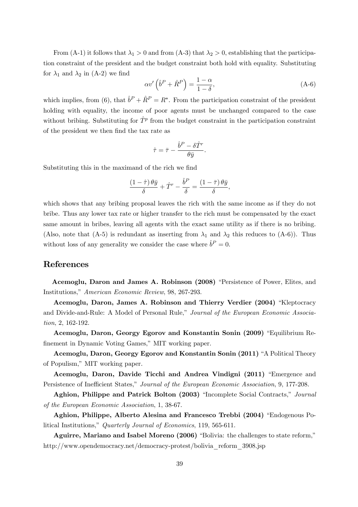From (A-1) it follows that  $\lambda_1 > 0$  and from (A-3) that  $\lambda_2 > 0$ , establishing that the participation constraint of the president and the budget constraint both hold with equality. Substituting for  $\lambda_1$  and  $\lambda_2$  in (A-2) we find

$$
\alpha v' \left( \hat{b}^P + \hat{R}^P \right) = \frac{1 - \alpha}{1 - \delta},\tag{A-6}
$$

which implies, from (6), that  $\hat{b}^P + \hat{R}^P = R^*$ . From the participation constraint of the president holding with equality, the income of poor agents must be unchanged compared to the case without bribing. Substituting for  $\hat{T}^p$  from the budget constraint in the participation constraint of the president we then Önd the tax rate as

$$
\hat{\tau} = \bar{\tau} - \frac{\hat{b}^P - \delta \hat{T}^r}{\theta \bar{y}}
$$

:

Substituting this in the maximand of the rich we find

$$
\frac{(1-\hat{\tau}) \,\theta\bar{y}}{\delta} + \hat{T}^r - \frac{\hat{b}^P}{\delta} = \frac{(1-\bar{\tau}) \,\theta\bar{y}}{\delta},
$$

which shows that any bribing proposal leaves the rich with the same income as if they do not bribe. Thus any lower tax rate or higher transfer to the rich must be compensated by the exact same amount in bribes, leaving all agents with the exact same utility as if there is no bribing. (Also, note that (A-5) is redundant as inserting from  $\lambda_1$  and  $\lambda_2$  this reduces to (A-6)). Thus without loss of any generality we consider the case where  $\hat{b}^P = 0$ .

## References

Acemoglu, Daron and James A. Robinson (2008) "Persistence of Power, Elites, and Institutions," American Economic Review, 98, 267-293.

Acemoglu, Daron, James A. Robinson and Thierry Verdier (2004) "Kleptocracy and Divide-and-Rule: A Model of Personal Rule," Journal of the European Economic Association, 2, 162-192.

Acemoglu, Daron, Georgy Egorov and Konstantin Sonin (2009) "Equilibrium Refinement in Dynamic Voting Games," MIT working paper.

Acemoglu, Daron, Georgy Egorov and Konstantin Sonin (2011) "A Political Theory of Populism," MIT working paper.

Acemoglu, Daron, Davide Ticchi and Andrea Vindigni (2011) "Emergence and Persistence of Inefficient States," Journal of the European Economic Association, 9, 177-208.

Aghion, Philippe and Patrick Bolton (2003) "Incomplete Social Contracts," Journal of the European Economic Association, 1, 38-67.

Aghion, Philippe, Alberto Alesina and Francesco Trebbi (2004) "Endogenous Political Institutions," Quarterly Journal of Economics, 119, 565-611.

Aguirre, Mariano and Isabel Moreno (2006) "Bolivia: the challenges to state reform," http://www.opendemocracy.net/democracy-protest/bolivia\_reform\_3908.jsp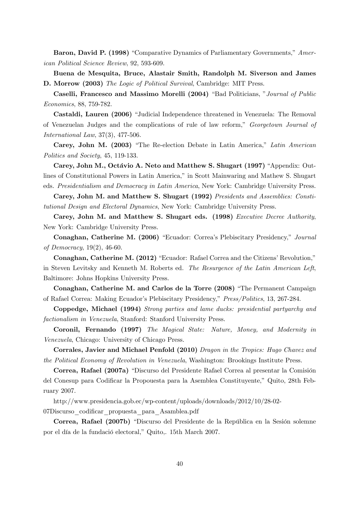Baron, David P. (1998) "Comparative Dynamics of Parliamentary Governments," American Political Science Review, 92, 593-609.

Buena de Mesquita, Bruce, Alastair Smith, Randolph M. Siverson and James D. Morrow (2003) The Logic of Political Survival, Cambridge: MIT Press.

Caselli, Francesco and Massimo Morelli (2004) "Bad Politicians, "Journal of Public Economics, 88, 759-782.

Castaldi, Lauren (2006) "Judicial Independence threatened in Venezuela: The Removal of Venezuelan Judges and the complications of rule of law reform," Georgetown Journal of International Law, 37(3), 477-506.

Carey, John M. (2003) "The Re-election Debate in Latin America," Latin American Politics and Society, 45, 119-133.

Carey, John M., Octávio A. Neto and Matthew S. Shugart (1997) "Appendix: Outlines of Constitutional Powers in Latin America," in Scott Mainwaring and Mathew S. Shugart eds. Presidentialism and Democracy in Latin America, New York: Cambridge University Press.

Carey, John M. and Matthew S. Shugart (1992) Presidents and Assemblies: Constitutional Design and Electoral Dynamics, New York: Cambridge University Press.

Carey, John M. and Matthew S. Shugart eds. (1998) Executive Decree Authority, New York: Cambridge University Press.

Conaghan, Catherine M. (2006) "Ecuador: Correa's Plebiscitary Presidency," Journal of Democracy, 19(2), 46-60.

Conaghan, Catherine M. (2012) "Ecuador: Rafael Correa and the Citizens' Revolution," in Steven Levitsky and Kenneth M. Roberts ed. The Resurgence of the Latin American Left, Baltimore: Johns Hopkins University Press.

Conaghan, Catherine M. and Carlos de la Torre (2008) "The Permanent Campaign of Rafael Correa: Making Ecuador's Plebiscitary Presidency," Press/Politics, 13, 267-284.

Coppedge, Michael (1994) Strong parties and lame ducks: presidential partyarchy and factionalism in Venezuela, Stanford: Stanford University Press.

Coronil, Fernando (1997) The Magical State: Nature, Money, and Modernity in Venezuela, Chicago: University of Chicago Press.

Corrales, Javier and Michael Penfold (2010) Dragon in the Tropics: Hugo Chavez and the Political Economy of Revolution in Venezuela, Washington: Brookings Institute Press.

Correa, Rafael (2007a) "Discurso del Presidente Rafael Correa al presentar la Comisión del Conesup para Codificar la Propouesta para la Asemblea Constituyente," Quito, 28th February 2007.

http://www.presidencia.gob.ec/wp-content/uploads/downloads/2012/10/28-02-

07Discurso codificar propuesta para Asamblea.pdf

Correa, Rafael (2007b) "Discurso del Presidente de la República en la Sesión solemne por el día de la fundació electoral," Quito,. 15th March 2007.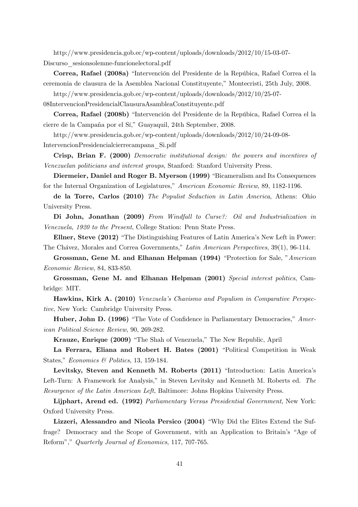http://www.presidencia.gob.ec/wp-content/uploads/downloads/2012/10/15-03-07- Discurso\_sesionsolemne-funcionelectoral.pdf

Correa, Rafael (2008a) "Intervención del Presidente de la Repúbica, Rafael Correa el la ceremonia de clausura de la Asemblea Nacional Constituyente," Montecristi, 25th July, 2008.

http://www.presidencia.gob.ec/wp-content/uploads/downloads/2012/10/25-07-

08IntervencionPresidencialClausuraAsambleaConstituyente.pdf

Correa, Rafael (2008b) "Intervención del Presidente de la Repúbica, Rafael Correa el la cierre de la Campaña por el Sí," Guayaquil, 24th September, 2008.

http://www.presidencia.gob.ec/wp-content/uploads/downloads/2012/10/24-09-08- IntervencionPresidencialcierrecampana\_Si.pdf

Crisp, Brian F. (2000) Democratic institutional design: the powers and incentives of Venezuelan politicians and interest groups, Stanford: Stanford University Press.

Diermeier, Daniel and Roger B. Myerson (1999) "Bicameralism and Its Consequences for the Internal Organization of Legislatures," American Economic Review, 89, 1182-1196.

de la Torre, Carlos (2010) The Populist Seduction in Latin America, Athens: Ohio University Press.

Di John, Jonathan (2009) From Windfall to Curse?: Oil and Industrialization in Venezuela, 1920 to the Present, College Station: Penn State Press.

Ellner, Steve (2012) "The Distinguishing Features of Latin America's New Left in Power: The Chávez, Morales and Correa Governments," Latin American Perspectives, 39(1), 96-114.

Grossman, Gene M. and Elhanan Helpman (1994) "Protection for Sale, "American Economic Review, 84, 833-850.

Grossman, Gene M. and Elhanan Helpman (2001) Special interest politics, Cambridge: MIT.

Hawkins, Kirk A. (2010) Venezuela's Chavismo and Populism in Comparative Perspective, New York: Cambridge University Press.

Huber, John D. (1996) "The Vote of Confidence in Parliamentary Democracies," American Political Science Review, 90, 269-282.

Krauze, Enrique (2009) "The Shah of Venezuela," The New Republic, April

La Ferrara, Eliana and Robert H. Bates (2001) "Political Competition in Weak States," Economics & Politics, 13, 159-184.

Levitsky, Steven and Kenneth M. Roberts (2011) "Introduction: Latin America's Left-Turn: A Framework for Analysis," in Steven Levitsky and Kenneth M. Roberts ed. The Resurgence of the Latin American Left, Baltimore: Johns Hopkins University Press.

Lijphart, Arend ed. (1992) Parliamentary Versus Presidential Government, New York: Oxford University Press.

Lizzeri, Alessandro and Nicola Persico (2004) "Why Did the Elites Extend the Suffrage? Democracy and the Scope of Government, with an Application to Britain's "Age of Reform"," Quarterly Journal of Economics, 117, 707-765.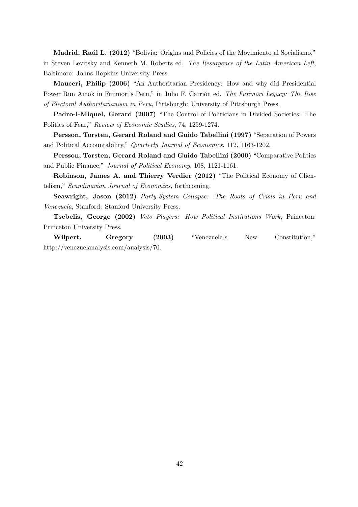Madrid, Raúl L. (2012) "Bolivia: Origins and Policies of the Movimiento al Socialismo," in Steven Levitsky and Kenneth M. Roberts ed. The Resurgence of the Latin American Left, Baltimore: Johns Hopkins University Press.

Mauceri, Philip (2006) "An Authoritarian Presidency: How and why did Presidential Power Run Amok in Fujimori's Peru," in Julio F. Carrión ed. The Fujimori Legacy: The Rise of Electoral Authoritarianism in Peru, Pittsburgh: University of Pittsburgh Press.

Padro-i-Miquel, Gerard (2007) "The Control of Politicians in Divided Societies: The Politics of Fear," Review of Economic Studies, 74, 1259-1274.

Persson, Torsten, Gerard Roland and Guido Tabellini (1997) "Separation of Powers and Political Accountability," Quarterly Journal of Economics, 112, 1163-1202.

Persson, Torsten, Gerard Roland and Guido Tabellini (2000) "Comparative Politics and Public Finance," Journal of Political Economy, 108, 1121-1161.

Robinson, James A. and Thierry Verdier (2012) "The Political Economy of Clientelism," Scandinavian Journal of Economics, forthcoming.

Seawright, Jason (2012) Party-System Collapse: The Roots of Crisis in Peru and Venezuela, Stanford: Stanford University Press.

Tsebelis, George (2002) Veto Players: How Political Institutions Work, Princeton: Princeton University Press.

Wilpert, Gregory (2003) "Venezuela's New Constitution," http://venezuelanalysis.com/analysis/70.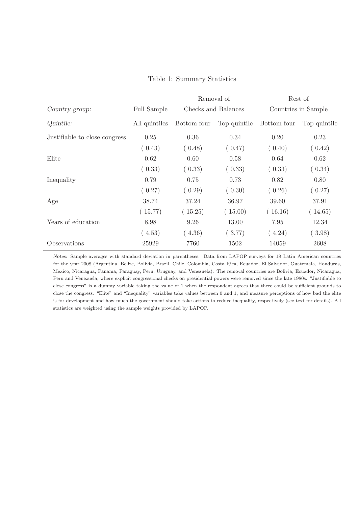Table 1: Summary Statistics

|                               |                    |             | Removal of          | Rest of             |              |  |
|-------------------------------|--------------------|-------------|---------------------|---------------------|--------------|--|
| Country group:                | <b>Full Sample</b> |             | Checks and Balances | Countries in Sample |              |  |
| Quintile:                     | All quintiles      | Bottom four | Top quintile        | Bottom four         | Top quintile |  |
| Justifiable to close congress | 0.25               | 0.36        | 0.34                | 0.20                | 0.23         |  |
|                               | (0.43)             | (0.48)      | (0.47)              | (0.40)              | (0.42)       |  |
| Elite                         | 0.62               | 0.60        | 0.58                | 0.64                | 0.62         |  |
|                               | (0.33)             | (0.33)      | (0.33)              | (0.33)              | (0.34)       |  |
| Inequality                    | 0.79               | 0.75        | 0.73                | 0.82                | 0.80         |  |
|                               | (0.27)             | (0.29)      | (0.30)              | (0.26)              | (0.27)       |  |
| Age                           | 38.74              | 37.24       | 36.97               | 39.60               | 37.91        |  |
|                               | (15.77)            | (15.25)     | (15.00)             | (16.16)             | (14.65)      |  |
| Years of education            | 8.98               | 9.26        | 13.00               | 7.95                | 12.34        |  |
|                               | (4.53)             | (4.36)      | (3.77)              | (4.24)              | 3.98)        |  |
| Observations                  | 25929              | 7760        | 1502                | 14059               | 2608         |  |

Notes: Sample averages with standard deviation in parentheses. Data from LAPOP surveys for 18 Latin American countries for the year 2008 (Argentina, Belize, Bolivia, Brazil, Chile, Colombia, Costa Rica, Ecuador, El Salvador, Guatemala, Honduras, Mexico, Nicaragua, Panama, Paraguay, Peru, Uruguay, and Venezuela). The removal countries are Bolivia, Ecuador, Nicaragua, Peru and Venezuela, where explicit congressional checks on presidential powers were removed since the late 1980s. "Justifiable to close congress" is a dummy variable taking the value of 1 when the respondent agrees that there could be sufficient grounds to close the congress. "Elite" and "Inequality" variables take values between 0 and 1, and measure perceptions of how bad the elite is for development and how much the government should take actions to reduce inequality, respectively (see text for details). All statistics are weighted using the sample weights provided by LAPOP.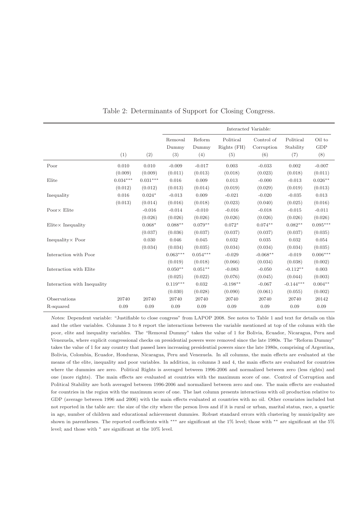|                              |            |            | Interacted Variable:    |                        |                                 |                                 |                               |                      |  |
|------------------------------|------------|------------|-------------------------|------------------------|---------------------------------|---------------------------------|-------------------------------|----------------------|--|
|                              | (1)        | (2)        | Removal<br>Dummy<br>(3) | Reform<br>Dummy<br>(4) | Political<br>Rights (FH)<br>(5) | Control of<br>Corruption<br>(6) | Political<br>Stability<br>(7) | Oil to<br>GDP<br>(8) |  |
| Poor                         | 0.010      | 0.010      | $-0.009$                | $-0.017$               | 0.003                           | $-0.033$                        | 0.002                         | $-0.007$             |  |
|                              | (0.009)    | (0.009)    | (0.011)                 | (0.013)                | (0.018)                         | (0.023)                         | (0.018)                       | (0.011)              |  |
| Elite                        | $0.034***$ | $0.031***$ | 0.016                   | 0.009                  | 0.013                           | $-0.000$                        | $-0.013$                      | $0.026**$            |  |
|                              | (0.012)    | (0.012)    | (0.013)                 | (0.014)                | (0.019)                         | (0.029)                         | (0.019)                       | (0.013)              |  |
| Inequality                   | 0.016      | $0.024*$   | $-0.013$                | 0.009                  | $-0.021$                        | $-0.020$                        | $-0.035$                      | 0.013                |  |
|                              | (0.013)    | (0.014)    | (0.016)                 | (0.018)                | (0.023)                         | (0.040)                         | (0.025)                       | (0.016)              |  |
| Poor $\times$ Elite          |            | $-0.016$   | $-0.014$                | $-0.010$               | $-0.016$                        | $-0.018$                        | $-0.015$                      | $-0.011$             |  |
|                              |            | (0.026)    | (0.026)                 | (0.026)                | (0.026)                         | (0.026)                         | (0.026)                       | (0.026)              |  |
| $E$ lite $\times$ Inequality |            | $0.068*$   | $0.088**$               | $0.079**$              | $0.072*$                        | $0.074**$                       | $0.082**$                     | $0.095***$           |  |
|                              |            | (0.037)    | (0.036)                 | (0.037)                | (0.037)                         | (0.037)                         | (0.037)                       | (0.035)              |  |
| Inequality $\times$ Poor     |            | 0.030      | 0.046                   | 0.045                  | 0.032                           | 0.035                           | 0.032                         | 0.054                |  |
|                              |            | (0.034)    | (0.034)                 | (0.035)                | (0.034)                         | (0.034)                         | (0.034)                       | (0.035)              |  |
| Interaction with Poor        |            |            | $0.063***$              | $0.054***$             | $-0.029$                        | $-0.068**$                      | $-0.019$                      | $0.006***$           |  |
|                              |            |            | (0.019)                 | (0.018)                | (0.066)                         | (0.034)                         | (0.038)                       | (0.002)              |  |
| Interaction with Elite       |            |            | $0.050**$               | $0.051**$              | $-0.083$                        | $-0.050$                        | $-0.112**$                    | 0.003                |  |
|                              |            |            | (0.025)                 | (0.022)                | (0.076)                         | (0.045)                         | (0.044)                       | (0.003)              |  |
| Interaction with Inequality  |            |            | $0.119***$              | 0.032                  | $-0.198**$                      | $-0.067$                        | $-0.144***$                   | $0.004**$            |  |
|                              |            |            | (0.030)                 | (0.028)                | (0.090)                         | (0.061)                         | (0.055)                       | (0.002)              |  |
| Observations                 | 20740      | 20740      | 20740                   | 20740                  | 20740                           | 20740                           | 20740                         | 20142                |  |
| R-squared                    | 0.09       | 0.09       | 0.09                    | 0.09                   | 0.09                            | 0.09                            | 0.09                          | 0.09                 |  |

Table 2: Determinants of Support for Closing Congress.

Notes: Dependent variable: "Justifiable to close congress" from LAPOP 2008. See notes to Table 1 and text for details on this and the other variables. Columns 3 to 8 report the interactions between the variable mentioned at top of the column with the poor, elite and inequality variables. The "Removal Dummy" takes the value of 1 for Bolivia, Ecuador, Nicaragua, Peru and Venezuela, where explicit congressional checks on presidential powers were removed since the late 1980s. The "Reform Dummy" takes the value of 1 for any country that passed laws increasing presidential powers since the late 1980s, comprising of Argentina, Bolivia, Colombia, Ecuador, Honduras, Nicaragua, Peru and Venezuela. In all columns, the main effects are evaluated at the means of the elite, inequality and poor variables. In addition, in columns 3 and 4, the main effects are evaluated for countries where the dummies are zero. Political Rights is averaged between 1996-2006 and normalized between zero (less rights) and one (more rights). The main effects are evaluated at countries with the maximum score of one. Control of Corruption and Political Stability are both averaged between 1996-2006 and normalized between zero and one. The main effects are evaluated for countries in the region with the maximum score of one. The last column presents interactions with oil production relative to GDP (average between 1996 and 2006) with the main effects evaluated at countries with no oil. Other covariates included but not reported in the table are: the size of the city where the person lives and if it is rural or urban, marital status, race, a quartic in age, number of children and educational achievement dummies. Robust standard errors with clustering by municipality are shown in parentheses. The reported coefficients with ∗∗∗ are significant at the 1% level; those with ∗∗ are significant at the 5% level; and those with <sup>∗</sup> are significant at the 10% level.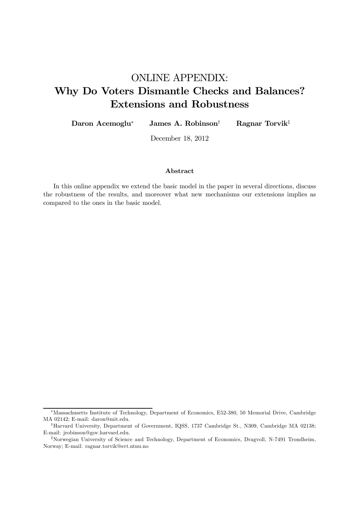# ONLINE APPENDIX: Why Do Voters Dismantle Checks and Balances? Extensions and Robustness

Daron Acemoglu<sup>∗</sup> James A. Robinson† Ragnar Torvik‡

December 18, 2012

#### Abstract

In this online appendix we extend the basic model in the paper in several directions, discuss the robustness of the results, and moreover what new mechanisms our extensions implies as compared to the ones in the basic model.

<sup>∗</sup>Massachusetts Institute of Technology, Department of Economics, E52-380, 50 Memorial Drive, Cambridge MA 02142; E-mail: daron@mit.edu.

<sup>†</sup>Harvard University, Department of Government, IQSS, 1737 Cambridge St., N309, Cambridge MA 02138; E-mail: jrobinson@gov.harvard.edu.

<sup>‡</sup>Norwegian University of Science and Technology, Department of Economics, Dragvoll, N-7491 Trondheim, Norway; E-mail: ragnar.torvik@svt.ntnu.no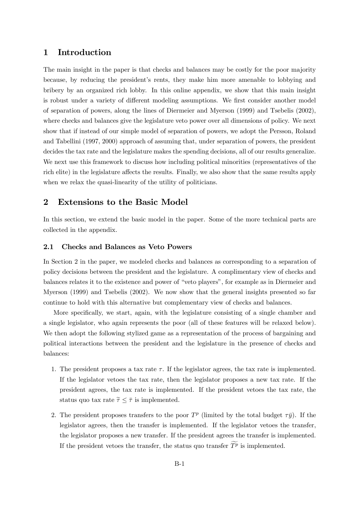# 1 Introduction

The main insight in the paper is that checks and balances may be costly for the poor majority because, by reducing the president's rents, they make him more amenable to lobbying and bribery by an organized rich lobby. In this online appendix, we show that this main insight is robust under a variety of different modeling assumptions. We first consider another model of separation of powers, along the lines of Diermeier and Myerson (1999) and Tsebelis (2002), where checks and balances give the legislature veto power over all dimensions of policy. We next show that if instead of our simple model of separation of powers, we adopt the Persson, Roland and Tabellini (1997, 2000) approach of assuming that, under separation of powers, the president decides the tax rate and the legislature makes the spending decisions, all of our results generalize. We next use this framework to discuss how including political minorities (representatives of the rich elite) in the legislature affects the results. Finally, we also show that the same results apply when we relax the quasi-linearity of the utility of politicians.

# 2 Extensions to the Basic Model

In this section, we extend the basic model in the paper. Some of the more technical parts are collected in the appendix.

## 2.1 Checks and Balances as Veto Powers

In Section 2 in the paper, we modeled checks and balances as corresponding to a separation of policy decisions between the president and the legislature. A complimentary view of checks and balances relates it to the existence and power of "veto players", for example as in Diermeier and Myerson (1999) and Tsebelis (2002). We now show that the general insights presented so far continue to hold with this alternative but complementary view of checks and balances.

More specifically, we start, again, with the legislature consisting of a single chamber and a single legislator, who again represents the poor (all of these features will be relaxed below). We then adopt the following stylized game as a representation of the process of bargaining and political interactions between the president and the legislature in the presence of checks and balances:

- 1. The president proposes a tax rate  $\tau$ . If the legislator agrees, the tax rate is implemented. If the legislator vetoes the tax rate, then the legislator proposes a new tax rate. If the president agrees, the tax rate is implemented. If the president vetoes the tax rate, the status quo tax rate  $\tilde{\tau} \leq \bar{\tau}$  is implemented.
- 2. The president proposes transfers to the poor  $T^p$  (limited by the total budget  $\tau \bar{y}$ ). If the legislator agrees, then the transfer is implemented. If the legislator vetoes the transfer, the legislator proposes a new transfer. If the president agrees the transfer is implemented. If the president vetoes the transfer, the status quo transfer  $T^p$  is implemented.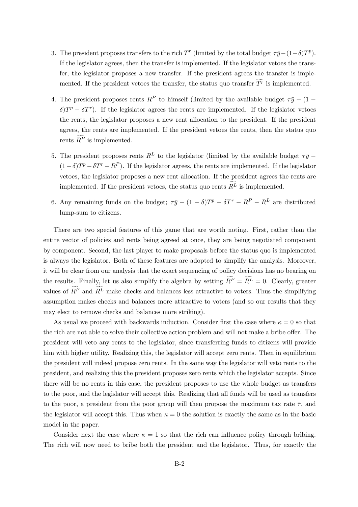- 3. The president proposes transfers to the rich  $T^r$  (limited by the total budget  $\tau \bar{y}-(1-\delta)T^p$ ). If the legislator agrees, then the transfer is implemented. If the legislator vetoes the transfer, the legislator proposes a new transfer. If the president agrees the transfer is implemented. If the president vetoes the transfer, the status quo transfer  $T<sup>r</sup>$  is implemented.
- 4. The president proposes rents  $R^P$  to himself (limited by the available budget  $\tau \bar{y}$  (1  $\delta T^p - \delta T^r$ ). If the legislator agrees the rents are implemented. If the legislator vetoes the rents, the legislator proposes a new rent allocation to the president. If the president agrees, the rents are implemented. If the president vetoes the rents, then the status quo rents  $R^P$  is implemented.
- 5. The president proposes rents  $R^L$  to the legislator (limited by the available budget  $\tau \bar{y}$  −  $(1-\delta) T^{p} - \delta T^{r} - R^{P}$ . If the legislator agrees, the rents are implemented. If the legislator vetoes, the legislator proposes a new rent allocation. If the president agrees the rents are implemented. If the president vetoes, the status quo rents  $R^L$  is implemented.
- 6. Any remaining funds on the budget;  $\tau \bar{y} (1 \delta)T^p \delta T^r R^P R^L$  are distributed lump-sum to citizens.

There are two special features of this game that are worth noting. First, rather than the entire vector of policies and rents being agreed at once, they are being negotiated component by component. Second, the last player to make proposals before the status quo is implemented is always the legislator. Both of these features are adopted to simplify the analysis. Moreover, it will be clear from our analysis that the exact sequencing of policy decisions has no bearing on the results. Finally, let us also simplify the algebra by setting  $R^P = R^L = 0$ . Clearly, greater values of  $R^P$  and  $R^L$  make checks and balances less attractive to voters. Thus the simplifying assumption makes checks and balances more attractive to voters (and so our results that they may elect to remove checks and balances more striking).

As usual we proceed with backwards induction. Consider first the case where  $\kappa = 0$  so that the rich are not able to solve their collective action problem and will not make a bribe offer. The president will veto any rents to the legislator, since transferring funds to citizens will provide him with higher utility. Realizing this, the legislator will accept zero rents. Then in equilibrium the president will indeed propose zero rents. In the same way the legislator will veto rents to the president, and realizing this the president proposes zero rents which the legislator accepts. Since there will be no rents in this case, the president proposes to use the whole budget as transfers to the poor, and the legislator will accept this. Realizing that all funds will be used as transfers to the poor, a president from the poor group will then propose the maximum tax rate  $\bar{\tau}$ , and the legislator will accept this. Thus when  $\kappa = 0$  the solution is exactly the same as in the basic model in the paper.

Consider next the case where  $\kappa = 1$  so that the rich can influence policy through bribing. The rich will now need to bribe both the president and the legislator. Thus, for exactly the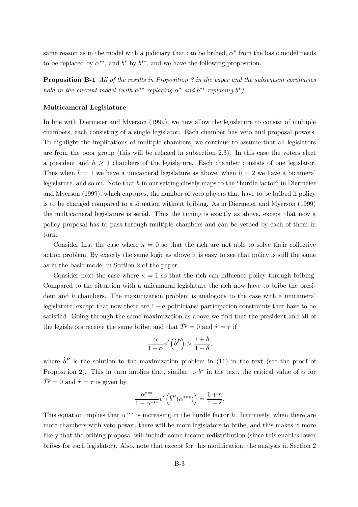same reason as in the model with a judiciary that can be bribed,  $\alpha^*$  from the basic model needs to be replaced by  $\alpha^{**}$ , and  $b^*$  by  $b^{**}$ , and we have the following proposition.

**Proposition B-1** All of the results in Proposition 3 in the paper and the subsequent corollaries hold in the current model (with  $\alpha^{**}$  replacing  $\alpha^*$  and  $b^{**}$  replacing  $b^*$ ).

#### Multicameral Legislature

In line with Diermeier and Myerson (1999), we now allow the legislature to consist of multiple chambers, each consisting of a single legislator. Each chamber has veto and proposal powers. To highlight the implications of multiple chambers, we continue to assume that all legislators are from the poor group (this will be relaxed in subsection 2.3). In this case the voters elect a president and  $h \geq 1$  chambers of the legislature. Each chamber consists of one legislator. Thus when  $h = 1$  we have a unicameral legislature as above, when  $h = 2$  we have a bicameral legislature, and so on. Note that  $h$  in our setting closely maps to the "hurdle factor" in Diermeier and Myerson (1999), which captures, the number of veto players that have to be bribed if policy is to be changed compared to a situation without bribing. As in Diermeier and Myerson (1999) the multicameral legislature is serial. Thus the timing is exactly as above, except that now a policy proposal has to pass through multiple chambers and can be vetoed by each of them in turn.

Consider first the case where  $\kappa = 0$  so that the rich are not able to solve their collective action problem. By exactly the same logic as above it is easy to see that policy is still the same as in the basic model in Section 2 of the paper.

Consider next the case where  $\kappa = 1$  so that the rich can influence policy through bribing. Compared to the situation with a unicameral legislature the rich now have to bribe the president and  $h$  chambers. The maximization problem is analogous to the case with a unicameral legislature, except that now there are  $1 + h$  politicians' participation constraints that have to be satisfied. Going through the same maximization as above we find that the president and all of the legislators receive the same bribe, and that  $\hat{T}^p = 0$  and  $\hat{\tau} = \bar{\tau}$  if

$$
\frac{\alpha}{1-\alpha}v'\left(\hat{b}^P\right) > \frac{1+h}{1-\delta},
$$

where  $\hat{b}^P$  is the solution to the maximization problem in (11) in the text (see the proof of Proposition 2). This in turn implies that, similar to  $b^*$  in the text, the critical value of  $\alpha$  for  $\hat{T}^p = 0$  and  $\hat{\tau} = \bar{\tau}$  is given by

$$
\frac{\alpha^{***}}{1-\alpha^{***}}v'\left(\hat{b}^P(\alpha^{***})\right) = \frac{1+h}{1-\delta}.
$$

This equation implies that  $\alpha^{***}$  is increasing in the hurdle factor h. Intuitively, when there are more chambers with veto power, there will be more legislators to bribe, and this makes it more likely that the bribing proposal will include some income redistribution (since this enables lower bribes for each legislator). Also, note that except for this modification, the analysis in Section 2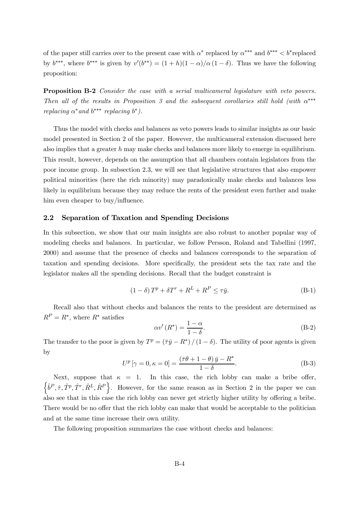of the paper still carries over to the present case with  $\alpha^*$  replaced by  $\alpha^{***}$  and  $b^{***} < b^{*}$ replaced by  $b^{***}$ , where  $b^{***}$  is given by  $v'(b^{**}) = (1 + h)(1 - \alpha)/\alpha (1 - \delta)$ . Thus we have the following proposition:

Proposition B-2 Consider the case with a serial multicameral legislature with veto powers. Then all of the results in Proposition 3 and the subsequent corollaries still hold (with  $\alpha^{***}$ replacing  $\alpha^*$  and  $b^{***}$  replacing  $b^*$ ).

Thus the model with checks and balances as veto powers leads to similar insights as our basic model presented in Section 2 of the paper. However, the multicameral extension discussed here also implies that a greater  $h$  may make checks and balances more likely to emerge in equilibrium. This result, however, depends on the assumption that all chambers contain legislators from the poor income group. In subsection 2.3, we will see that legislative structures that also empower political minorities (here the rich minority) may paradoxically make checks and balances less likely in equilibrium because they may reduce the rents of the president even further and make him even cheaper to buy/influence.

#### 2.2 Separation of Taxation and Spending Decisions

In this subsection, we show that our main insights are also robust to another popular way of modeling checks and balances. In particular, we follow Persson, Roland and Tabellini (1997, 2000) and assume that the presence of checks and balances corresponds to the separation of taxation and spending decisions. More specifically, the president sets the tax rate and the legislator makes all the spending decisions. Recall that the budget constraint is

$$
(1 - \delta)T^{p} + \delta T^{r} + R^{L} + R^{P} \leq \tau \bar{y}.
$$
 (B-1)

Recall also that without checks and balances the rents to the president are determined as  $R^P = R^*$ , where  $R^*$  satisfies

$$
\alpha v'(R^*) = \frac{1 - \alpha}{1 - \delta}.\tag{B-2}
$$

The transfer to the poor is given by  $T^p = (\bar{\tau} \bar{y} - R^*) / (1 - \delta)$ . The utility of poor agents is given by

$$
U^{p} \left[\gamma = 0, \kappa = 0\right] = \frac{\left(\bar{\tau}\theta + 1 - \theta\right)\bar{y} - R^{*}}{1 - \delta}.
$$
 (B-3)

Next, suppose that  $\kappa = 1$ . In this case, the rich lobby can make a bribe offer,  $\{\hat{b}^P, \hat{\tau}, \hat{T}^p, \hat{T}^r, \hat{R}^L, \hat{R}^P\}$ . However, for the same reason as in Section 2 in the paper we can also see that in this case the rich lobby can never get strictly higher utility by offering a bribe. There would be no offer that the rich lobby can make that would be acceptable to the politician and at the same time increase their own utility.

The following proposition summarizes the case without checks and balances: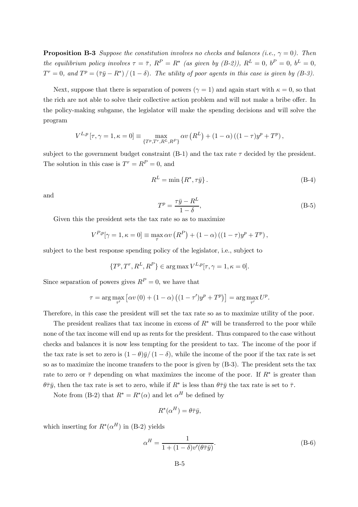**Proposition B-3** Suppose the constitution involves no checks and balances (i.e.,  $\gamma = 0$ ). Then the equilibrium policy involves  $\tau = \overline{\tau}$ ,  $R^P = R^*$  (as given by (B-2)),  $R^L = 0$ ,  $b^P = 0$ ,  $b^L = 0$ ,  $T^r = 0$ , and  $T^p = (\bar{\tau} \bar{y} - R^*) / (1 - \delta)$ . The utility of poor agents in this case is given by (B-3).

Next, suppose that there is separation of powers ( $\gamma = 1$ ) and again start with  $\kappa = 0$ , so that the rich are not able to solve their collective action problem and will not make a bribe offer. In the policy-making subgame, the legislator will make the spending decisions and will solve the program

$$
V^{L,p} [\tau, \gamma = 1, \kappa = 0] \equiv \max_{\{T^p, T^r, R^L, R^P\}} \alpha v (R^L) + (1 - \alpha) ((1 - \tau)y^p + T^p),
$$

subject to the government budget constraint  $(B-1)$  and the tax rate  $\tau$  decided by the president. The solution in this case is  $T^r = R^P = 0$ , and

$$
R^{L} = \min\left\{R^*, \tau\bar{y}\right\}.
$$
 (B-4)

and

$$
T^{p} = \frac{\tau \bar{y} - R^{L}}{1 - \delta},\tag{B-5}
$$

Given this the president sets the tax rate so as to maximize

$$
V^{P,p}[\gamma=1,\kappa=0] \equiv \max_{\tau} \alpha v (R^P) + (1-\alpha) ((1-\tau)y^p + T^p),
$$

subject to the best response spending policy of the legislator, i.e., subject to

$$
\{T^p, T^r, R^L, R^P\} \in \arg\max V^{L,p}[\tau, \gamma = 1, \kappa = 0].
$$

Since separation of powers gives  $R^P = 0$ , we have that

$$
\tau = \arg \max_{\tau'} \left[ \alpha v(0) + (1 - \alpha) \left( (1 - \tau') y^p + T^p \right) \right] = \arg \max_{\tau'} U^p.
$$

Therefore, in this case the president will set the tax rate so as to maximize utility of the poor.

The president realizes that tax income in excess of  $R^*$  will be transferred to the poor while none of the tax income will end up as rents for the president. Thus compared to the case without checks and balances it is now less tempting for the president to tax. The income of the poor if the tax rate is set to zero is  $(1 - \theta)\bar{y}/(1 - \delta)$ , while the income of the poor if the tax rate is set so as to maximize the income transfers to the poor is given by (B-3). The president sets the tax rate to zero or  $\bar{\tau}$  depending on what maximizes the income of the poor. If  $R^*$  is greater than  $\theta \overline{\tau} \overline{y}$ , then the tax rate is set to zero, while if  $R^*$  is less than  $\theta \overline{\tau} \overline{y}$  the tax rate is set to  $\overline{\tau}$ .

Note from (B-2) that  $R^* = R^*(\alpha)$  and let  $\alpha^H$  be defined by

$$
R^*(\alpha^H) = \theta \overline{\tau} \overline{y},
$$

which inserting for  $R^*(\alpha^H)$  in (B-2) yields

$$
\alpha^H = \frac{1}{1 + (1 - \delta)v'(\theta \overline{\tau} \overline{y})}.
$$
 (B-6)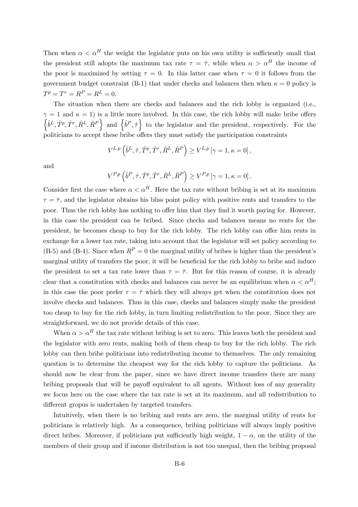Then when  $\alpha < \alpha^H$  the weight the legislator puts on his own utility is sufficiently small that the president still adopts the maximum tax rate  $\tau = \bar{\tau}$ , while when  $\alpha > \alpha^H$  the income of the poor is maximized by setting  $\tau = 0$ . In this latter case when  $\tau = 0$  it follows from the government budget constraint (B-1) that under checks and balances then when  $\kappa = 0$  policy is  $T^p=T^r=R^P=R^L=0. \label{eq:1.1}$ 

The situation when there are checks and balances and the rich lobby is organized (i.e.,  $\gamma = 1$  and  $\kappa = 1$ ) is a little more involved. In this case, the rich lobby will make bribe offers  $\{\hat{b}^L, \hat{T}^p, \hat{T}^r, \hat{R}^L, \hat{R}^P\}$  and  $\{\hat{b}^P, \hat{\tau}\}$  to the legislator and the president, respectively. For the politicians to accept these bribe offers they must satisfy the participation constraints

$$
V^{L,p}\left(\hat{b}^L,\hat{\tau},\hat{T}^p,\hat{T}^r,\hat{R}^L,\hat{R}^P\right) \geq V^{L,p}\left[\gamma=1,\kappa=0\right],
$$

and

$$
V^{P,p}\left(\hat{b}^P,\hat{\tau},\hat{T}^p,\hat{T}^r,\hat{R}^L,\hat{R}^P\right) \geq V^{P,p}\left[\gamma=1,\kappa=0\right].
$$

Consider first the case where  $\alpha < \alpha^H$ . Here the tax rate without bribing is set at its maximum  $\tau = \bar{\tau}$ , and the legislator obtains his bliss point policy with positive rents and transfers to the poor. Thus the rich lobby has nothing to offer him that they find it worth paying for. However, in this case the president can be bribed. Since checks and balances means no rents for the president, he becomes cheap to buy for the rich lobby. The rich lobby can offer him rents in exchange for a lower tax rate, taking into account that the legislator will set policy according to (B-5) and (B-4). Since when  $R^P = 0$  the marginal utility of bribes is higher than the president's marginal utility of transfers the poor, it will be beneficial for the rich lobby to bribe and induce the president to set a tax rate lower than  $\tau = \overline{\tau}$ . But for this reason of course, it is already clear that a constitution with checks and balances can never be an equilibrium when  $\alpha < \alpha^H$ ; in this case the poor prefer  $\tau = \bar{\tau}$  which they will always get when the constitution does not involve checks and balances. Thus in this case, checks and balances simply make the president too cheap to buy for the rich lobby, in turn limiting redistribution to the poor. Since they are straightforward, we do not provide details of this case.

When  $\alpha > \alpha^H$  the tax rate without bribing is set to zero. This leaves both the president and the legislator with zero rents, making both of them cheap to buy for the rich lobby. The rich lobby can then bribe politicians into redistributing income to themselves. The only remaining question is to determine the cheapest way for the rich lobby to capture the politicians. As should now be clear from the paper, since we have direct income transfers there are many bribing proposals that will be payoff equivalent to all agents. Without loss of any generality we focus here on the case where the tax rate is set at its maximum, and all redistribution to different gropus is undertaken by targeted transfers.

Intuitively, when there is no bribing and rents are zero, the marginal utility of rents for politicians is relatively high. As a consequence, bribing politicians will always imply positive direct bribes. Moreover, if politicians put sufficiently high weight,  $1 - \alpha$ , on the utility of the members of their group and if income distribution is not too unequal, then the bribing proposal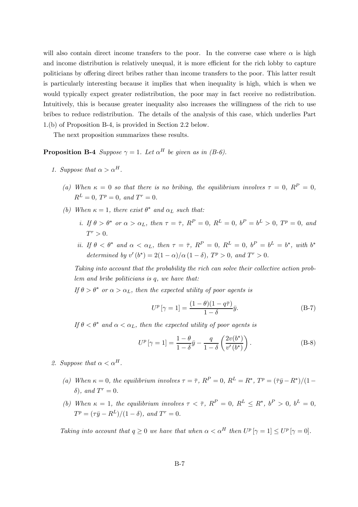will also contain direct income transfers to the poor. In the converse case where  $\alpha$  is high and income distribution is relatively unequal, it is more efficient for the rich lobby to capture politicians by offering direct bribes rather than income transfers to the poor. This latter result is particularly interesting because it implies that when inequality is high, which is when we would typically expect greater redistribution, the poor may in fact receive no redistribution. Intuitively, this is because greater inequality also increases the willingness of the rich to use bribes to reduce redistribution. The details of the analysis of this case, which underlies Part 1.(b) of Proposition B-4, is provided in Section 2.2 below.

The next proposition summarizes these results.

**Proposition B-4** Suppose  $\gamma = 1$ . Let  $\alpha^H$  be given as in (B-6).

- 1. Suppose that  $\alpha > \alpha^H$ .
	- (a) When  $\kappa = 0$  so that there is no briting, the equilibrium involves  $\tau = 0$ ,  $R^P = 0$ ,  $R^L = 0$ ,  $T^p = 0$ , and  $T^r = 0$ .
	- (b) When  $\kappa = 1$ , there exist  $\theta^*$  and  $\alpha_L$  such that:
		- i. If  $\theta > \theta^*$  or  $\alpha > \alpha_L$ , then  $\tau = \overline{\tau}$ ,  $R^P = 0$ ,  $R^L = 0$ ,  $b^P = b^L > 0$ ,  $T^P = 0$ , and  $T^r > 0$ .
		- ii. If  $\theta < \theta^*$  and  $\alpha < \alpha_L$ , then  $\tau = \overline{\tau}$ ,  $R^P = 0$ ,  $R^L = 0$ ,  $b^P = b^L = b^*$ , with  $b^*$ determined by  $v'(b^*) = 2(1-\alpha)/\alpha(1-\delta)$ ,  $T^p > 0$ , and  $T^r > 0$ .

Taking into account that the probability the rich can solve their collective action problem and bribe politicians is  $q$ , we have that:

If  $\theta > \theta^*$  or  $\alpha > \alpha_L$ , then the expected utility of poor agents is

$$
U^{p}\left[\gamma=1\right] = \frac{(1-\theta)(1-q\overline{\tau})}{1-\delta}\bar{y}.\tag{B-7}
$$

If  $\theta < \theta^*$  and  $\alpha < \alpha_L$ , then the expected utility of poor agents is

$$
U^{p}\left[\gamma=1\right] = \frac{1-\theta}{1-\delta}\bar{y} - \frac{q}{1-\delta} \left(\frac{2v(b^{*})}{v'(b^{*})}\right). \tag{B-8}
$$

- 2. Suppose that  $\alpha < \alpha^H$ .
	- (a) When  $\kappa = 0$ , the equilibrium involves  $\tau = \overline{\tau}$ ,  $R^P = 0$ ,  $R^L = R^*$ ,  $T^p = (\overline{\tau} \overline{y} R^*)/(1 \delta$ , and  $T^r = 0$ .
	- (b) When  $\kappa = 1$ , the equilibrium involves  $\tau < \overline{\tau}$ ,  $R^P = 0$ ,  $R^L \leq R^*$ ,  $b^P > 0$ ,  $b^L = 0$ ,  $T^p = (\tau \bar{y} - R^L)/(1 - \delta)$ , and  $T^r = 0$ .

Taking into account that  $q \ge 0$  we have that when  $\alpha < \alpha^H$  then  $U^p[\gamma = 1] \le U^p[\gamma = 0]$ .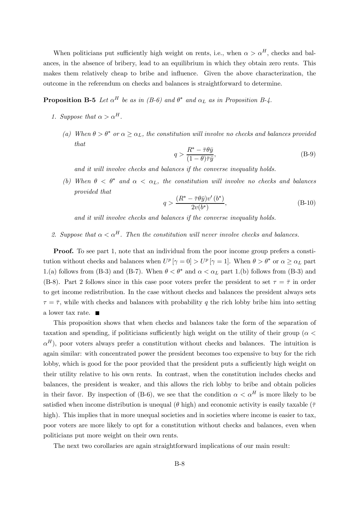When politicians put sufficiently high weight on rents, i.e., when  $\alpha > \alpha^H$ , checks and balances, in the absence of bribery, lead to an equilibrium in which they obtain zero rents. This makes them relatively cheap to bribe and influence. Given the above characterization, the outcome in the referendum on checks and balances is straightforward to determine.

**Proposition B-5** Let  $\alpha^H$  be as in (B-6) and  $\theta^*$  and  $\alpha_L$  as in Proposition B-4.

- 1. Suppose that  $\alpha > \alpha^H$ .
	- (a) When  $\theta > \theta^*$  or  $\alpha \geq \alpha_L$ , the constitution will involve no checks and balances provided that

$$
q > \frac{R^* - \bar{\tau}\theta\bar{y}}{(1 - \theta)\bar{\tau}\bar{y}},
$$
 (B-9)

and it will involve checks and balances if the converse inequality holds.

(b) When  $\theta < \theta^*$  and  $\alpha < \alpha_L$ , the constitution will involve no checks and balances provided that

$$
q > \frac{(R^* - \bar{\tau}\theta\bar{y})v'(b^*)}{2v(b^*)},
$$
\n(B-10)

and it will involve checks and balances if the converse inequality holds.

2. Suppose that  $\alpha < \alpha^H$ . Then the constitution will never involve checks and balances.

**Proof.** To see part 1, note that an individual from the poor income group prefers a constitution without checks and balances when  $U^p[\gamma = 0] > U^p[\gamma = 1]$ . When  $\theta > \theta^*$  or  $\alpha \geq \alpha_L$  part 1.(a) follows from (B-3) and (B-7). When  $\theta < \theta^*$  and  $\alpha < \alpha_L$  part 1.(b) follows from (B-3) and (B-8). Part 2 follows since in this case poor voters prefer the president to set  $\tau = \overline{\tau}$  in order to get income redistribution. In the case without checks and balances the president always sets  $\tau = \overline{\tau}$ , while with checks and balances with probability q the rich lobby bribe him into setting a lower tax rate.  $\blacksquare$ 

This proposition shows that when checks and balances take the form of the separation of taxation and spending, if politicians sufficiently high weight on the utility of their group ( $\alpha$  <  $\alpha^{H}$ ), poor voters always prefer a constitution without checks and balances. The intuition is again similar: with concentrated power the president becomes too expensive to buy for the rich lobby, which is good for the poor provided that the president puts a sufficiently high weight on their utility relative to his own rents. In contrast, when the constitution includes checks and balances, the president is weaker, and this allows the rich lobby to bribe and obtain policies in their favor. By inspection of (B-6), we see that the condition  $\alpha < \alpha^H$  is more likely to be satisfied when income distribution is unequal ( $\theta$  high) and economic activity is easily taxable ( $\bar{\tau}$ ) high). This implies that in more unequal societies and in societies where income is easier to tax, poor voters are more likely to opt for a constitution without checks and balances, even when politicians put more weight on their own rents.

The next two corollaries are again straightforward implications of our main result: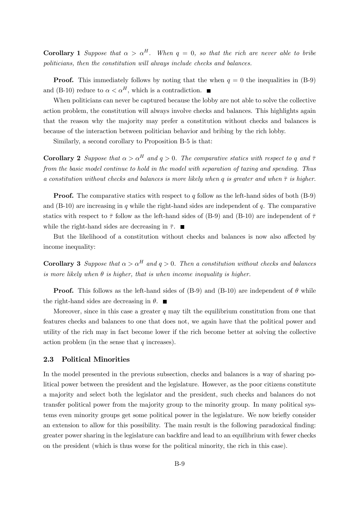**Corollary 1** Suppose that  $\alpha > \alpha^H$ . When  $q = 0$ , so that the rich are never able to bribe politicians, then the constitution will always include checks and balances.

**Proof.** This immediately follows by noting that the when  $q = 0$  the inequalities in (B-9) and (B-10) reduce to  $\alpha < \alpha^H$ , which is a contradiction.

When politicians can never be captured because the lobby are not able to solve the collective action problem, the constitution will always involve checks and balances. This highlights again that the reason why the majority may prefer a constitution without checks and balances is because of the interaction between politician behavior and bribing by the rich lobby.

Similarly, a second corollary to Proposition B-5 is that:

**Corollary 2** Suppose that  $\alpha > \alpha^H$  and  $q > 0$ . The comparative statics with respect to q and  $\bar{\tau}$ from the basic model continue to hold in the model with separation of taxing and spending. Thus a constitution without checks and balances is more likely when q is greater and when  $\bar{\tau}$  is higher.

**Proof.** The comparative statics with respect to  $q$  follow as the left-hand sides of both (B-9) and  $(B-10)$  are increasing in q while the right-hand sides are independent of q. The comparative statics with respect to  $\bar{\tau}$  follow as the left-hand sides of (B-9) and (B-10) are independent of  $\bar{\tau}$ while the right-hand sides are decreasing in  $\bar{\tau}$ .

But the likelihood of a constitution without checks and balances is now also affected by income inequality:

**Corollary 3** Suppose that  $\alpha > \alpha^H$  and  $q > 0$ . Then a constitution without checks and balances is more likely when  $\theta$  is higher, that is when income inequality is higher.

**Proof.** This follows as the left-hand sides of (B-9) and (B-10) are independent of  $\theta$  while the right-hand sides are decreasing in  $\theta$ .

Moreover, since in this case a greater  $q$  may tilt the equilibrium constitution from one that features checks and balances to one that does not, we again have that the political power and utility of the rich may in fact become lower if the rich become better at solving the collective action problem (in the sense that  $q$  increases).

#### 2.3 Political Minorities

In the model presented in the previous subsection, checks and balances is a way of sharing political power between the president and the legislature. However, as the poor citizens constitute a majority and select both the legislator and the president, such checks and balances do not transfer political power from the majority group to the minority group. In many political systems even minority groups get some political power in the legislature. We now briefly consider an extension to allow for this possibility. The main result is the following paradoxical finding: greater power sharing in the legislature can backfire and lead to an equilibrium with fewer checks on the president (which is thus worse for the political minority, the rich in this case).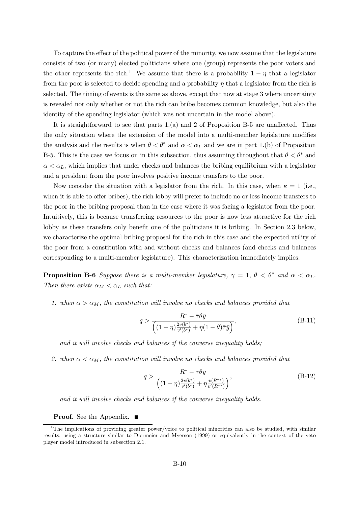To capture the effect of the political power of the minority, we now assume that the legislature consists of two (or many) elected politicians where one (group) represents the poor voters and the other represents the rich.<sup>1</sup> We assume that there is a probability  $1 - \eta$  that a legislator from the poor is selected to decide spending and a probability  $\eta$  that a legislator from the rich is selected. The timing of events is the same as above, except that now at stage 3 where uncertainty is revealed not only whether or not the rich can bribe becomes common knowledge, but also the identity of the spending legislator (which was not uncertain in the model above).

It is straightforward to see that parts 1.(a) and 2 of Proposition B-5 are unaffected. Thus the only situation where the extension of the model into a multi-member legislature modifies the analysis and the results is when  $\theta < \theta^*$  and  $\alpha < \alpha_L$  and we are in part 1.(b) of Proposition B-5. This is the case we focus on in this subsection, thus assuming throughout that  $\theta < \theta^*$  and  $\alpha < \alpha_L$ , which implies that under checks and balances the bribing equilibrium with a legislator and a president from the poor involves positive income transfers to the poor.

Now consider the situation with a legislator from the rich. In this case, when  $\kappa = 1$  (i.e., when it is able to offer bribes), the rich lobby will prefer to include no or less income transfers to the poor in the bribing proposal than in the case where it was facing a legislator from the poor. Intuitively, this is because transferring resources to the poor is now less attractive for the rich lobby as these transfers only benefit one of the politicians it is bribing. In Section 2.3 below, we characterize the optimal bribing proposal for the rich in this case and the expected utility of the poor from a constitution with and without checks and balances (and checks and balances corresponding to a multi-member legislature). This characterization immediately implies:

**Proposition B-6** Suppose there is a multi-member legislature,  $\gamma = 1, \theta < \theta^*$  and  $\alpha < \alpha_L$ . Then there exists  $\alpha_M < \alpha_L$  such that:

1. when  $\alpha > \alpha_M$ , the constitution will involve no checks and balances provided that

$$
q > \frac{R^* - \bar{\tau}\theta\bar{y}}{\left((1-\eta)\frac{2v(b^*)}{v'(b^*)} + \eta(1-\theta)\bar{\tau}\bar{y}\right)},
$$
\n(B-11)

and it will involve checks and balances if the converse inequality holds;

2. when  $\alpha < \alpha_M$ , the constitution will involve no checks and balances provided that

$$
q > \frac{R^* - \bar{\tau}\theta\bar{y}}{\left((1-\eta)\frac{2v(b^*)}{v'(b^*)} + \eta\frac{v(R^{**})}{v'(R^{**})}\right)},
$$
\n(B-12)

and it will involve checks and balances if the converse inequality holds.

**Proof.** See the Appendix. ■

<sup>&</sup>lt;sup>1</sup>The implications of providing greater power/voice to political minorities can also be studied, with similar results, using a structure similar to Diermeier and Myerson (1999) or equivalently in the context of the veto player model introduced in subsection 2.1.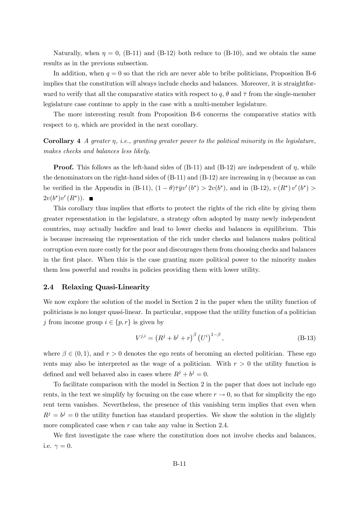Naturally, when  $\eta = 0$ , (B-11) and (B-12) both reduce to (B-10), and we obtain the same results as in the previous subsection.

In addition, when  $q = 0$  so that the rich are never able to bribe politicians, Proposition B-6 implies that the constitution will always include checks and balances. Moreover, it is straightforward to verify that all the comparative statics with respect to q,  $\theta$  and  $\bar{\tau}$  from the single-member legislature case continue to apply in the case with a multi-member legislature.

The more interesting result from Proposition B-6 concerns the comparative statics with respect to  $\eta$ , which are provided in the next corollary.

**Corollary 4** A greater  $\eta$ , i.e., granting greater power to the political minority in the legislature, makes checks and balances less likely.

**Proof.** This follows as the left-hand sides of  $(B-11)$  and  $(B-12)$  are independent of  $\eta$ , while the denominators on the right-hand sides of  $(B-11)$  and  $(B-12)$  are increasing in  $\eta$  (because as can be verified in the Appendix in (B-11),  $(1 - \theta)\bar{\tau}\bar{y}v'(b^*) > 2v(b^*)$ , and in (B-12),  $v(R^*)v'(b^*) >$  $2v(b^*)v'(R^*))$ .  $\blacksquare$ 

This corollary thus implies that efforts to protect the rights of the rich elite by giving them greater representation in the legislature, a strategy often adopted by many newly independent countries, may actually backfire and lead to lower checks and balances in equilibrium. This is because increasing the representation of the rich under checks and balances makes political corruption even more costly for the poor and discourages them from choosing checks and balances in the first place. When this is the case granting more political power to the minority makes them less powerful and results in policies providing them with lower utility.

#### 2.4 Relaxing Quasi-Linearity

We now explore the solution of the model in Section 2 in the paper when the utility function of politicians is no longer quasi-linear. In particular, suppose that the utility function of a politician j from income group  $i \in \{p, r\}$  is given by

$$
V^{j,i} = (R^j + b^j + r)^{\beta} (U^i)^{1-\beta}, \tag{B-13}
$$

where  $\beta \in (0,1)$ , and  $r > 0$  denotes the ego rents of becoming an elected politician. These ego rents may also be interpreted as the wage of a politician. With  $r > 0$  the utility function is defined and well behaved also in cases where  $R^j + b^j = 0$ .

To facilitate comparison with the model in Section 2 in the paper that does not include ego rents, in the text we simplify by focusing on the case where  $r \to 0$ , so that for simplicity the ego rent term vanishes. Nevertheless, the presence of this vanishing term implies that even when  $R^{j} = b^{j} = 0$  the utility function has standard properties. We show the solution in the slightly more complicated case when  $r$  can take any value in Section 2.4.

We first investigate the case where the constitution does not involve checks and balances, i.e.  $\gamma = 0$ .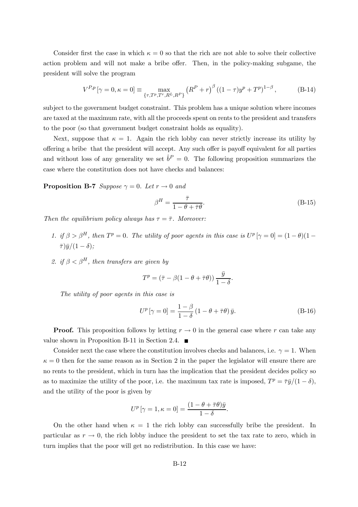Consider first the case in which  $\kappa = 0$  so that the rich are not able to solve their collective action problem and will not make a bribe offer. Then, in the policy-making subgame, the president will solve the program

$$
V^{P,p}[\gamma=0, \kappa=0] \equiv \max_{\{\tau, T^p, T^r, R^L, R^P\}} \left(R^P + r\right)^{\beta} \left((1-\tau)y^p + T^p\right)^{1-\beta},\tag{B-14}
$$

subject to the government budget constraint. This problem has a unique solution where incomes are taxed at the maximum rate, with all the proceeds spent on rents to the president and transfers to the poor (so that government budget constraint holds as equality).

Next, suppose that  $\kappa = 1$ . Again the rich lobby can never strictly increase its utility by offering a bribe that the president will accept. Any such offer is payoff equivalent for all parties and without loss of any generality we set  $\hat{b}^P = 0$ . The following proposition summarizes the case where the constitution does not have checks and balances:

**Proposition B-7** Suppose  $\gamma = 0$ . Let  $r \to 0$  and

$$
\beta^H = \frac{\bar{\tau}}{1 - \theta + \bar{\tau}\theta}.
$$
\n(B-15)

Then the equilibrium policy always has  $\tau = \overline{\tau}$ . Moreover:

- 1. if  $\beta > \beta^H$ , then  $T^p = 0$ . The utility of poor agents in this case is  $U^p[\gamma = 0] = (1 \theta)(1 \beta)$  $\bar{\tau}$ ) $\bar{y}/(1 - \delta)$ ;
- 2. if  $\beta < \beta^H$ , then transfers are given by

$$
T^{p} = (\bar{\tau} - \beta(1 - \theta + \bar{\tau}\theta))\frac{\bar{y}}{1 - \delta}.
$$

The utility of poor agents in this case is

$$
U^{p}\left[\gamma=0\right] = \frac{1-\beta}{1-\delta} \left(1-\theta+\overline{\tau}\theta\right) \bar{y}.
$$
 (B-16)

**Proof.** This proposition follows by letting  $r \to 0$  in the general case where r can take any value shown in Proposition B-11 in Section 2.4.  $\blacksquare$ 

Consider next the case where the constitution involves checks and balances, i.e.  $\gamma = 1$ . When  $\kappa = 0$  then for the same reason as in Section 2 in the paper the legislator will ensure there are no rents to the president, which in turn has the implication that the president decides policy so as to maximize the utility of the poor, i.e. the maximum tax rate is imposed,  $T^p = \bar{\tau} \bar{y}/(1 - \delta)$ , and the utility of the poor is given by

$$
U^{p}\left[\gamma=1,\kappa=0\right]=\frac{(1-\theta+\bar{\tau}\theta)\bar{y}}{1-\delta}.
$$

On the other hand when  $\kappa = 1$  the rich lobby can successfully bribe the president. In particular as  $r \to 0$ , the rich lobby induce the president to set the tax rate to zero, which in turn implies that the poor will get no redistribution. In this case we have: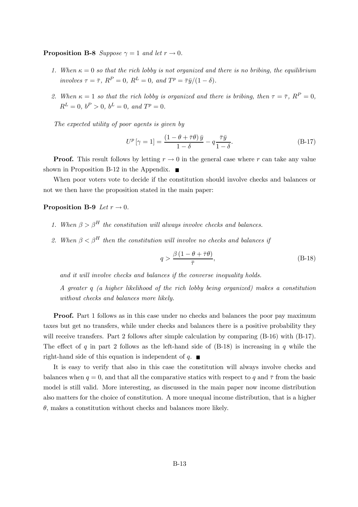**Proposition B-8** Suppose  $\gamma = 1$  and let  $r \to 0$ .

- 1. When  $\kappa = 0$  so that the rich lobby is not organized and there is no bribing, the equilibrium involves  $\tau = \overline{\tau}$ ,  $R^P = 0$ ,  $R^L = 0$ , and  $T^p = \overline{\tau} \overline{y}/(1 - \delta)$ .
- 2. When  $\kappa = 1$  so that the rich lobby is organized and there is bribing, then  $\tau = \bar{\tau}$ ,  $R^P = 0$ ,  $R^L = 0, b^P > 0, b^L = 0, and T^p = 0.$

The expected utility of poor agents is given by

$$
U^{p}\left[\gamma=1\right] = \frac{\left(1-\theta+\bar{\tau}\theta\right)\bar{y}}{1-\delta} - q\frac{\bar{\tau}\bar{y}}{1-\delta}.\tag{B-17}
$$

**Proof.** This result follows by letting  $r \to 0$  in the general case where r can take any value shown in Proposition B-12 in the Appendix.  $\blacksquare$ 

When poor voters vote to decide if the constitution should involve checks and balances or not we then have the proposition stated in the main paper:

#### **Proposition B-9** Let  $r \to 0$ .

- 1. When  $\beta > \beta^H$  the constitution will always involve checks and balances.
- 2. When  $\beta < \beta^H$  then the constitution will involve no checks and balances if

$$
q > \frac{\beta \left(1 - \theta + \bar{\tau}\theta\right)}{\bar{\tau}},\tag{B-18}
$$

and it will involve checks and balances if the converse inequality holds.

A greater  $q$  (a higher likelihood of the rich lobby being organized) makes a constitution without checks and balances more likely.

**Proof.** Part 1 follows as in this case under no checks and balances the poor pay maximum taxes but get no transfers, while under checks and balances there is a positive probability they will receive transfers. Part 2 follows after simple calculation by comparing  $(B-16)$  with  $(B-17)$ . The effect of q in part 2 follows as the left-hand side of  $(B-18)$  is increasing in q while the right-hand side of this equation is independent of q.  $\blacksquare$ 

It is easy to verify that also in this case the constitution will always involve checks and balances when  $q = 0$ , and that all the comparative statics with respect to q and  $\bar{\tau}$  from the basic model is still valid. More interesting, as discussed in the main paper now income distribution also matters for the choice of constitution. A more unequal income distribution, that is a higher  $\theta$ , makes a constitution without checks and balances more likely.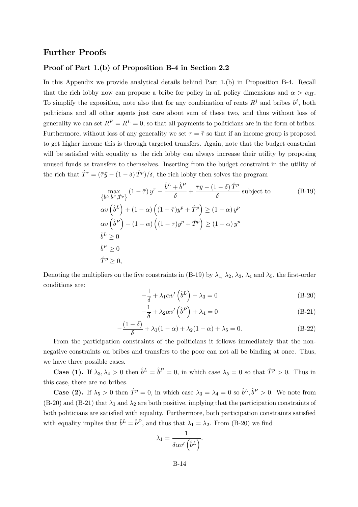## Further Proofs

#### Proof of Part 1.(b) of Proposition B-4 in Section 2.2

In this Appendix we provide analytical details behind Part 1.(b) in Proposition B-4. Recall that the rich lobby now can propose a bribe for policy in all policy dimensions and  $\alpha > \alpha_H$ . To simplify the exposition, note also that for any combination of rents  $R^j$  and bribes  $b^j$ , both politicians and all other agents just care about sum of these two, and thus without loss of generality we can set  $R^P = R^L = 0$ , so that all payments to politicians are in the form of bribes. Furthermore, without loss of any generality we set  $\tau = \overline{\tau}$  so that if an income group is proposed to get higher income this is through targeted transfers. Again, note that the budget constraint will be satisfied with equality as the rich lobby can always increase their utility by proposing unused funds as transfers to themselves. Inserting from the budget constraint in the utility of the rich that  $\hat{T}^r = (\bar{\tau}\bar{y} - (1 - \delta)\hat{T}^p)/\delta$ , the rich lobby then solves the program

$$
\max_{\{\hat{b}^L, \hat{b}^P, \hat{T}^p\}} (1 - \bar{\tau}) y^r - \frac{\hat{b}^L + \hat{b}^P}{\delta} + \frac{\bar{\tau} \bar{y} - (1 - \delta) \hat{T}^p}{\delta} \text{ subject to}
$$
\n
$$
\alpha v \left(\hat{b}^L\right) + (1 - \alpha) \left((1 - \bar{\tau}) y^p + \hat{T}^p\right) \ge (1 - \alpha) y^p
$$
\n
$$
\alpha v \left(\hat{b}^P\right) + (1 - \alpha) \left((1 - \bar{\tau}) y^p + \hat{T}^p\right) \ge (1 - \alpha) y^p
$$
\n
$$
\hat{b}^L \ge 0
$$
\n
$$
\hat{b}^P \ge 0
$$
\n
$$
\hat{T}^p \ge 0,
$$
\n
$$
\hat{T}^p \ge 0,
$$
\n(11)

Denoting the multipliers on the five constraints in (B-19) by  $\lambda_1$ ,  $\lambda_2$ ,  $\lambda_3$ ,  $\lambda_4$  and  $\lambda_5$ , the first-order conditions are:

$$
-\frac{1}{\delta} + \lambda_1 \alpha v' \left(\hat{b}^L\right) + \lambda_3 = 0 \tag{B-20}
$$

$$
-\frac{1}{\delta} + \lambda_2 \alpha v' \left(\hat{b}^P\right) + \lambda_4 = 0 \tag{B-21}
$$

$$
-\frac{(1-\delta)}{\delta} + \lambda_1(1-\alpha) + \lambda_2(1-\alpha) + \lambda_5 = 0.
$$
 (B-22)

From the participation constraints of the politicians it follows immediately that the nonnegative constraints on bribes and transfers to the poor can not all be binding at once. Thus, we have three possible cases.

**Case (1).** If  $\lambda_3, \lambda_4 > 0$  then  $\hat{b}^L = \hat{b}^P = 0$ , in which case  $\lambda_5 = 0$  so that  $\hat{T}^p > 0$ . Thus in this case, there are no bribes.

**Case (2).** If  $\lambda_5 > 0$  then  $\hat{T}^p = 0$ , in which case  $\lambda_3 = \lambda_4 = 0$  so  $\hat{b}^L, \hat{b}^P > 0$ . We note from (B-20) and (B-21) that  $\lambda_1$  and  $\lambda_2$  are both positive, implying that the participation constraints of both politicians are satisfied with equality. Furthermore, both participation constraints satisfied with equality implies that  $\hat{b}^L = \hat{b}^P$ , and thus that  $\lambda_1 = \lambda_2$ . From (B-20) we find

$$
\lambda_1 = \frac{1}{\delta \alpha v' \left(\hat{b}^L\right)}.
$$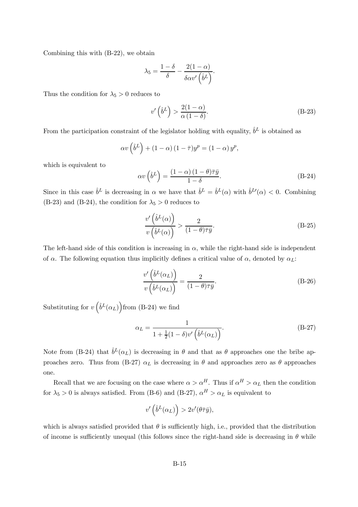Combining this with (B-22), we obtain

$$
\lambda_5 = \frac{1-\delta}{\delta} - \frac{2(1-\alpha)}{\delta \alpha v' \left(\hat{b}^L\right)}.
$$

Thus the condition for  $\lambda_5 > 0$  reduces to

$$
v'\left(\hat{b}^L\right) > \frac{2(1-\alpha)}{\alpha(1-\delta)}.\tag{B-23}
$$

From the participation constraint of the legislator holding with equality,  $\hat{b}^L$  is obtained as

$$
\alpha v\left(\hat{b}^L\right) + (1 - \alpha)\left(1 - \bar{\tau}\right)y^p = \left(1 - \alpha\right)y^p,
$$

which is equivalent to

$$
\alpha v \left(\hat{b}^L\right) = \frac{(1-\alpha)(1-\theta)\bar{\tau}\bar{y}}{1-\delta}.
$$
 (B-24)

Since in this case  $\hat{b}^L$  is decreasing in  $\alpha$  we have that  $\hat{b}^L = \hat{b}^L(\alpha)$  with  $\hat{b}^{L'}(\alpha) < 0$ . Combining (B-23) and (B-24), the condition for  $\lambda_5 > 0$  reduces to

$$
\frac{v'\left(\hat{b}^L(\alpha)\right)}{v\left(\hat{b}^L(\alpha)\right)} > \frac{2}{(1-\theta)\bar{\tau}\bar{y}}.\tag{B-25}
$$

The left-hand side of this condition is increasing in  $\alpha$ , while the right-hand side is independent of  $\alpha$ . The following equation thus implicitly defines a critical value of  $\alpha$ , denoted by  $\alpha$ <sub>L</sub>:

$$
\frac{v'\left(\hat{b}^L(\alpha_L)\right)}{v\left(\hat{b}^L(\alpha_L)\right)} = \frac{2}{(1-\theta)\bar{\tau}\bar{y}}.\tag{B-26}
$$

Substituting for  $v\left(\hat{b}^L(\alpha_L)\right)$  from (B-24) we find

$$
\alpha_L = \frac{1}{1 + \frac{1}{2}(1 - \delta)v'\left(\hat{b}^L(\alpha_L)\right)}.\tag{B-27}
$$

Note from (B-24) that  $\hat{b}^L(\alpha_L)$  is decreasing in  $\theta$  and that as  $\theta$  approaches one the bribe approaches zero. Thus from (B-27)  $\alpha_L$  is decreasing in  $\theta$  and approaches zero as  $\theta$  approaches one.

Recall that we are focusing on the case where  $\alpha > \alpha^H$ . Thus if  $\alpha^H > \alpha_L$  then the condition for  $\lambda_5 > 0$  is always satisfied. From (B-6) and (B-27),  $\alpha^H > \alpha_L$  is equivalent to

$$
v'\left(\hat{b}^L(\alpha_L)\right) > 2v'(\theta \bar{\tau} \bar{y}),
$$

which is always satisfied provided that  $\theta$  is sufficiently high, i.e., provided that the distribution of income is sufficiently unequal (this follows since the right-hand side is decreasing in  $\theta$  while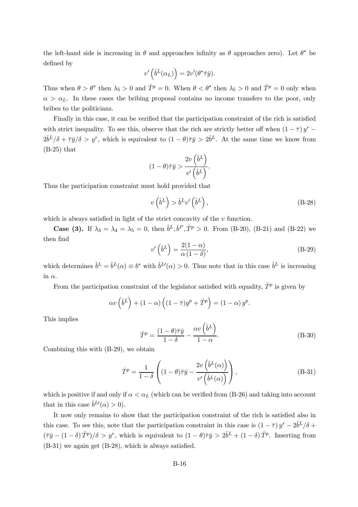the left-hand side is increasing in  $\theta$  and approaches infinity as  $\theta$  approaches zero). Let  $\theta^*$  be defined by

$$
v'\left(\hat{b}^L(\alpha_L)\right) = 2v'(\theta^*\bar{\tau}\bar{y}).
$$

Thus when  $\theta > \theta^*$  then  $\lambda_5 > 0$  and  $\hat{T}^p = 0$ . When  $\theta < \theta^*$  then  $\lambda_5 > 0$  and  $\hat{T}^p = 0$  only when  $\alpha > \alpha_L$ . In these cases the bribing proposal contains no income transfers to the poor, only bribes to the politicians.

Finally in this case, it can be verified that the participation constraint of the rich is satisfied with strict inequality. To see this, observe that the rich are strictly better off when  $(1 - \overline{\tau}) y^r$  –  $2\hat{b}^L/\delta + \bar{\tau}\bar{y}/\delta > y^r$ , which is equivalent to  $(1 - \theta)\bar{\tau}\bar{y} > 2\hat{b}^L$ . At the same time we know from  $(B-25)$  that

$$
(1-\theta)\bar{\tau}\bar{y} > \frac{2v\left(\hat{b}^L\right)}{v'\left(\hat{b}^L\right)}.
$$

Thus the participation constraint must hold provided that

$$
v\left(\hat{b}^L\right) > \hat{b}^L v'\left(\hat{b}^L\right),\tag{B-28}
$$

which is always satisfied in light of the strict concavity of the  $v$  function.

**Case (3).** If  $\lambda_3 = \lambda_4 = \lambda_5 = 0$ , then  $\hat{b}^L, \hat{b}^P, \hat{T}^P > 0$ . From (B-20), (B-21) and (B-22) we then find

$$
v'\left(\hat{b}^L\right) = \frac{2(1-\alpha)}{\alpha(1-\delta)},\tag{B-29}
$$

which determines  $\hat{b}^L = \hat{b}^L(\alpha) \equiv b^*$  with  $\hat{b}^{L'}(\alpha) > 0$ . Thus note that in this case  $\hat{b}^L$  is increasing in  $\alpha$ .

From the participation constraint of the legislator satisfied with equality,  $\hat{T}^p$  is given by

$$
\alpha v\left(\hat{b}^L\right) + (1-\alpha)\left((1-\bar{\tau})y^p + \hat{T}^p\right) = (1-\alpha)y^p.
$$

This implies

$$
\hat{T}^{p} = \frac{(1-\theta)\bar{\tau}\bar{y}}{1-\delta} - \frac{\alpha v\left(\hat{b}^{L}\right)}{1-\alpha}.
$$
\n(B-30)

Combining this with (B-29), we obtain

$$
\hat{T}^{p} = \frac{1}{1-\delta} \left( (1-\theta)\bar{\tau}\bar{y} - \frac{2v\left(\hat{b}^{L}(\alpha)\right)}{v'\left(\hat{b}^{L}(\alpha)\right)} \right),
$$
\n(B-31)

which is positive if and only if  $\alpha < \alpha_L$  (which can be verified from (B-26) and taking into account that in this case  $\hat{b}^{L}(\alpha) > 0$ .

It now only remains to show that the participation constraint of the rich is satisfied also in this case. To see this, note that the participation constraint in this case is  $(1 - \bar{\tau}) y^r - 2\hat{b}^L/\delta$  +  $(\bar{\tau}\bar{y}-(1-\delta)\hat{T}^p)/\delta>y^r$ , which is equivalent to  $(1-\theta)\bar{\tau}\bar{y}>2\hat{b}^L+(1-\delta)\hat{T}^p$ . Inserting from (B-31) we again get (B-28), which is always satisfied.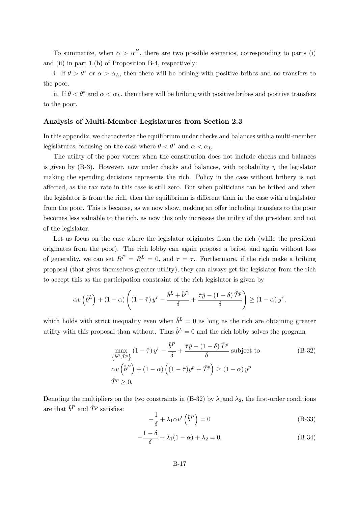To summarize, when  $\alpha > \alpha^H$ , there are two possible scenarios, corresponding to parts (i) and (ii) in part 1.(b) of Proposition B-4, respectively:

i. If  $\theta > \theta^*$  or  $\alpha > \alpha_L$ , then there will be bribing with positive bribes and no transfers to the poor.

ii. If  $\theta < \theta^*$  and  $\alpha < \alpha_L$ , then there will be bribing with positive bribes and positive transfers to the poor.

#### Analysis of Multi-Member Legislatures from Section 2.3

In this appendix, we characterize the equilibrium under checks and balances with a multi-member legislatures, focusing on the case where  $\theta < \theta^*$  and  $\alpha < \alpha_L$ .

The utility of the poor voters when the constitution does not include checks and balances is given by  $(B-3)$ . However, now under checks and balances, with probability  $\eta$  the legislator making the spending decisions represents the rich. Policy in the case without bribery is not affected, as the tax rate in this case is still zero. But when politicians can be bribed and when the legislator is from the rich, then the equilibrium is different than in the case with a legislator from the poor. This is because, as we now show, making an offer including transfers to the poor becomes less valuable to the rich, as now this only increases the utility of the president and not of the legislator.

Let us focus on the case where the legislator originates from the rich (while the president originates from the poor). The rich lobby can again propose a bribe, and again without loss of generality, we can set  $R^P = R^L = 0$ , and  $\tau = \overline{\tau}$ . Furthermore, if the rich make a bribing proposal (that gives themselves greater utility), they can always get the legislator from the rich to accept this as the participation constraint of the rich legislator is given by

$$
\alpha v\left(\hat{b}^L\right) + \left(1 - \alpha\right)\left(\left(1 - \bar{\tau}\right)y^r - \frac{\hat{b}^L + \hat{b}^P}{\delta} + \frac{\bar{\tau}\bar{y} - \left(1 - \delta\right)\hat{T}^p}{\delta}\right) \geq \left(1 - \alpha\right)y^r,
$$

which holds with strict inequality even when  $\hat{b}^L = 0$  as long as the rich are obtaining greater utility with this proposal than without. Thus  $\hat{b}^L = 0$  and the rich lobby solves the program

$$
\max_{\{\hat{b}^P, \hat{T}^p\}} (1 - \bar{\tau}) y^r - \frac{\hat{b}^P}{\delta} + \frac{\bar{\tau} \bar{y} - (1 - \delta) \hat{T}^p}{\delta} \text{ subject to}
$$
\n
$$
\alpha v \left(\hat{b}^P\right) + (1 - \alpha) \left((1 - \bar{\tau}) y^p + \hat{T}^p\right) \ge (1 - \alpha) y^p
$$
\n
$$
\hat{T}^p \ge 0,
$$
\n(B-32)

Denoting the multipliers on the two constraints in (B-32) by  $\lambda_1$  and  $\lambda_2$ , the first-order conditions are that  $\hat{b}^P$  and  $\hat{T}^p$  satisfies:

$$
-\frac{1}{\delta} + \lambda_1 \alpha v' \left(\hat{b}^P\right) = 0 \tag{B-33}
$$

$$
-\frac{1-\delta}{\delta} + \lambda_1(1-\alpha) + \lambda_2 = 0.
$$
 (B-34)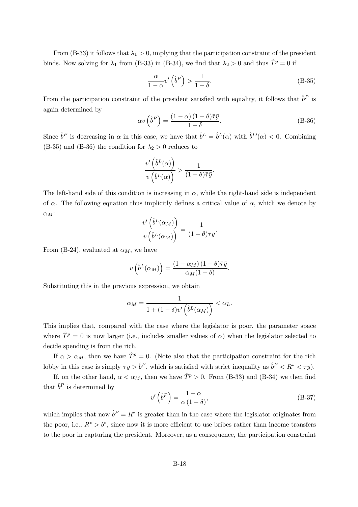From (B-33) it follows that  $\lambda_1 > 0$ , implying that the participation constraint of the president binds. Now solving for  $\lambda_1$  from (B-33) in (B-34), we find that  $\lambda_2 > 0$  and thus  $\hat{T}^p = 0$  if

$$
\frac{\alpha}{1-\alpha}v'\left(\hat{b}^P\right) > \frac{1}{1-\delta}.\tag{B-35}
$$

From the participation constraint of the president satisfied with equality, it follows that  $\hat{b}^P$  is again determined by

$$
\alpha v \left( \hat{b}^P \right) = \frac{(1 - \alpha)(1 - \theta)\bar{\tau}\bar{y}}{1 - \delta}.
$$
 (B-36)

Since  $\hat{b}^P$  is decreasing in  $\alpha$  in this case, we have that  $\hat{b}^L = \hat{b}^L(\alpha)$  with  $\hat{b}^{L'}(\alpha) < 0$ . Combining (B-35) and (B-36) the condition for  $\lambda_2 > 0$  reduces to

$$
\frac{v'\left(\hat{b}^L(\alpha)\right)}{v\left(\hat{b}^L(\alpha)\right)} > \frac{1}{(1-\theta)\bar{\tau}\bar{y}}.
$$

The left-hand side of this condition is increasing in  $\alpha$ , while the right-hand side is independent of  $\alpha$ . The following equation thus implicitly defines a critical value of  $\alpha$ , which we denote by  $\alpha_M$ :

$$
\frac{v'\left(\hat{b}^{L}(\alpha_M)\right)}{v\left(\hat{b}^{L}(\alpha_M)\right)} = \frac{1}{(1-\theta)\bar{\tau}\bar{y}}.
$$

From (B-24), evaluated at  $\alpha_M$ , we have

$$
v\left(\hat{b}^{L}(\alpha_{M})\right) = \frac{(1-\alpha_{M})(1-\theta)\overline{\tau}\overline{y}}{\alpha_{M}(1-\delta)}.
$$

Substituting this in the previous expression, we obtain

$$
\alpha_M = \frac{1}{1 + (1 - \delta)v'\left(\hat{b}^L(\alpha_M)\right)} < \alpha_L.
$$

This implies that, compared with the case where the legislator is poor, the parameter space where  $\hat{T}^p = 0$  is now larger (i.e., includes smaller values of  $\alpha$ ) when the legislator selected to decide spending is from the rich.

If  $\alpha > \alpha_M$ , then we have  $\hat{T}^p = 0$ . (Note also that the participation constraint for the rich lobby in this case is simply  $\bar{\tau} \bar{y} > \hat{b}^P$ , which is satisfied with strict inequality as  $\hat{b}^P < R^* < \bar{\tau} \bar{y}$ .

If, on the other hand,  $\alpha < \alpha_M$ , then we have  $\hat{T}^p > 0$ . From (B-33) and (B-34) we then find that  $\hat{b}^P$  is determined by

$$
v'\left(\hat{b}^P\right) = \frac{1-\alpha}{\alpha\left(1-\delta\right)},\tag{B-37}
$$

which implies that now  $\hat{b}^P = R^*$  is greater than in the case where the legislator originates from the poor, i.e.,  $R^* > b^*$ , since now it is more efficient to use bribes rather than income transfers to the poor in capturing the president. Moreover, as a consequence, the participation constraint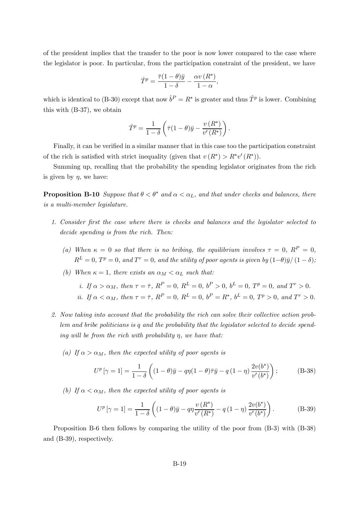of the president implies that the transfer to the poor is now lower compared to the case where the legislator is poor. In particular, from the participation constraint of the president, we have

$$
\hat{T}^p = \frac{\bar{\tau}(1-\theta)\bar{y}}{1-\delta} - \frac{\alpha v(R^*)}{1-\alpha},
$$

which is identical to (B-30) except that now  $\hat{b}^P = R^*$  is greater and thus  $\hat{T}^p$  is lower. Combining this with (B-37), we obtain

$$
\hat{T}^{p} = \frac{1}{1-\delta} \left( \bar{\tau} (1-\theta) \bar{y} - \frac{v(R^{*})}{v'(R^{*})} \right).
$$

Finally, it can be verified in a similar manner that in this case too the participation constraint of the rich is satisfied with strict inequality (given that  $v(R^*) > R^*v'(R^*)$ ).

Summing up, recalling that the probability the spending legislator originates from the rich is given by  $\eta$ , we have:

**Proposition B-10** Suppose that  $\theta < \theta^*$  and  $\alpha < \alpha_L$ , and that under checks and balances, there is a multi-member legislature.

- 1. Consider first the case where there is checks and balances and the legislator selected to decide spending is from the rich. Then:
	- (a) When  $\kappa = 0$  so that there is no briting, the equilibrium involves  $\tau = 0$ ,  $R^P = 0$ ,  $R^L = 0$ ,  $T^p = 0$ , and  $T^r = 0$ , and the utility of poor agents is given by  $(1-\theta)\bar{y}/(1-\delta)$ ;
	- (b) When  $\kappa = 1$ , there exists an  $\alpha_M < \alpha_L$  such that:
		- i. If  $\alpha > \alpha_M$ , then  $\tau = \bar{\tau}$ ,  $R^P = 0$ ,  $R^L = 0$ ,  $b^P > 0$ ,  $b^L = 0$ ,  $T^P = 0$ , and  $T^r > 0$ . ii. If  $\alpha < \alpha_M$ , then  $\tau = \bar{\tau}$ ,  $R^P = 0$ ,  $R^L = 0$ ,  $b^P = R^*$ ,  $b^L = 0$ ,  $T^P > 0$ , and  $T^r > 0$ .
- 2. Now taking into account that the probability the rich can solve their collective action problem and bribe politicians is  $q$  and the probability that the legislator selected to decide spending will be from the rich with probability  $\eta$ , we have that:
	- (a) If  $\alpha > \alpha_M$ , then the expected utility of poor agents is

$$
U^{p}\left[\gamma=1\right] = \frac{1}{1-\delta} \left( (1-\theta)\bar{y} - q\eta(1-\theta)\bar{\tau}\bar{y} - q\left(1-\eta\right) \frac{2v(b^{*})}{v'(b^{*})} \right); \tag{B-38}
$$

(b) If  $\alpha < \alpha_M$ , then the expected utility of poor agents is

$$
U^{p} [\gamma = 1] = \frac{1}{1 - \delta} \left( (1 - \theta)\bar{y} - q\eta \frac{v(R^{*})}{v'(R^{*})} - q(1 - \eta) \frac{2v(b^{*})}{v'(b^{*})} \right). \tag{B-39}
$$

Proposition B-6 then follows by comparing the utility of the poor from (B-3) with (B-38) and (B-39), respectively.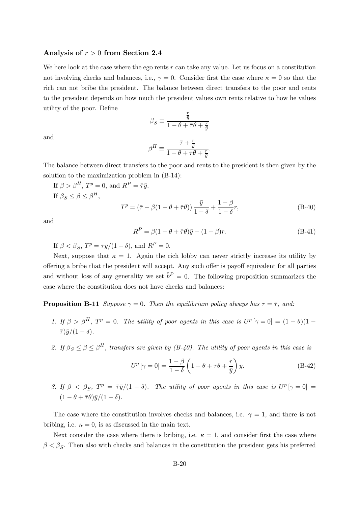#### Analysis of  $r > 0$  from Section 2.4

We here look at the case where the ego rents  $r$  can take any value. Let us focus on a constitution not involving checks and balances, i.e.,  $\gamma = 0$ . Consider first the case where  $\kappa = 0$  so that the rich can not bribe the president. The balance between direct transfers to the poor and rents to the president depends on how much the president values own rents relative to how he values utility of the poor. Define

$$
\beta_S \equiv \frac{\frac{r}{\bar{y}}}{1 - \theta + \bar{\tau}\theta + \frac{r}{\bar{y}}}
$$

and

$$
\beta^H \equiv \frac{\bar{\tau} + \frac{r}{\bar{y}}}{1 - \theta + \bar{\tau}\theta + \frac{r}{\bar{y}}}.
$$

The balance between direct transfers to the poor and rents to the president is then given by the solution to the maximization problem in (B-14):

If 
$$
\beta > \beta^H
$$
,  $T^p = 0$ , and  $R^P = \overline{\tau} \overline{y}$ .  
\nIf  $\beta_S \le \beta \le \beta^H$ ,  
\n
$$
T^p = (\overline{\tau} - \beta(1 - \theta + \overline{\tau}\theta)) \frac{\overline{y}}{1 - \delta} + \frac{1 - \beta}{1 - \delta} r,
$$
\n(B-40)

and

$$
R^{P} = \beta(1 - \theta + \bar{\tau}\theta)\bar{y} - (1 - \beta)r.
$$
 (B-41)

If  $\beta < \beta_S$ ,  $T^p = \overline{\tau} \overline{y}/(1-\delta)$ , and  $R^P = 0$ .

Next, suppose that  $\kappa = 1$ . Again the rich lobby can never strictly increase its utility by offering a bribe that the president will accept. Any such offer is payoff equivalent for all parties and without loss of any generality we set  $\hat{b}^P = 0$ . The following proposition summarizes the case where the constitution does not have checks and balances:

**Proposition B-11** Suppose  $\gamma = 0$ . Then the equilibrium policy always has  $\tau = \overline{\tau}$ , and:

- 1. If  $\beta > \beta^H$ ,  $T^p = 0$ . The utility of poor agents in this case is  $U^p[\gamma = 0] = (1 \theta)(1 \theta)$  $\bar{\tau}$ ) $\bar{u}/(1 - \delta)$ .
- 2. If  $\beta_S \leq \beta \leq \beta^H$ , transfers are given by (B-40). The utility of poor agents in this case is

$$
U^{p} [\gamma = 0] = \frac{1 - \beta}{1 - \delta} \left( 1 - \theta + \bar{\tau} \theta + \frac{r}{\bar{y}} \right) \bar{y}.
$$
 (B-42)

3. If  $\beta < \beta_S$ ,  $T^p = \overline{\tau} \overline{y}/(1 - \delta)$ . The utility of poor agents in this case is  $U^p[\gamma = 0] =$  $(1 - \theta + \overline{\tau}\theta)\overline{\eta}/(1 - \delta).$ 

The case where the constitution involves checks and balances, i.e.  $\gamma = 1$ , and there is not bribing, i.e.  $\kappa = 0$ , is as discussed in the main text.

Next consider the case where there is bribing, i.e.  $\kappa = 1$ , and consider first the case where  $\beta < \beta_S$ . Then also with checks and balances in the constitution the president gets his preferred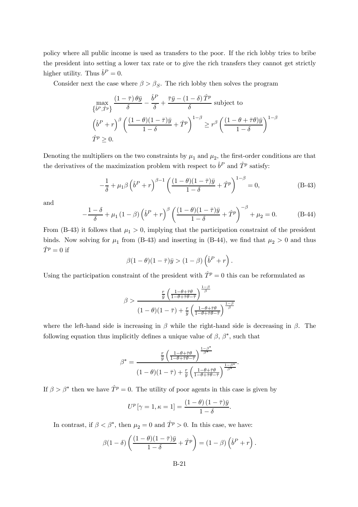policy where all public income is used as transfers to the poor. If the rich lobby tries to bribe the president into setting a lower tax rate or to give the rich transfers they cannot get strictly higher utility. Thus  $\hat{b}^P = 0$ .

Consider next the case where  $\beta > \beta_S$ . The rich lobby then solves the program

$$
\max_{\{\hat{b}^P, \hat{T}^p\}} \frac{(1-\bar{\tau}) \theta \bar{y}}{\delta} - \frac{\hat{b}^P}{\delta} + \frac{\bar{\tau} \bar{y} - (1-\delta) \hat{T}^p}{\delta} \text{ subject to}
$$

$$
\left(\hat{b}^P + r\right)^{\beta} \left(\frac{(1-\theta)(1-\bar{\tau})\bar{y}}{1-\delta} + \hat{T}^p\right)^{1-\beta} \ge r^{\beta} \left(\frac{(1-\theta+\bar{\tau}\theta)\bar{y}}{1-\delta}\right)^{1-\beta}
$$

$$
\hat{T}^p \ge 0.
$$

Denoting the multipliers on the two constraints by  $\mu_1$  and  $\mu_2$ , the first-order conditions are that the derivatives of the maximization problem with respect to  $\hat{b}^P$  and  $\hat{T}^p$  satisfy:

$$
-\frac{1}{\delta} + \mu_1 \beta \left(\hat{b}^P + r\right)^{\beta - 1} \left(\frac{(1 - \theta)(1 - \bar{\tau})\bar{y}}{1 - \delta} + \hat{T}^p\right)^{1 - \beta} = 0,
$$
 (B-43)

and

$$
-\frac{1-\delta}{\delta} + \mu_1 (1-\beta) \left(\hat{b}^P + r\right)^{\beta} \left(\frac{(1-\theta)(1-\bar{\tau})\bar{y}}{1-\delta} + \hat{T}^p\right)^{-\beta} + \mu_2 = 0. \tag{B-44}
$$

From (B-43) it follows that  $\mu_1 > 0$ , implying that the participation constraint of the president binds. Now solving for  $\mu_1$  from (B-43) and inserting in (B-44), we find that  $\mu_2 > 0$  and thus  $\hat{T}^p=0$  if

$$
\beta(1-\theta)(1-\overline{\tau})\overline{y} > (1-\beta)\left(\hat{b}^P+r\right).
$$

Using the participation constraint of the president with  $\hat{T}^p = 0$  this can be reformulated as

$$
\beta > \frac{\frac{r}{\bar{y}} \left( \frac{1 - \theta + \bar{\tau}\theta}{1 - \theta + \bar{\tau}\theta - \bar{\tau}} \right)^{\frac{1 - \beta}{\beta}}}{(1 - \theta)(1 - \bar{\tau}) + \frac{r}{\bar{y}} \left( \frac{1 - \theta + \bar{\tau}\theta}{1 - \theta + \bar{\tau}\theta - \bar{\tau}} \right)^{\frac{1 - \beta}{\beta}}}
$$

where the left-hand side is increasing in  $\beta$  while the right-hand side is decreasing in  $\beta$ . The following equation thus implicitly defines a unique value of  $\beta$ ,  $\beta^*$ , such that

$$
\beta^* = \frac{\frac{r}{\bar{y}} \left( \frac{1 - \theta + \bar{\tau}\theta}{1 - \theta + \bar{\tau}\theta - \bar{\tau}} \right)^{\frac{1 - \beta^*}{\beta^*}}}{(1 - \theta)(1 - \bar{\tau}) + \frac{r}{\bar{y}} \left( \frac{1 - \theta + \bar{\tau}\theta}{1 - \theta + \bar{\tau}\theta - \bar{\tau}} \right)^{\frac{1 - \beta^*}{\beta^*}}}
$$

 $\ddot{\phantom{0}}$ 

If  $\beta > \beta^*$  then we have  $\hat{T}^p = 0$ . The utility of poor agents in this case is given by

$$
U^{p}\left[\gamma=1,\kappa=1\right]=\frac{\left(1-\theta\right)\left(1-\bar{\tau}\right)\bar{y}}{1-\delta}.
$$

In contrast, if  $\beta < \beta^*$ , then  $\mu_2 = 0$  and  $\hat{T}^p > 0$ . In this case, we have:

$$
\beta(1-\delta)\left(\frac{(1-\theta)(1-\overline{\tau})\overline{y}}{1-\delta}+\hat{T}^p\right)=(1-\beta)\left(\hat{b}^P+r\right).
$$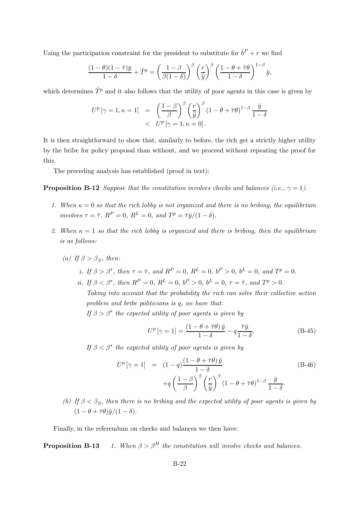Using the participation constraint for the president to substitute for  $\hat{b}^P + r$  we find

$$
\frac{(1-\theta)(1-\bar{\tau})\bar{y}}{1-\delta}+\hat{T}^{p}=\left(\frac{1-\beta}{\beta(1-\delta)}\right)^{\beta}\left(\frac{r}{\bar{y}}\right)^{\beta}\left(\frac{1-\theta+\bar{\tau}\theta}{1-\delta}\right)^{1-\beta}\bar{y},
$$

which determines  $\hat{T}^p$  and it also follows that the utility of poor agents in this case is given by

$$
U^{p}[\gamma=1,\kappa=1] = \left(\frac{1-\beta}{\beta}\right)^{\beta} \left(\frac{r}{\bar{y}}\right)^{\beta} (1-\theta+\bar{\tau}\theta)^{1-\beta} \frac{\bar{y}}{1-\delta}
$$
  
< 
$$
\langle U^{p}[\gamma=1,\kappa=0].
$$

It is then straightforward to show that, similarly to before, the rich get a strictly higher utility by the bribe for policy proposal than without, and we proceed without repeating the proof for this.

The preceding analysis has established (proof in text):

**Proposition B-12** Suppose that the constitution involves checks and balances (i.e.,  $\gamma = 1$ ).

- 1. When  $\kappa = 0$  so that the rich lobby is not organized and there is no bribing, the equilibrium involves  $\tau = \overline{\tau}$ ,  $R^P = 0$ ,  $R^L = 0$ , and  $T^p = \overline{\tau} \overline{y}/(1 - \delta)$ .
- 2. When  $\kappa = 1$  so that the rich lobby is organized and there is bribing, then the equilibrium is as follows:
	- (a) If  $\beta > \beta_S$ , then:

*i.* If 
$$
\beta > \beta^*
$$
, then  $\tau = \overline{\tau}$ , and  $R^P = 0$ ,  $R^L = 0$ ,  $b^P > 0$ ,  $b^L = 0$ , and  $T^P = 0$ .

ii. If  $\beta < \beta^*$ , then  $R^P = 0$ ,  $R^L = 0$ ,  $b^P > 0$ ,  $b^L = 0$ ,  $\tau = \overline{\tau}$ , and  $T^p > 0$ .

Taking into account that the probability the rich can solve their collective action problem and bribe politicians is  $q$ , we have that:

If  $\beta > \beta^*$  the expected utility of poor agents is given by

$$
U^{p}\left[\gamma=1\right] = \frac{\left(1-\theta+\bar{\tau}\theta\right)\bar{y}}{1-\delta} - q\frac{\bar{\tau}\bar{y}}{1-\delta}.\tag{B-45}
$$

If  $\beta < \beta^*$  the expected utility of poor agents is given by

$$
U^{p}[\gamma=1] = (1-q)\frac{(1-\theta+\bar{\tau}\theta)\bar{y}}{1-\delta}
$$
  
 
$$
+q\left(\frac{1-\beta}{\beta}\right)^{\beta}\left(\frac{r}{\bar{y}}\right)^{\beta}(1-\theta+\bar{\tau}\theta)^{1-\beta}\frac{\bar{y}}{1-\delta}.
$$
 (B-46)

(b) If  $\beta < \beta_S$ , then there is no bribing and the expected utility of poor agents is given by  $(1 - \theta + \overline{\tau}\theta)\overline{y}/(1 - \delta).$ 

Finally, in the referendum on checks and balances we then have:

**Proposition B-13** 1. When  $\beta > \beta^H$  the constitution will involve checks and balances.